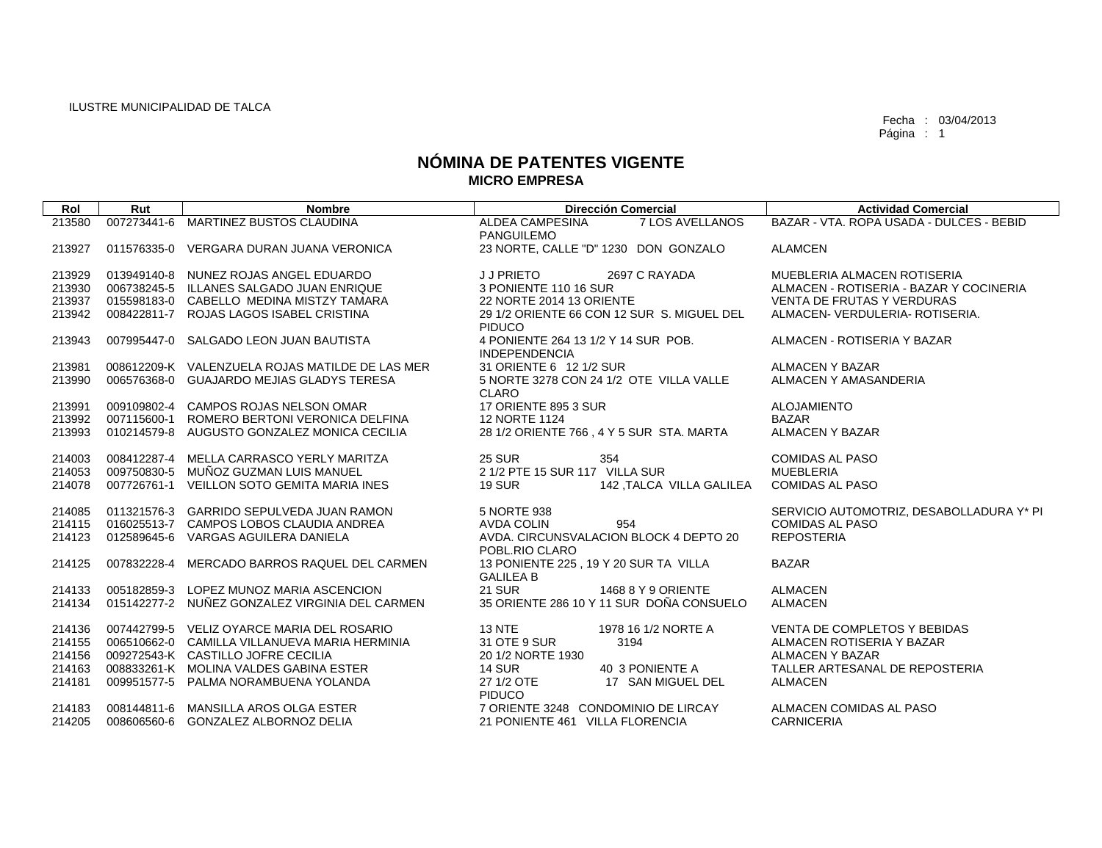| Rol    | Rut         | <b>Nombre</b>                                   | <b>Dirección Comercial</b>                 | <b>Actividad Comercial</b>               |
|--------|-------------|-------------------------------------------------|--------------------------------------------|------------------------------------------|
| 213580 | 007273441-6 | <b>MARTINEZ BUSTOS CLAUDINA</b>                 | 7 LOS AVELLANOS<br><b>ALDEA CAMPESINA</b>  | BAZAR - VTA, ROPA USADA - DULCES - BEBID |
|        |             |                                                 | <b>PANGUILEMO</b>                          |                                          |
| 213927 |             | 011576335-0 VERGARA DURAN JUANA VERONICA        | 23 NORTE, CALLE "D" 1230 DON GONZALO       | <b>ALAMCEN</b>                           |
| 213929 |             | 013949140-8 NUNEZ ROJAS ANGEL EDUARDO           | <b>JJPRIETO</b><br>2697 C RAYADA           | MUEBLERIA ALMACEN ROTISERIA              |
| 213930 |             | 006738245-5 ILLANES SALGADO JUAN ENRIQUE        | 3 PONIENTE 110 16 SUR                      | ALMACEN - ROTISERIA - BAZAR Y COCINERIA  |
| 213937 |             | 015598183-0 CABELLO MEDINA MISTZY TAMARA        | 22 NORTE 2014 13 ORIENTE                   | <b>VENTA DE FRUTAS Y VERDURAS</b>        |
| 213942 |             | 008422811-7 ROJAS LAGOS ISABEL CRISTINA         | 29 1/2 ORIENTE 66 CON 12 SUR S. MIGUEL DEL | ALMACEN- VERDULERIA- ROTISERIA.          |
|        |             |                                                 | <b>PIDUCO</b>                              |                                          |
| 213943 |             | 007995447-0 SALGADO LEON JUAN BAUTISTA          | 4 PONIENTE 264 13 1/2 Y 14 SUR POB.        | ALMACEN - ROTISERIA Y BAZAR              |
|        |             |                                                 | <b>INDEPENDENCIA</b>                       |                                          |
| 213981 |             | 008612209-K VALENZUELA ROJAS MATILDE DE LAS MER | 31 ORIENTE 6 12 1/2 SUR                    | ALMACEN Y BAZAR                          |
| 213990 |             | 006576368-0 GUAJARDO MEJIAS GLADYS TERESA       | 5 NORTE 3278 CON 24 1/2 OTE VILLA VALLE    | ALMACEN Y AMASANDERIA                    |
| 213991 |             | 009109802-4 CAMPOS ROJAS NELSON OMAR            | <b>CLARO</b><br>17 ORIENTE 895 3 SUR       | <b>ALOJAMIENTO</b>                       |
| 213992 | 007115600-1 | ROMERO BERTONI VERONICA DELFINA                 | 12 NORTE 1124                              | <b>BAZAR</b>                             |
| 213993 |             | 010214579-8 AUGUSTO GONZALEZ MONICA CECILIA     | 28 1/2 ORIENTE 766, 4 Y 5 SUR STA. MARTA   | <b>ALMACEN Y BAZAR</b>                   |
|        |             |                                                 |                                            |                                          |
| 214003 |             | 008412287-4 MELLA CARRASCO YERLY MARITZA        | <b>25 SUR</b><br>354                       | <b>COMIDAS AL PASO</b>                   |
| 214053 |             | 009750830-5 MUÑOZ GUZMAN LUIS MANUEL            | 2 1/2 PTE 15 SUR 117 VILLA SUR             | <b>MUEBLERIA</b>                         |
| 214078 |             | 007726761-1 VEILLON SOTO GEMITA MARIA INES      | <b>19 SUR</b><br>142, TALCA VILLA GALILEA  | <b>COMIDAS AL PASO</b>                   |
| 214085 |             | 011321576-3 GARRIDO SEPULVEDA JUAN RAMON        | 5 NORTE 938                                | SERVICIO AUTOMOTRIZ, DESABOLLADURA Y* PI |
| 214115 |             | 016025513-7 CAMPOS LOBOS CLAUDIA ANDREA         | <b>AVDA COLIN</b><br>954                   | <b>COMIDAS AL PASO</b>                   |
| 214123 |             | 012589645-6 VARGAS AGUILERA DANIELA             | AVDA, CIRCUNSVALACION BLOCK 4 DEPTO 20     | <b>REPOSTERIA</b>                        |
|        |             |                                                 | POBL.RIO CLARO                             |                                          |
| 214125 | 007832228-4 | MERCADO BARROS RAQUEL DEL CARMEN                | 13 PONIENTE 225, 19 Y 20 SUR TA VILLA      | <b>BAZAR</b>                             |
|        |             |                                                 | <b>GALILEA B</b>                           |                                          |
| 214133 |             | 005182859-3 LOPEZ MUNOZ MARIA ASCENCION         | <b>21 SUR</b><br>1468 8 Y 9 ORIENTE        | <b>ALMACEN</b>                           |
| 214134 |             | 015142277-2 NUÑEZ GONZALEZ VIRGINIA DEL CARMEN  | 35 ORIENTE 286 10 Y 11 SUR DOÑA CONSUELO   | <b>ALMACEN</b>                           |
| 214136 |             | 007442799-5 VELIZ OYARCE MARIA DEL ROSARIO      | <b>13 NTE</b><br>1978 16 1/2 NORTE A       | VENTA DE COMPLETOS Y BEBIDAS             |
| 214155 |             | 006510662-0 CAMILLA VILLANUEVA MARIA HERMINIA   | 31 OTE 9 SUR<br>3194                       | ALMACEN ROTISERIA Y BAZAR                |
| 214156 |             | 009272543-K CASTILLO JOFRE CECILIA              | 20 1/2 NORTE 1930                          | <b>ALMACEN Y BAZAR</b>                   |
| 214163 |             | 008833261-K MOLINA VALDES GABINA ESTER          | <b>14 SUR</b><br>40 3 PONIENTE A           | TALLER ARTESANAL DE REPOSTERIA           |
| 214181 |             | 009951577-5 PALMA NORAMBUENA YOLANDA            | 27 1/2 OTE<br>17 SAN MIGUEL DEL            | ALMACEN                                  |
|        |             |                                                 | <b>PIDUCO</b>                              |                                          |
| 214183 |             | 008144811-6 MANSILLA AROS OLGA ESTER            | 7 ORIENTE 3248 CONDOMINIO DE LIRCAY        | ALMACEN COMIDAS AL PASO                  |
| 214205 |             | 008606560-6 GONZALEZ ALBORNOZ DELIA             | 21 PONIENTE 461 VILLA FLORENCIA            | <b>CARNICERIA</b>                        |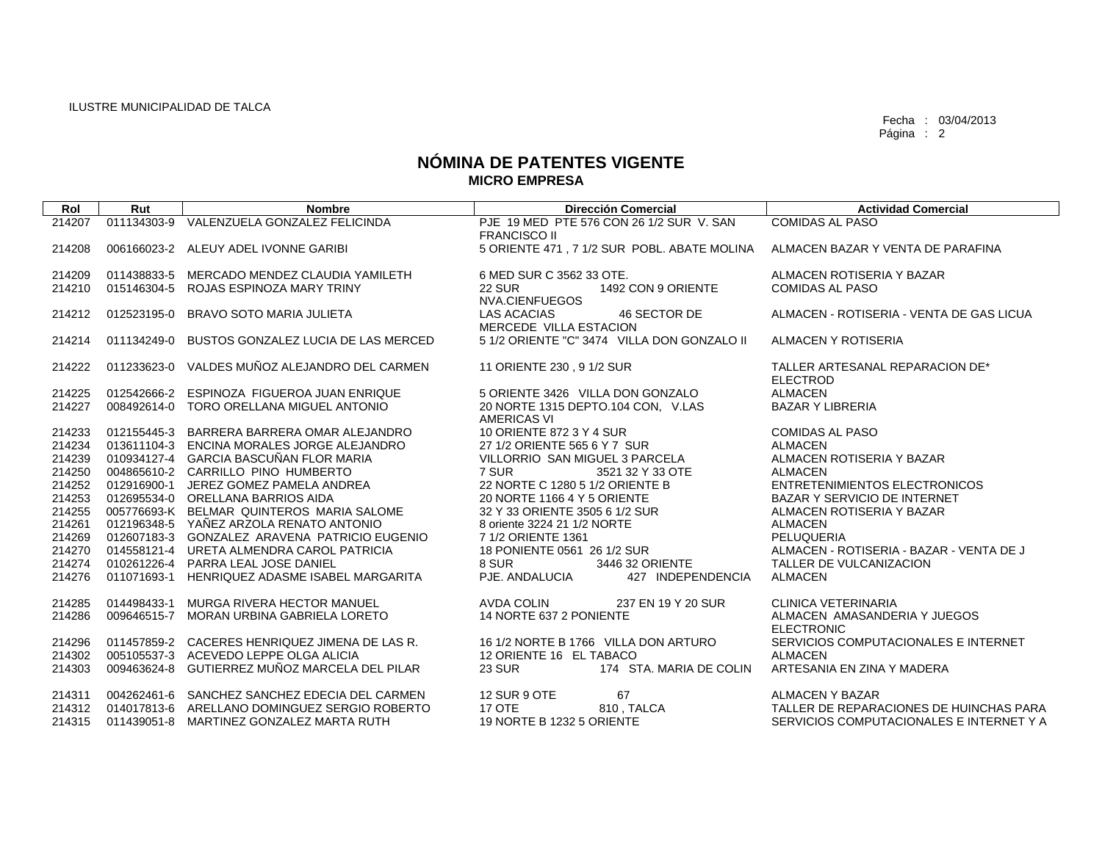| Rol    | Rut         | <b>Nombre</b>                                  | <b>Dirección Comercial</b>                            | <b>Actividad Comercial</b>                         |
|--------|-------------|------------------------------------------------|-------------------------------------------------------|----------------------------------------------------|
| 214207 |             | 011134303-9 VALENZUELA GONZALEZ FELICINDA      | PJE 19 MED PTE 576 CON 26 1/2 SUR V. SAN              | <b>COMIDAS AL PASO</b>                             |
|        |             |                                                | <b>FRANCISCO II</b>                                   |                                                    |
| 214208 |             | 006166023-2 ALEUY ADEL IVONNE GARIBI           | 5 ORIENTE 471, 7 1/2 SUR POBL. ABATE MOLINA           | ALMACEN BAZAR Y VENTA DE PARAFINA                  |
| 214209 |             | 011438833-5 MERCADO MENDEZ CLAUDIA YAMILETH    | 6 MED SUR C 3562 33 OTE.                              | ALMACEN ROTISERIA Y BAZAR                          |
| 214210 |             | 015146304-5 ROJAS ESPINOZA MARY TRINY          | <b>22 SUR</b><br>1492 CON 9 ORIENTE<br>NVA.CIENFUEGOS | <b>COMIDAS AL PASO</b>                             |
| 214212 | 012523195-0 | BRAVO SOTO MARIA JULIETA                       | 46 SECTOR DE<br>LAS ACACIAS<br>MERCEDE VILLA ESTACION | ALMACEN - ROTISERIA - VENTA DE GAS LICUA           |
| 214214 | 011134249-0 | BUSTOS GONZALEZ LUCIA DE LAS MERCED            | 5 1/2 ORIENTE "C" 3474 VILLA DON GONZALO II           | ALMACEN Y ROTISERIA                                |
| 214222 |             | 011233623-0 VALDES MUÑOZ ALEJANDRO DEL CARMEN  | 11 ORIENTE 230, 9 1/2 SUR                             | TALLER ARTESANAL REPARACION DE*<br><b>ELECTROD</b> |
| 214225 |             | 012542666-2 ESPINOZA FIGUEROA JUAN ENRIQUE     | 5 ORIENTE 3426 VILLA DON GONZALO                      | <b>ALMACEN</b>                                     |
| 214227 |             | 008492614-0 TORO ORELLANA MIGUEL ANTONIO       | 20 NORTE 1315 DEPTO.104 CON. V.LAS<br>AMERICAS VI     | <b>BAZAR Y LIBRERIA</b>                            |
| 214233 |             | 012155445-3 BARRERA BARRERA OMAR ALEJANDRO     | 10 ORIENTE 872 3 Y 4 SUR                              | <b>COMIDAS AL PASO</b>                             |
| 214234 |             | 013611104-3 ENCINA MORALES JORGE ALEJANDRO     | 27 1/2 ORIENTE 565 6 Y 7 SUR                          | <b>ALMACEN</b>                                     |
| 214239 |             | 010934127-4 GARCIA BASCUÑAN FLOR MARIA         | VILLORRIO SAN MIGUEL 3 PARCELA                        | ALMACEN ROTISERIA Y BAZAR                          |
| 214250 |             | 004865610-2 CARRILLO PINO HUMBERTO             | 7 SUR<br>3521 32 Y 33 OTE                             | <b>ALMACEN</b>                                     |
| 214252 |             | 012916900-1 JEREZ GOMEZ PAMELA ANDREA          | 22 NORTE C 1280 5 1/2 ORIENTE B                       | ENTRETENIMIENTOS ELECTRONICOS                      |
| 214253 |             | 012695534-0 ORELLANA BARRIOS AIDA              | 20 NORTE 1166 4 Y 5 ORIENTE                           | BAZAR Y SERVICIO DE INTERNET                       |
| 214255 |             | 005776693-K BELMAR QUINTEROS MARIA SALOME      | 32 Y 33 ORIENTE 3505 6 1/2 SUR                        | ALMACEN ROTISERIA Y BAZAR                          |
| 214261 |             | 012196348-5 YAÑEZ ARZOLA RENATO ANTONIO        | 8 oriente 3224 21 1/2 NORTE                           | ALMACEN                                            |
| 214269 |             | 012607183-3 GONZALEZ ARAVENA PATRICIO EUGENIO  | 7 1/2 ORIENTE 1361                                    | PELUQUERIA                                         |
| 214270 |             | 014558121-4 URETA ALMENDRA CAROL PATRICIA      | 18 PONIENTE 0561 26 1/2 SUR                           | ALMACEN - ROTISERIA - BAZAR - VENTA DE J           |
| 214274 |             | 010261226-4 PARRA LEAL JOSE DANIEL             | 8 SUR<br>3446 32 ORIENTE                              | TALLER DE VULCANIZACION                            |
| 214276 |             | 011071693-1 HENRIQUEZ ADASME ISABEL MARGARITA  | PJE. ANDALUCIA<br>427 INDEPENDENCIA                   | <b>ALMACEN</b>                                     |
| 214285 |             | 014498433-1 MURGA RIVERA HECTOR MANUEL         | <b>AVDA COLIN</b><br>237 EN 19 Y 20 SUR               | CLINICA VETERINARIA                                |
| 214286 | 009646515-7 | MORAN URBINA GABRIELA LORETO                   | 14 NORTE 637 2 PONIENTE                               | ALMACEN AMASANDERIA Y JUEGOS<br><b>ELECTRONIC</b>  |
| 214296 |             | 011457859-2 CACERES HENRIQUEZ JIMENA DE LAS R. | 16 1/2 NORTE B 1766 VILLA DON ARTURO                  | SERVICIOS COMPUTACIONALES E INTERNET               |
| 214302 |             | 005105537-3 ACEVEDO LEPPE OLGA ALICIA          | 12 ORIENTE 16 EL TABACO                               | <b>ALMACEN</b>                                     |
| 214303 |             | 009463624-8 GUTIERREZ MUÑOZ MARCELA DEL PILAR  | <b>23 SUR</b><br>174 STA, MARIA DE COLIN              | ARTESANIA EN ZINA Y MADERA                         |
| 214311 |             | 004262461-6 SANCHEZ SANCHEZ EDECIA DEL CARMEN  | 67<br>12 SUR 9 OTE                                    | ALMACEN Y BAZAR                                    |
| 214312 |             | 014017813-6 ARELLANO DOMINGUEZ SERGIO ROBERTO  | 17 OTE<br>810, TALCA                                  | TALLER DE REPARACIONES DE HUINCHAS PARA            |
| 214315 |             | 011439051-8 MARTINEZ GONZALEZ MARTA RUTH       | 19 NORTE B 1232 5 ORIENTE                             | SERVICIOS COMPUTACIONALES E INTERNET Y A           |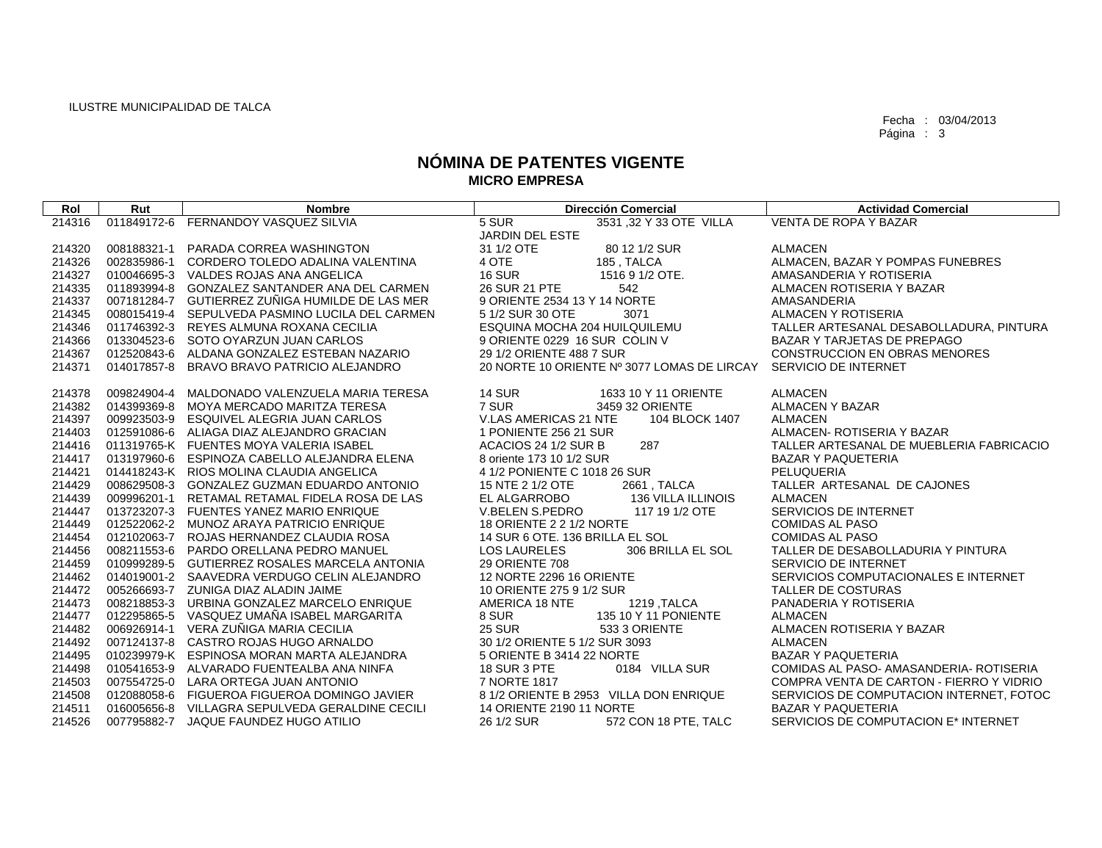| Rol    | Rut         | <b>Nombre</b>                                   | <b>Dirección Comercial</b>                  | <b>Actividad Comercial</b>               |
|--------|-------------|-------------------------------------------------|---------------------------------------------|------------------------------------------|
| 214316 |             | 011849172-6 FERNANDOY VASQUEZ SILVIA            | 5 SUR<br>3531 ,32 Y 33 OTE VILLA            | <b>VENTA DE ROPA Y BAZAR</b>             |
|        |             |                                                 | <b>JARDIN DEL ESTE</b>                      |                                          |
| 214320 | 008188321-1 | PARADA CORREA WASHINGTON                        | 31 1/2 OTE<br>80 12 1/2 SUR                 | <b>ALMACEN</b>                           |
| 214326 | 002835986-1 | CORDERO TOLEDO ADALINA VALENTINA                | 4 OTE<br>185, TALCA                         | ALMACEN, BAZAR Y POMPAS FUNEBRES         |
| 214327 |             | 010046695-3 VALDES ROJAS ANA ANGELICA           | <b>16 SUR</b><br>1516 9 1/2 OTE.            | AMASANDERIA Y ROTISERIA                  |
| 214335 |             | 011893994-8 GONZALEZ SANTANDER ANA DEL CARMEN   | 26 SUR 21 PTE<br>542                        | ALMACEN ROTISERIA Y BAZAR                |
| 214337 |             | 007181284-7 GUTIERREZ ZUÑIGA HUMILDE DE LAS MER | 9 ORIENTE 2534 13 Y 14 NORTE                | AMASANDERIA                              |
| 214345 |             | 008015419-4 SEPULVEDA PASMINO LUCILA DEL CARMEN | 5 1/2 SUR 30 OTE<br>3071                    | <b>ALMACEN Y ROTISERIA</b>               |
| 214346 |             | 011746392-3 REYES ALMUNA ROXANA CECILIA         | ESQUINA MOCHA 204 HUILQUILEMU               | TALLER ARTESANAL DESABOLLADURA, PINTURA  |
| 214366 |             | 013304523-6 SOTO OYARZUN JUAN CARLOS            | 9 ORIENTE 0229 16 SUR COLIN V               | BAZAR Y TARJETAS DE PREPAGO              |
| 214367 |             | 012520843-6 ALDANA GONZALEZ ESTEBAN NAZARIO     | 29 1/2 ORIENTE 488 7 SUR                    | <b>CONSTRUCCION EN OBRAS MENORES</b>     |
| 214371 | 014017857-8 | BRAVO BRAVO PATRICIO ALEJANDRO                  | 20 NORTE 10 ORIENTE Nº 3077 LOMAS DE LIRCAY | SERVICIO DE INTERNET                     |
|        |             |                                                 |                                             |                                          |
| 214378 | 009824904-4 | MALDONADO VALENZUELA MARIA TERESA               | <b>14 SUR</b><br>1633 10 Y 11 ORIENTE       | <b>ALMACEN</b>                           |
| 214382 | 014399369-8 | MOYA MERCADO MARITZA TERESA                     | 7 SUR<br>3459 32 ORIENTE                    | <b>ALMACEN Y BAZAR</b>                   |
| 214397 |             | 009923503-9 ESQUIVEL ALEGRIA JUAN CARLOS        | V.LAS AMERICAS 21 NTE<br>104 BLOCK 1407     | <b>ALMACEN</b>                           |
| 214403 |             | 012591086-6 ALIAGA DIAZ ALEJANDRO GRACIAN       | 1 PONIENTE 256 21 SUR                       | ALMACEN- ROTISERIA Y BAZAR               |
| 214416 |             | 011319765-K FUENTES MOYA VALERIA ISABEL         | ACACIOS 24 1/2 SUR B<br>287                 | TALLER ARTESANAL DE MUEBLERIA FABRICACIO |
| 214417 |             | 013197960-6 ESPINOZA CABELLO ALEJANDRA ELENA    | 8 oriente 173 10 1/2 SUR                    | <b>BAZAR Y PAQUETERIA</b>                |
| 214421 |             | 014418243-K RIOS MOLINA CLAUDIA ANGELICA        | 4 1/2 PONIENTE C 1018 26 SUR                | PELUQUERIA                               |
| 214429 |             | 008629508-3 GONZALEZ GUZMAN EDUARDO ANTONIO     | 15 NTE 2 1/2 OTE<br>2661, TALCA             | TALLER ARTESANAL DE CAJONES              |
| 214439 |             | 009996201-1 RETAMAL RETAMAL FIDELA ROSA DE LAS  | EL ALGARROBO<br>136 VILLA ILLINOIS          | ALMACEN                                  |
| 214447 |             | 013723207-3 FUENTES YANEZ MARIO ENRIQUE         | V.BELEN S.PEDRO<br>117 19 1/2 OTE           | SERVICIOS DE INTERNET                    |
| 214449 |             | 012522062-2 MUNOZ ARAYA PATRICIO ENRIQUE        | 18 ORIENTE 2 2 1/2 NORTE                    | COMIDAS AL PASO                          |
| 214454 |             | 012102063-7 ROJAS HERNANDEZ CLAUDIA ROSA        | 14 SUR 6 OTE. 136 BRILLA EL SOL             | <b>COMIDAS AL PASO</b>                   |
| 214456 |             | 008211553-6 PARDO ORELLANA PEDRO MANUEL         | 306 BRILLA EL SOL<br><b>LOS LAURELES</b>    | TALLER DE DESABOLLADURIA Y PINTURA       |
| 214459 |             | 010999289-5 GUTIERREZ ROSALES MARCELA ANTONIA   | <b>29 ORIENTE 708</b>                       | SERVICIO DE INTERNET                     |
| 214462 |             | 014019001-2 SAAVEDRA VERDUGO CELIN ALEJANDRO    | 12 NORTE 2296 16 ORIENTE                    | SERVICIOS COMPUTACIONALES E INTERNET     |
| 214472 |             | 005266693-7 ZUNIGA DIAZ ALADIN JAIME            | 10 ORIENTE 275 9 1/2 SUR                    | <b>TALLER DE COSTURAS</b>                |
| 214473 |             | 008218853-3 URBINA GONZALEZ MARCELO ENRIQUE     | AMERICA 18 NTE<br>1219, TALCA               | PANADERIA Y ROTISERIA                    |
| 214477 |             | 012295865-5 VASQUEZ UMAÑA ISABEL MARGARITA      | 8 SUR<br>135 10 Y 11 PONIENTE               | <b>ALMACEN</b>                           |
| 214482 |             | 006926914-1 VERA ZUÑIGA MARIA CECILIA           | <b>25 SUR</b><br>533 3 ORIENTE              | ALMACEN ROTISERIA Y BAZAR                |
| 214492 |             | 007124137-8 CASTRO ROJAS HUGO ARNALDO           | 30 1/2 ORIENTE 5 1/2 SUR 3093               | <b>ALMACEN</b>                           |
| 214495 |             | 010239979-K ESPINOSA MORAN MARTA ALEJANDRA      | 5 ORIENTE B 3414 22 NORTE                   | <b>BAZAR Y PAQUETERIA</b>                |
| 214498 |             | 010541653-9 ALVARADO FUENTEALBA ANA NINFA       | 0184 VILLA SUR<br>18 SUR 3 PTE              | COMIDAS AL PASO- AMASANDERIA- ROTISERIA  |
| 214503 |             | 007554725-0 LARA ORTEGA JUAN ANTONIO            | 7 NORTE 1817                                | COMPRA VENTA DE CARTON - FIERRO Y VIDRIO |
| 214508 |             | 012088058-6 FIGUEROA FIGUEROA DOMINGO JAVIER    | 8 1/2 ORIENTE B 2953 VILLA DON ENRIQUE      | SERVICIOS DE COMPUTACION INTERNET, FOTOC |
| 214511 |             | 016005656-8 VILLAGRA SEPULVEDA GERALDINE CECILI | 14 ORIENTE 2190 11 NORTE                    | <b>BAZAR Y PAQUETERIA</b>                |
| 214526 |             | 007795882-7 JAQUE FAUNDEZ HUGO ATILIO           | 572 CON 18 PTE, TALC<br>26 1/2 SUR          | SERVICIOS DE COMPUTACION E* INTERNET     |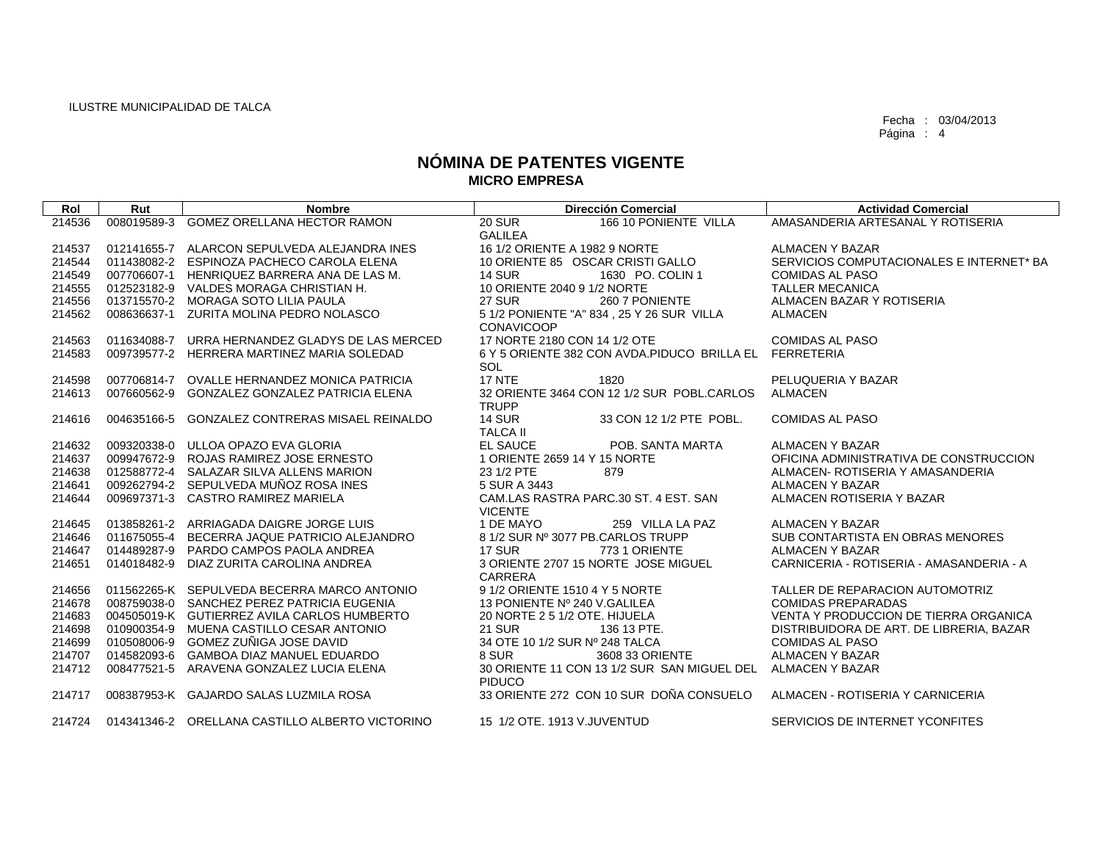$\sqrt{ }$ 

Fecha : 03/04/2013 Página : 4

| Rol    | Rut         | <b>Nombre</b>                                   | <b>Dirección Comercial</b>                                     | <b>Actividad Comercial</b>               |
|--------|-------------|-------------------------------------------------|----------------------------------------------------------------|------------------------------------------|
| 214536 | 008019589-3 | <b>GOMEZ ORELLANA HECTOR RAMON</b>              | 166 10 PONIENTE VILLA<br><b>20 SUR</b>                         | AMASANDERIA ARTESANAL Y ROTISERIA        |
|        |             |                                                 | <b>GALILEA</b>                                                 |                                          |
| 214537 |             | 012141655-7 ALARCON SEPULVEDA ALEJANDRA INES    | 16 1/2 ORIENTE A 1982 9 NORTE                                  | <b>ALMACEN Y BAZAR</b>                   |
| 214544 |             | 011438082-2 ESPINOZA PACHECO CAROLA ELENA       | 10 ORIENTE 85 OSCAR CRISTI GALLO                               | SERVICIOS COMPUTACIONALES E INTERNET* BA |
| 214549 |             | 007706607-1 HENRIQUEZ BARRERA ANA DE LAS M.     | <b>14 SUR</b><br>1630 PO. COLIN 1                              | <b>COMIDAS AL PASO</b>                   |
| 214555 |             | 012523182-9 VALDES MORAGA CHRISTIAN H.          | 10 ORIENTE 2040 9 1/2 NORTE                                    | <b>TALLER MECANICA</b>                   |
| 214556 |             | 013715570-2 MORAGA SOTO LILIA PAULA             | 27 SUR<br>260 7 PONIENTE                                       | ALMACEN BAZAR Y ROTISERIA                |
| 214562 |             | 008636637-1 ZURITA MOLINA PEDRO NOLASCO         | 5 1/2 PONIENTE "A" 834, 25 Y 26 SUR VILLA<br><b>CONAVICOOP</b> | <b>ALMACEN</b>                           |
| 214563 |             | 011634088-7 URRA HERNANDEZ GLADYS DE LAS MERCED | 17 NORTE 2180 CON 14 1/2 OTE                                   | <b>COMIDAS AL PASO</b>                   |
| 214583 |             | 009739577-2 HERRERA MARTINEZ MARIA SOLEDAD      | 6 Y 5 ORIENTE 382 CON AVDA.PIDUCO BRILLA EL FERRETERIA         |                                          |
|        |             |                                                 | <b>SOL</b>                                                     |                                          |
| 214598 |             | 007706814-7 OVALLE HERNANDEZ MONICA PATRICIA    | <b>17 NTE</b><br>1820                                          | PELUQUERIA Y BAZAR                       |
| 214613 |             | 007660562-9 GONZALEZ GONZALEZ PATRICIA ELENA    | 32 ORIENTE 3464 CON 12 1/2 SUR POBL.CARLOS                     | ALMACEN                                  |
|        |             |                                                 | <b>TRUPP</b>                                                   |                                          |
| 214616 |             | 004635166-5 GONZALEZ CONTRERAS MISAEL REINALDO  | <b>14 SUR</b><br>33 CON 12 1/2 PTE POBL.                       | <b>COMIDAS AL PASO</b>                   |
|        |             |                                                 | <b>TALCA II</b>                                                |                                          |
| 214632 |             | 009320338-0 ULLOA OPAZO EVA GLORIA              | <b>EL SAUCE</b><br>POB. SANTA MARTA                            | <b>ALMACEN Y BAZAR</b>                   |
| 214637 |             | 009947672-9 ROJAS RAMIREZ JOSE ERNESTO          | 1 ORIENTE 2659 14 Y 15 NORTE                                   | OFICINA ADMINISTRATIVA DE CONSTRUCCION   |
| 214638 |             | 012588772-4 SALAZAR SILVA ALLENS MARION         | 23 1/2 PTE<br>879                                              | ALMACEN- ROTISERIA Y AMASANDERIA         |
| 214641 |             | 009262794-2 SEPULVEDA MUÑOZ ROSA INES           | 5 SUR A 3443                                                   | <b>ALMACEN Y BAZAR</b>                   |
| 214644 |             | 009697371-3 CASTRO RAMIREZ MARIELA              | CAM.LAS RASTRA PARC.30 ST. 4 EST. SAN                          | ALMACEN ROTISERIA Y BAZAR                |
|        |             |                                                 | <b>VICENTE</b>                                                 |                                          |
| 214645 |             | 013858261-2 ARRIAGADA DAIGRE JORGE LUIS         | 1 DE MAYO<br>259 VILLA LA PAZ                                  | <b>ALMACEN Y BAZAR</b>                   |
| 214646 |             | 011675055-4 BECERRA JAQUE PATRICIO ALEJANDRO    | 8 1/2 SUR Nº 3077 PB.CARLOS TRUPP                              | SUB CONTARTISTA EN OBRAS MENORES         |
| 214647 |             | 014489287-9 PARDO CAMPOS PAOLA ANDREA           | <b>17 SUR</b><br>7731 ORIENTE                                  | <b>ALMACEN Y BAZAR</b>                   |
| 214651 |             | 014018482-9 DIAZ ZURITA CAROLINA ANDREA         | 3 ORIENTE 2707 15 NORTE JOSE MIGUEL                            | CARNICERIA - ROTISERIA - AMASANDERIA - A |
|        |             |                                                 | CARRERA                                                        |                                          |
| 214656 |             | 011562265-K SEPULVEDA BECERRA MARCO ANTONIO     | 9 1/2 ORIENTE 1510 4 Y 5 NORTE                                 | TALLER DE REPARACION AUTOMOTRIZ          |
| 214678 |             | 008759038-0 SANCHEZ PEREZ PATRICIA EUGENIA      | 13 PONIENTE Nº 240 V.GALILEA                                   | <b>COMIDAS PREPARADAS</b>                |
| 214683 |             | 004505019-K GUTIERREZ AVILA CARLOS HUMBERTO     | 20 NORTE 2 5 1/2 OTE. HIJUELA                                  | VENTA Y PRODUCCION DE TIERRA ORGANICA    |
| 214698 |             | 010900354-9 MUENA CASTILLO CESAR ANTONIO        | <b>21 SUR</b><br>136 13 PTE.                                   | DISTRIBUIDORA DE ART. DE LIBRERIA, BAZAR |
| 214699 |             | 010508006-9 GOMEZ ZUÑIGA JOSE DAVID             | 34 OTE 10 1/2 SUR Nº 248 TALCA                                 | <b>COMIDAS AL PASO</b>                   |
| 214707 |             | 014582093-6 GAMBOA DIAZ MANUEL EDUARDO          | 8 SUR<br>3608 33 ORIENTE                                       | <b>ALMACEN Y BAZAR</b>                   |
| 214712 |             | 008477521-5 ARAVENA GONZALEZ LUCIA ELENA        | 30 ORIENTE 11 CON 13 1/2 SUR SAN MIGUEL DEL<br><b>PIDUCO</b>   | ALMACEN Y BAZAR                          |
| 214717 |             | 008387953-K GAJARDO SALAS LUZMILA ROSA          | 33 ORIENTE 272 CON 10 SUR DOÑA CONSUELO                        | ALMACEN - ROTISERIA Y CARNICERIA         |
| 214724 |             | 014341346-2 ORELLANA CASTILLO ALBERTO VICTORINO | 15 1/2 OTE, 1913 V.JUVENTUD                                    | SERVICIOS DE INTERNET YCONFITES          |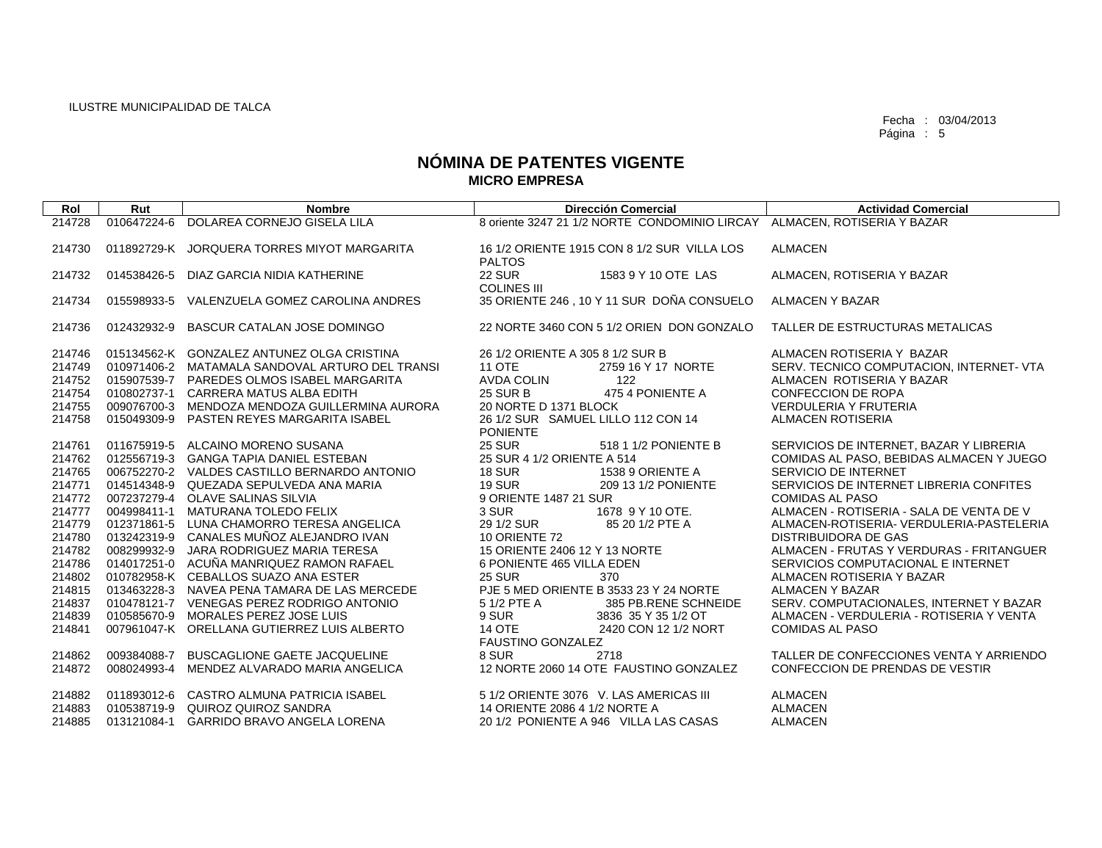| Rol    | Rut         | <b>Nombre</b>                                   | <b>Dirección Comercial</b>                                               | <b>Actividad Comercial</b>               |
|--------|-------------|-------------------------------------------------|--------------------------------------------------------------------------|------------------------------------------|
| 214728 | 010647224-6 | DOLAREA CORNEJO GISELA LILA                     | 8 oriente 3247 21 1/2 NORTE CONDOMINIO LIRCAY ALMACEN, ROTISERIA Y BAZAR |                                          |
|        |             |                                                 |                                                                          |                                          |
| 214730 |             | 011892729-K JORQUERA TORRES MIYOT MARGARITA     | 16 1/2 ORIENTE 1915 CON 8 1/2 SUR VILLA LOS<br><b>PALTOS</b>             | <b>ALMACEN</b>                           |
| 214732 | 014538426-5 | DIAZ GARCIA NIDIA KATHERINE                     | 22 SUR<br>1583 9 Y 10 OTE LAS                                            | ALMACEN, ROTISERIA Y BAZAR               |
|        |             |                                                 | <b>COLINES III</b>                                                       |                                          |
| 214734 | 015598933-5 | VALENZUELA GOMEZ CAROLINA ANDRES                | 35 ORIENTE 246, 10 Y 11 SUR DOÑA CONSUELO                                | <b>ALMACEN Y BAZAR</b>                   |
| 214736 | 012432932-9 | <b>BASCUR CATALAN JOSE DOMINGO</b>              | 22 NORTE 3460 CON 5 1/2 ORIEN DON GONZALO                                | TALLER DE ESTRUCTURAS METALICAS          |
|        |             |                                                 |                                                                          |                                          |
| 214746 |             | 015134562-K GONZALEZ ANTUNEZ OLGA CRISTINA      | 26 1/2 ORIENTE A 305 8 1/2 SUR B                                         | ALMACEN ROTISERIA Y BAZAR                |
| 214749 |             | 010971406-2 MATAMALA SANDOVAL ARTURO DEL TRANSI | <b>11 OTE</b><br>2759 16 Y 17 NORTE                                      | SERV. TECNICO COMPUTACION, INTERNET- VTA |
| 214752 |             | 015907539-7 PAREDES OLMOS ISABEL MARGARITA      | <b>AVDA COLIN</b><br>122                                                 | ALMACEN ROTISERIA Y BAZAR                |
| 214754 | 010802737-1 | CARRERA MATUS ALBA EDITH                        | <b>25 SUR B</b><br>475 4 PONIENTE A                                      | <b>CONFECCION DE ROPA</b>                |
| 214755 |             | 009076700-3 MENDOZA MENDOZA GUILLERMINA AURORA  | 20 NORTE D 1371 BLOCK                                                    | <b>VERDULERIA Y FRUTERIA</b>             |
| 214758 |             | 015049309-9 PASTEN REYES MARGARITA ISABEL       | 26 1/2 SUR SAMUEL LILLO 112 CON 14                                       | <b>ALMACEN ROTISERIA</b>                 |
|        |             |                                                 | <b>PONIENTE</b>                                                          |                                          |
| 214761 |             | 011675919-5 ALCAINO MORENO SUSANA               | <b>25 SUR</b><br>518 1 1/2 PONIENTE B                                    | SERVICIOS DE INTERNET, BAZAR Y LIBRERIA  |
| 214762 |             | 012556719-3 GANGA TAPIA DANIEL ESTEBAN          | 25 SUR 4 1/2 ORIENTE A 514                                               | COMIDAS AL PASO, BEBIDAS ALMACEN Y JUEGO |
| 214765 |             | 006752270-2 VALDES CASTILLO BERNARDO ANTONIO    | <b>18 SUR</b><br>1538 9 ORIENTE A                                        | SERVICIO DE INTERNET                     |
| 214771 |             | 014514348-9 QUEZADA SEPULVEDA ANA MARIA         | <b>19 SUR</b><br>209 13 1/2 PONIENTE                                     | SERVICIOS DE INTERNET LIBRERIA CONFITES  |
| 214772 |             | 007237279-4 OLAVE SALINAS SILVIA                | 9 ORIENTE 1487 21 SUR                                                    | <b>COMIDAS AL PASO</b>                   |
| 214777 |             | 004998411-1 MATURANA TOLEDO FELIX               | 3 SUR<br>1678 9 Y 10 OTE.                                                | ALMACEN - ROTISERIA - SALA DE VENTA DE V |
| 214779 |             | 012371861-5 LUNA CHAMORRO TERESA ANGELICA       | 29 1/2 SUR<br>85 20 1/2 PTE A                                            | ALMACEN-ROTISERIA- VERDULERIA-PASTELERIA |
| 214780 |             | 013242319-9 CANALES MUÑOZ ALEJANDRO IVAN        | 10 ORIENTE 72                                                            | DISTRIBUIDORA DE GAS                     |
| 214782 |             | 008299932-9 JARA RODRIGUEZ MARIA TERESA         | 15 ORIENTE 2406 12 Y 13 NORTE                                            | ALMACEN - FRUTAS Y VERDURAS - FRITANGUER |
| 214786 |             | 014017251-0 ACUÑA MANRIQUEZ RAMON RAFAEL        | 6 PONIENTE 465 VILLA EDEN                                                | SERVICIOS COMPUTACIONAL E INTERNET       |
| 214802 |             | 010782958-K CEBALLOS SUAZO ANA ESTER            | <b>25 SUR</b><br>370                                                     | ALMACEN ROTISERIA Y BAZAR                |
| 214815 |             | 013463228-3 NAVEA PENA TAMARA DE LAS MERCEDE    | PJE 5 MED ORIENTE B 3533 23 Y 24 NORTE                                   | <b>ALMACEN Y BAZAR</b>                   |
| 214837 |             | 010478121-7 VENEGAS PEREZ RODRIGO ANTONIO       | 5 1/2 PTE A<br>385 PB.RENE SCHNEIDE                                      | SERV, COMPUTACIONALES, INTERNET Y BAZAR  |
| 214839 |             | 010585670-9 MORALES PEREZ JOSE LUIS             | 9 SUR<br>3836 35 Y 35 1/2 OT                                             | ALMACEN - VERDULERIA - ROTISERIA Y VENTA |
| 214841 |             | 007961047-K ORELLANA GUTIERREZ LUIS ALBERTO     | <b>14 OTE</b><br>2420 CON 12 1/2 NORT                                    | <b>COMIDAS AL PASO</b>                   |
|        |             |                                                 | <b>FAUSTINO GONZALEZ</b>                                                 |                                          |
| 214862 | 009384088-7 | <b>BUSCAGLIONE GAETE JACQUELINE</b>             | 8 SUR<br>2718                                                            | TALLER DE CONFECCIONES VENTA Y ARRIENDO  |
| 214872 | 008024993-4 | MENDEZ ALVARADO MARIA ANGELICA                  | 12 NORTE 2060 14 OTE FAUSTINO GONZALEZ                                   | CONFECCION DE PRENDAS DE VESTIR          |
|        |             |                                                 |                                                                          |                                          |
| 214882 |             | 011893012-6 CASTRO ALMUNA PATRICIA ISABEL       | 5 1/2 ORIENTE 3076 V. LAS AMERICAS III                                   | <b>ALMACEN</b>                           |
| 214883 |             | 010538719-9 QUIROZ QUIROZ SANDRA                | 14 ORIENTE 2086 4 1/2 NORTE A                                            | <b>ALMACEN</b>                           |
| 214885 | 013121084-1 | <b>GARRIDO BRAVO ANGELA LORENA</b>              | 20 1/2 PONIENTE A 946 VILLA LAS CASAS                                    | <b>ALMACEN</b>                           |
|        |             |                                                 |                                                                          |                                          |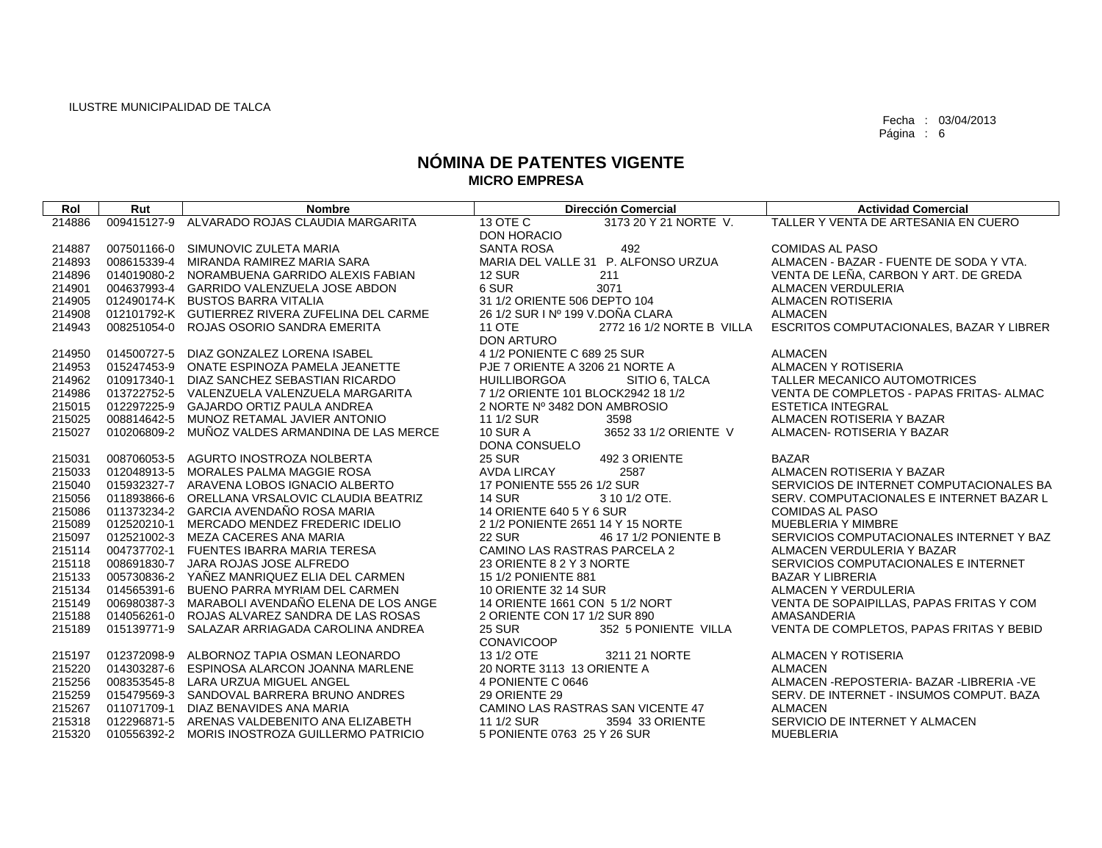| Rol    | Rut         | <b>Nombre</b>                                   | <b>Dirección Comercial</b>                 | <b>Actividad Comercial</b>                   |
|--------|-------------|-------------------------------------------------|--------------------------------------------|----------------------------------------------|
| 214886 | 009415127-9 | ALVARADO ROJAS CLAUDIA MARGARITA                | 13 OTE C<br>3173 20 Y 21 NORTE V.          | TALLER Y VENTA DE ARTESANIA EN CUERO         |
|        |             |                                                 | DON HORACIO                                |                                              |
| 214887 |             | 007501166-0 SIMUNOVIC ZULETA MARIA              | <b>SANTA ROSA</b><br>492                   | <b>COMIDAS AL PASO</b>                       |
| 214893 |             | 008615339-4 MIRANDA RAMIREZ MARIA SARA          | MARIA DEL VALLE 31 P. ALFONSO URZUA        | ALMACEN - BAZAR - FUENTE DE SODA Y VTA.      |
| 214896 |             | 014019080-2 NORAMBUENA GARRIDO ALEXIS FABIAN    | <b>12 SUR</b><br>211                       | VENTA DE LEÑA, CARBON Y ART. DE GREDA        |
| 214901 |             | 004637993-4 GARRIDO VALENZUELA JOSE ABDON       | 6 SUR<br>3071                              | <b>ALMACEN VERDULERIA</b>                    |
| 214905 |             | 012490174-K BUSTOS BARRA VITALIA                | 31 1/2 ORIENTE 506 DEPTO 104               | <b>ALMACEN ROTISERIA</b>                     |
| 214908 |             | 012101792-K GUTIERREZ RIVERA ZUFELINA DEL CARME | 26 1/2 SUR I Nº 199 V.DOÑA CLARA           | <b>ALMACEN</b>                               |
| 214943 |             | 008251054-0 ROJAS OSORIO SANDRA EMERITA         | <b>11 OTE</b><br>2772 16 1/2 NORTE B VILLA | ESCRITOS COMPUTACIONALES, BAZAR Y LIBRER     |
|        |             |                                                 | <b>DON ARTURO</b>                          |                                              |
| 214950 |             | 014500727-5 DIAZ GONZALEZ LORENA ISABEL         | 4 1/2 PONIENTE C 689 25 SUR                | <b>ALMACEN</b>                               |
| 214953 |             | 015247453-9 ONATE ESPINOZA PAMELA JEANETTE      | PJE 7 ORIENTE A 3206 21 NORTE A            | ALMACEN Y ROTISERIA                          |
| 214962 |             | 010917340-1 DIAZ SANCHEZ SEBASTIAN RICARDO      | <b>HUILLIBORGOA</b><br>SITIO 6, TALCA      | TALLER MECANICO AUTOMOTRICES                 |
| 214986 |             | 013722752-5 VALENZUELA VALENZUELA MARGARITA     | 7 1/2 ORIENTE 101 BLOCK2942 18 1/2         | VENTA DE COMPLETOS - PAPAS FRITAS-ALMAC      |
| 215015 |             | 012297225-9 GAJARDO ORTIZ PAULA ANDREA          | 2 NORTE Nº 3482 DON AMBROSIO               | <b>ESTETICA INTEGRAL</b>                     |
| 215025 |             | 008814642-5 MUNOZ RETAMAL JAVIER ANTONIO        | 11 1/2 SUR<br>3598                         | ALMACEN ROTISERIA Y BAZAR                    |
| 215027 |             | 010206809-2 MUNOZ VALDES ARMANDINA DE LAS MERCE | <b>10 SUR A</b><br>3652 33 1/2 ORIENTE V   | ALMACEN- ROTISERIA Y BAZAR                   |
|        |             |                                                 | DONA CONSUELO                              |                                              |
| 215031 |             | 008706053-5 AGURTO INOSTROZA NOLBERTA           | <b>25 SUR</b><br>492 3 ORIENTE             | <b>BAZAR</b>                                 |
| 215033 |             | 012048913-5 MORALES PALMA MAGGIE ROSA           | <b>AVDA LIRCAY</b><br>2587                 | ALMACEN ROTISERIA Y BAZAR                    |
| 215040 |             | 015932327-7 ARAVENA LOBOS IGNACIO ALBERTO       | 17 PONIENTE 555 26 1/2 SUR                 | SERVICIOS DE INTERNET COMPUTACIONALES BA     |
| 215056 |             | 011893866-6 ORELLANA VRSALOVIC CLAUDIA BEATRIZ  | <b>14 SUR</b><br>3 10 1/2 OTE.             | SERV. COMPUTACIONALES E INTERNET BAZAR L     |
| 215086 |             | 011373234-2 GARCIA AVENDAÑO ROSA MARIA          | 14 ORIENTE 640 5 Y 6 SUR                   | <b>COMIDAS AL PASO</b>                       |
| 215089 |             | 012520210-1 MERCADO MENDEZ FREDERIC IDELIO      | 2 1/2 PONIENTE 2651 14 Y 15 NORTE          | <b>MUEBLERIA Y MIMBRE</b>                    |
| 215097 |             | 012521002-3 MEZA CACERES ANA MARIA              | <b>22 SUR</b><br>46 17 1/2 PONIENTE B      | SERVICIOS COMPUTACIONALES INTERNET Y BAZ     |
| 215114 |             | 004737702-1 FUENTES IBARRA MARIA TERESA         | CAMINO LAS RASTRAS PARCELA 2               | ALMACEN VERDULERIA Y BAZAR                   |
| 215118 |             | 008691830-7 JARA ROJAS JOSE ALFREDO             | 23 ORIENTE 8 2 Y 3 NORTE                   | SERVICIOS COMPUTACIONALES E INTERNET         |
| 215133 |             | 005730836-2 YAÑEZ MANRIQUEZ ELIA DEL CARMEN     | 15 1/2 PONIENTE 881                        | <b>BAZAR Y LIBRERIA</b>                      |
| 215134 |             | 014565391-6 BUENO PARRA MYRIAM DEL CARMEN       | 10 ORIENTE 32 14 SUR                       | ALMACEN Y VERDULERIA                         |
| 215149 |             | 006980387-3 MARABOLI AVENDAÑO ELENA DE LOS ANGE | 14 ORIENTE 1661 CON 5 1/2 NORT             | VENTA DE SOPAIPILLAS, PAPAS FRITAS Y COM     |
| 215188 |             | 014056261-0 ROJAS ALVAREZ SANDRA DE LAS ROSAS   | 2 ORIENTE CON 17 1/2 SUR 890               | AMASANDERIA                                  |
| 215189 | 015139771-9 | SALAZAR ARRIAGADA CAROLINA ANDREA               | <b>25 SUR</b><br>352 5 PONIENTE VILLA      | VENTA DE COMPLETOS, PAPAS FRITAS Y BEBID     |
|        |             |                                                 | <b>CONAVICOOP</b>                          |                                              |
| 215197 | 012372098-9 | ALBORNOZ TAPIA OSMAN LEONARDO                   | 3211 21 NORTE<br>13 1/2 OTE                | ALMACEN Y ROTISERIA                          |
| 215220 | 014303287-6 | ESPINOSA ALARCON JOANNA MARLENE                 | 20 NORTE 3113 13 ORIENTE A                 | <b>ALMACEN</b>                               |
| 215256 |             | 008353545-8 LARA URZUA MIGUEL ANGEL             | 4 PONIENTE C 0646                          | ALMACEN - REPOSTERIA - BAZAR - LIBRERIA - VE |
| 215259 | 015479569-3 | SANDOVAL BARRERA BRUNO ANDRES                   | 29 ORIENTE 29                              | SERV. DE INTERNET - INSUMOS COMPUT. BAZA     |
| 215267 | 011071709-1 | DIAZ BENAVIDES ANA MARIA                        | CAMINO LAS RASTRAS SAN VICENTE 47          | <b>ALMACEN</b>                               |
| 215318 |             | 012296871-5 ARENAS VALDEBENITO ANA ELIZABETH    | 11 1/2 SUR<br>3594 33 ORIENTE              | SERVICIO DE INTERNET Y ALMACEN               |
| 215320 |             | 010556392-2 MORIS INOSTROZA GUILLERMO PATRICIO  | 5 PONIENTE 0763 25 Y 26 SUR                | MUEBLERIA                                    |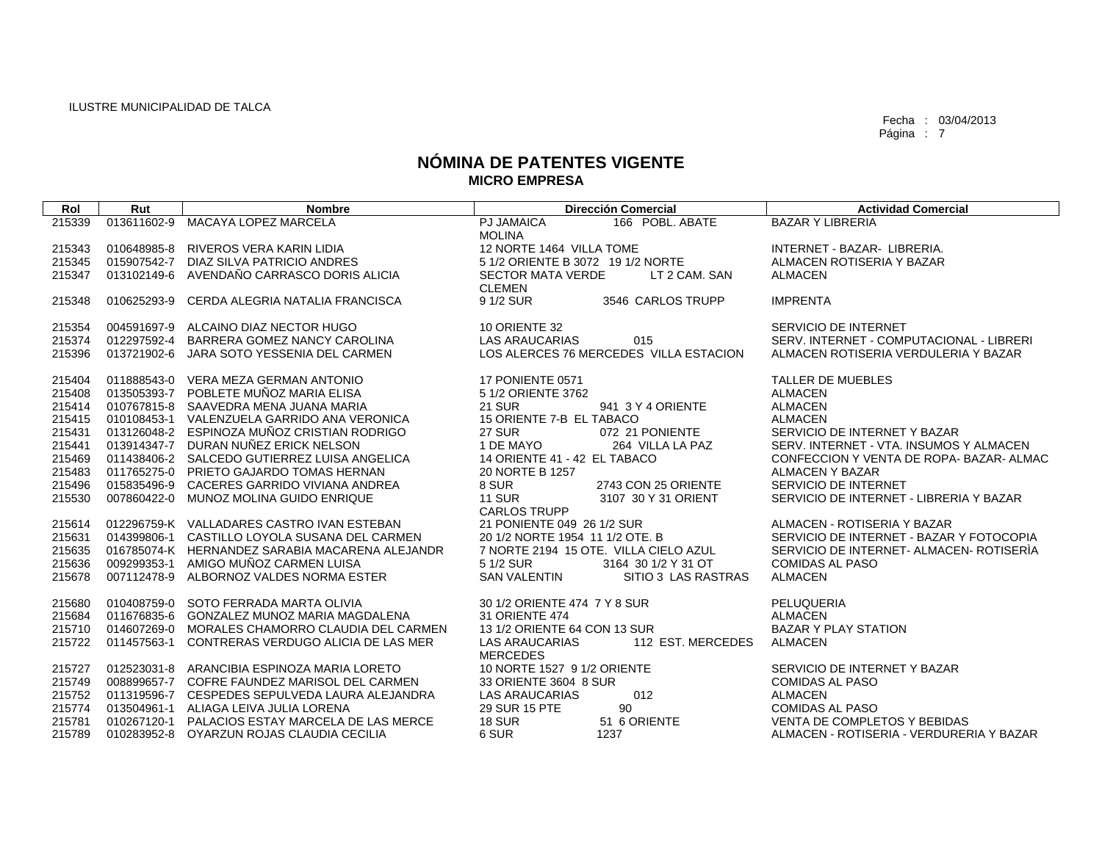| Rol    | Rut         | <b>Nombre</b>                                   | <b>Dirección Comercial</b>                                    | <b>Actividad Comercial</b>               |
|--------|-------------|-------------------------------------------------|---------------------------------------------------------------|------------------------------------------|
| 215339 | 013611602-9 | <b>MACAYA LOPEZ MARCELA</b>                     | 166 POBL, ABATE<br><b>PJ JAMAICA</b>                          | <b>BAZAR Y LIBRERIA</b>                  |
|        |             |                                                 | <b>MOLINA</b>                                                 |                                          |
| 215343 | 010648985-8 | RIVEROS VERA KARIN LIDIA                        | 12 NORTE 1464 VILLA TOME                                      | INTERNET - BAZAR- LIBRERIA.              |
| 215345 |             | 015907542-7 DIAZ SILVA PATRICIO ANDRES          | 5 1/2 ORIENTE B 3072 19 1/2 NORTE                             | ALMACEN ROTISERIA Y BAZAR                |
| 215347 | 013102149-6 | AVENDAÑO CARRASCO DORIS ALICIA                  | <b>SECTOR MATA VERDE</b><br>LT 2 CAM, SAN                     | <b>ALMACEN</b>                           |
|        |             |                                                 | <b>CLEMEN</b>                                                 |                                          |
| 215348 | 010625293-9 | CERDA ALEGRIA NATALIA FRANCISCA                 | 9 1/2 SUR<br>3546 CARLOS TRUPP                                | <b>IMPRENTA</b>                          |
|        |             |                                                 |                                                               |                                          |
| 215354 |             | 004591697-9 ALCAINO DIAZ NECTOR HUGO            | 10 ORIENTE 32                                                 | SERVICIO DE INTERNET                     |
| 215374 |             | 012297592-4 BARRERA GOMEZ NANCY CAROLINA        | <b>LAS ARAUCARIAS</b><br>015                                  | SERV. INTERNET - COMPUTACIONAL - LIBRERI |
| 215396 |             | 013721902-6 JARA SOTO YESSENIA DEL CARMEN       | LOS ALERCES 76 MERCEDES VILLA ESTACION                        | ALMACEN ROTISERIA VERDULERIA Y BAZAR     |
| 215404 |             | 011888543-0 VERA MEZA GERMAN ANTONIO            | 17 PONIENTE 0571                                              | TALLER DE MUEBLES                        |
| 215408 |             | 013505393-7 POBLETE MUÑOZ MARIA ELISA           | 5 1/2 ORIENTE 3762                                            | <b>ALMACEN</b>                           |
| 215414 |             | 010767815-8 SAAVEDRA MENA JUANA MARIA           | <b>21 SUR</b><br>941 3 Y 4 ORIENTE                            | <b>ALMACEN</b>                           |
| 215415 |             | 010108453-1 VALENZUELA GARRIDO ANA VERONICA     | 15 ORIENTE 7-B EL TABACO                                      | <b>ALMACEN</b>                           |
| 215431 |             | 013126048-2 ESPINOZA MUÑOZ CRISTIAN RODRIGO     | <b>27 SUR</b><br>072 21 PONIENTE                              | SERVICIO DE INTERNET Y BAZAR             |
| 215441 |             | 013914347-7 DURAN NUÑEZ ERICK NELSON            | 1 DE MAYO<br>264 VILLA LA PAZ                                 | SERV. INTERNET - VTA. INSUMOS Y ALMACEN  |
| 215469 |             | 011438406-2 SALCEDO GUTIERREZ LUISA ANGELICA    | 14 ORIENTE 41 - 42 EL TABACO                                  | CONFECCION Y VENTA DE ROPA-BAZAR-ALMAC   |
| 215483 |             | 011765275-0 PRIETO GAJARDO TOMAS HERNAN         | 20 NORTE B 1257                                               | <b>ALMACEN Y BAZAR</b>                   |
| 215496 |             | 015835496-9 CACERES GARRIDO VIVIANA ANDREA      | 8 SUR<br>2743 CON 25 ORIENTE                                  | SERVICIO DE INTERNET                     |
| 215530 |             | 007860422-0 MUNOZ MOLINA GUIDO ENRIQUE          | <b>11 SUR</b><br>3107 30 Y 31 ORIENT                          | SERVICIO DE INTERNET - LIBRERIA Y BAZAR  |
|        |             |                                                 | <b>CARLOS TRUPP</b>                                           |                                          |
| 215614 |             | 012296759-K VALLADARES CASTRO IVAN ESTEBAN      | 21 PONIENTE 049 26 1/2 SUR                                    | ALMACEN - ROTISERIA Y BAZAR              |
| 215631 |             | 014399806-1 CASTILLO LOYOLA SUSANA DEL CARMEN   | 20 1/2 NORTE 1954 11 1/2 OTE, B                               | SERVICIO DE INTERNET - BAZAR Y FOTOCOPIA |
| 215635 |             | 016785074-K HERNANDEZ SARABIA MACARENA ALEJANDR | 7 NORTE 2194 15 OTE. VILLA CIELO AZUL                         | SERVICIO DE INTERNET- ALMACEN- ROTISERÍA |
| 215636 | 009299353-1 | AMIGO MUÑOZ CARMEN LUISA                        | 5 1/2 SUR<br>3164 30 1/2 Y 31 OT                              | <b>COMIDAS AL PASO</b>                   |
| 215678 |             | 007112478-9 ALBORNOZ VALDES NORMA ESTER         | <b>SAN VALENTIN</b><br>SITIO 3 LAS RASTRAS                    | <b>ALMACEN</b>                           |
|        |             |                                                 |                                                               |                                          |
| 215680 |             | 010408759-0 SOTO FERRADA MARTA OLIVIA           | 30 1/2 ORIENTE 474 7 Y 8 SUR                                  | PELUQUERIA                               |
| 215684 |             | 011676835-6 GONZALEZ MUNOZ MARIA MAGDALENA      | <b>31 ORIENTE 474</b>                                         | <b>ALMACEN</b>                           |
| 215710 |             | 014607269-0 MORALES CHAMORRO CLAUDIA DEL CARMEN | 13 1/2 ORIENTE 64 CON 13 SUR                                  | <b>BAZAR Y PLAY STATION</b>              |
| 215722 | 011457563-1 | CONTRERAS VERDUGO ALICIA DE LAS MER             | <b>LAS ARAUCARIAS</b><br>112 EST. MERCEDES<br><b>MERCEDES</b> | <b>ALMACEN</b>                           |
| 215727 |             | 012523031-8 ARANCIBIA ESPINOZA MARIA LORETO     | 10 NORTE 1527 9 1/2 ORIENTE                                   | SERVICIO DE INTERNET Y BAZAR             |
| 215749 |             | 008899657-7 COFRE FAUNDEZ MARISOL DEL CARMEN    | 33 ORIENTE 3604 8 SUR                                         | <b>COMIDAS AL PASO</b>                   |
| 215752 |             | 011319596-7 CESPEDES SEPULVEDA LAURA ALEJANDRA  | <b>LAS ARAUCARIAS</b><br>012                                  | <b>ALMACEN</b>                           |
| 215774 |             | 013504961-1 ALIAGA LEIVA JULIA LORENA           | 90<br>29 SUR 15 PTE                                           | COMIDAS AL PASO                          |
| 215781 |             | 010267120-1 PALACIOS ESTAY MARCELA DE LAS MERCE | <b>18 SUR</b><br>51 6 ORIENTE                                 | VENTA DE COMPLETOS Y BEBIDAS             |
| 215789 |             | 010283952-8 OYARZUN ROJAS CLAUDIA CECILIA       | 6 SUR<br>1237                                                 | ALMACEN - ROTISERIA - VERDURERIA Y BAZAR |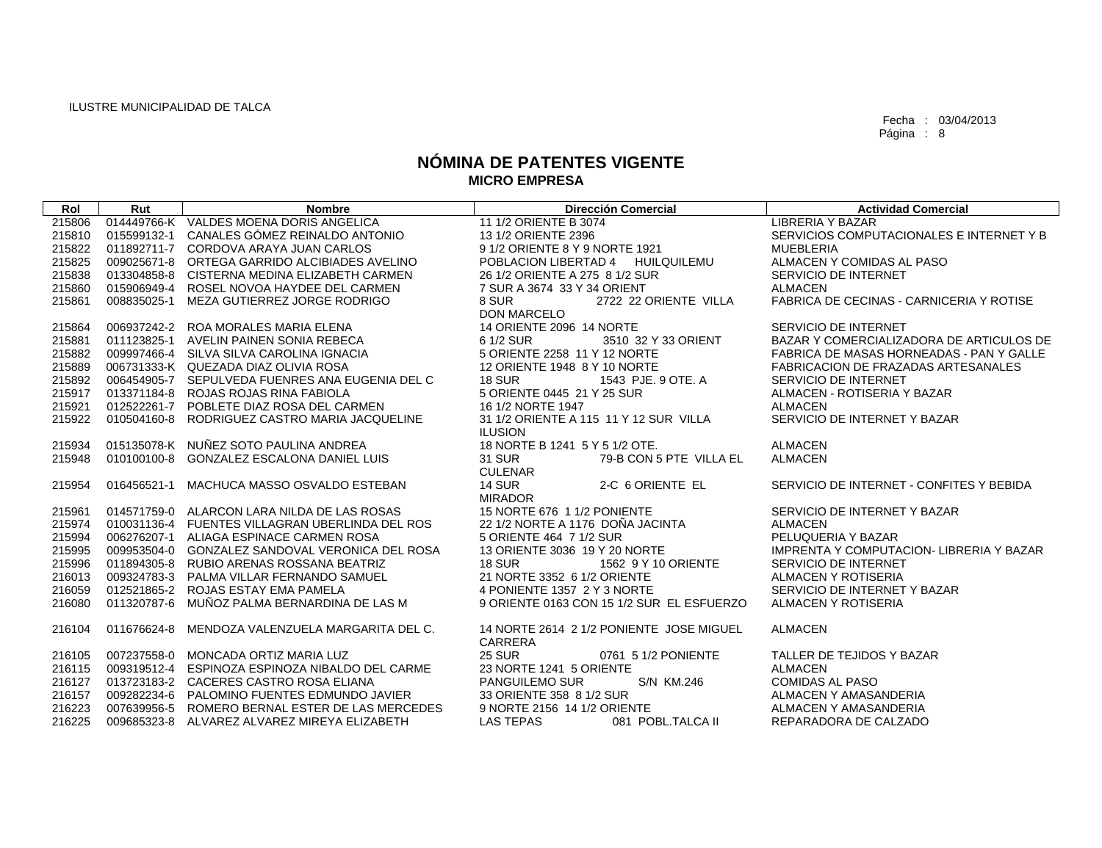| Rol              | Rut         | <b>Nombre</b>                                   | <b>Dirección Comercial</b>                      | <b>Actividad Comercial</b>                      |
|------------------|-------------|-------------------------------------------------|-------------------------------------------------|-------------------------------------------------|
| 215806           |             | 014449766-K VALDES MOENA DORIS ANGELICA         | 11 1/2 ORIENTE B 3074                           | <b>LIBRERIA Y BAZAR</b>                         |
| 215810           |             | 015599132-1 CANALES GÓMEZ REINALDO ANTONIO      | 13 1/2 ORIENTE 2396                             | SERVICIOS COMPUTACIONALES E INTERNET Y B        |
| 215822           |             | 011892711-7 CORDOVA ARAYA JUAN CARLOS           | 9 1/2 ORIENTE 8 Y 9 NORTE 1921                  | <b>MUEBLERIA</b>                                |
| 215825           |             | 009025671-8 ORTEGA GARRIDO ALCIBIADES AVELINO   | POBLACION LIBERTAD 4 HUILQUILEMU                | ALMACEN Y COMIDAS AL PASO                       |
| 215838           |             | 013304858-8 CISTERNA MEDINA ELIZABETH CARMEN    | 26 1/2 ORIENTE A 275 8 1/2 SUR                  | SERVICIO DE INTERNET                            |
| 215860           |             | 015906949-4 ROSEL NOVOA HAYDEE DEL CARMEN       | 7 SUR A 3674 33 Y 34 ORIENT                     | <b>ALMACEN</b>                                  |
| 215861           |             | 008835025-1 MEZA GUTIERREZ JORGE RODRIGO        | 8 SUR<br>2722 22 ORIENTE VILLA                  | FABRICA DE CECINAS - CARNICERIA Y ROTISE        |
|                  |             |                                                 | <b>DON MARCELO</b>                              |                                                 |
| 215864           |             | 006937242-2 ROA MORALES MARIA ELENA             | 14 ORIENTE 2096 14 NORTE                        | SERVICIO DE INTERNET                            |
| 215881           |             | 011123825-1 AVELIN PAINEN SONIA REBECA          | 3510 32 Y 33 ORIENT<br>6 1/2 SUR                | BAZAR Y COMERCIALIZADORA DE ARTICULOS DE        |
| 215882           |             | 009997466-4 SILVA SILVA CAROLINA IGNACIA        | 5 ORIENTE 2258 11 Y 12 NORTE                    | FABRICA DE MASAS HORNEADAS - PAN Y GALLE        |
| 215889           |             | 006731333-K QUEZADA DIAZ OLIVIA ROSA            | 12 ORIENTE 1948 8 Y 10 NORTE                    | <b>FABRICACION DE FRAZADAS ARTESANALES</b>      |
| 215892           |             | 006454905-7 SEPULVEDA FUENRES ANA EUGENIA DEL C | <b>18 SUR</b><br>1543 PJE. 9 OTE. A             | SERVICIO DE INTERNET                            |
| 215917           |             | 013371184-8 ROJAS ROJAS RINA FABIOLA            | 5 ORIENTE 0445 21 Y 25 SUR                      | ALMACEN - ROTISERIA Y BAZAR                     |
| 215921           |             | 012522261-7 POBLETE DIAZ ROSA DEL CARMEN        | 16 1/2 NORTE 1947                               | <b>ALMACEN</b>                                  |
| 215922           |             | 010504160-8 RODRIGUEZ CASTRO MARIA JACQUELINE   | 31 1/2 ORIENTE A 115 11 Y 12 SUR VILLA          | SERVICIO DE INTERNET Y BAZAR                    |
|                  |             |                                                 | <b>ILUSION</b>                                  |                                                 |
| 215934           |             | 015135078-K NUÑEZ SOTO PAULINA ANDREA           | 18 NORTE B 1241 5 Y 5 1/2 OTE.                  | <b>ALMACEN</b>                                  |
| 215948           |             | 010100100-8 GONZALEZ ESCALONA DANIEL LUIS       | <b>31 SUR</b><br>79-B CON 5 PTE VILLA EL        | <b>ALMACEN</b>                                  |
|                  |             |                                                 | <b>CULENAR</b>                                  |                                                 |
| 215954           | 016456521-1 | MACHUCA MASSO OSVALDO ESTEBAN                   | <b>14 SUR</b><br>2-C 6 ORIENTE EL               | SERVICIO DE INTERNET - CONFITES Y BEBIDA        |
|                  |             |                                                 | <b>MIRADOR</b>                                  |                                                 |
| 215961           |             | 014571759-0 ALARCON LARA NILDA DE LAS ROSAS     | 15 NORTE 676 1 1/2 PONIENTE                     | SERVICIO DE INTERNET Y BAZAR                    |
| 215974           |             | 010031136-4 FUENTES VILLAGRAN UBERLINDA DEL ROS | 22 1/2 NORTE A 1176 DOÑA JACINTA                | <b>ALMACEN</b>                                  |
| 215994           |             | 006276207-1 ALIAGA ESPINACE CARMEN ROSA         | 5 ORIENTE 464 7 1/2 SUR                         | PELUQUERIA Y BAZAR                              |
| 215995           |             | 009953504-0 GONZALEZ SANDOVAL VERONICA DEL ROSA | 13 ORIENTE 3036 19 Y 20 NORTE                   | <b>IMPRENTA Y COMPUTACION- LIBRERIA Y BAZAR</b> |
| 215996           |             | 011894305-8 RUBIO ARENAS ROSSANA BEATRIZ        | <b>18 SUR</b><br>1562 9 Y 10 ORIENTE            | SERVICIO DE INTERNET                            |
| 216013           |             | 009324783-3 PALMA VILLAR FERNANDO SAMUEL        | 21 NORTE 3352 6 1/2 ORIENTE                     | ALMACEN Y ROTISERIA                             |
| 216059           |             | 012521865-2 ROJAS ESTAY EMA PAMELA              | 4 PONIENTE 1357 2 Y 3 NORTE                     | SERVICIO DE INTERNET Y BAZAR                    |
| 216080           |             | 011320787-6 MUÑOZ PALMA BERNARDINA DE LAS M     | 9 ORIENTE 0163 CON 15 1/2 SUR EL ESFUERZO       | ALMACEN Y ROTISERIA                             |
|                  |             |                                                 |                                                 |                                                 |
| 216104           | 011676624-8 | MENDOZA VALENZUELA MARGARITA DEL C.             | 14 NORTE 2614 2 1/2 PONIENTE JOSE MIGUEL        | <b>ALMACEN</b>                                  |
|                  |             | 007237558-0 MONCADA ORTIZ MARIA LUZ             | CARRERA<br><b>25 SUR</b><br>0761 5 1/2 PONIENTE | TALLER DE TEJIDOS Y BAZAR                       |
| 216105<br>216115 |             | 009319512-4 ESPINOZA ESPINOZA NIBALDO DEL CARME | 23 NORTE 1241 5 ORIENTE                         | <b>ALMACEN</b>                                  |
| 216127           |             | 013723183-2 CACERES CASTRO ROSA ELIANA          | PANGUILEMO SUR<br>S/N KM.246                    | <b>COMIDAS AL PASO</b>                          |
| 216157           |             | 009282234-6 PALOMINO FUENTES EDMUNDO JAVIER     | 33 ORIENTE 358 8 1/2 SUR                        | ALMACEN Y AMASANDERIA                           |
| 216223           |             | 007639956-5 ROMERO BERNAL ESTER DE LAS MERCEDES | 9 NORTE 2156 14 1/2 ORIENTE                     | ALMACEN Y AMASANDERIA                           |
| 216225           |             | 009685323-8 ALVAREZ ALVAREZ MIREYA ELIZABETH    | 081 POBL.TALCA II<br>LAS TEPAS                  | REPARADORA DE CALZADO                           |
|                  |             |                                                 |                                                 |                                                 |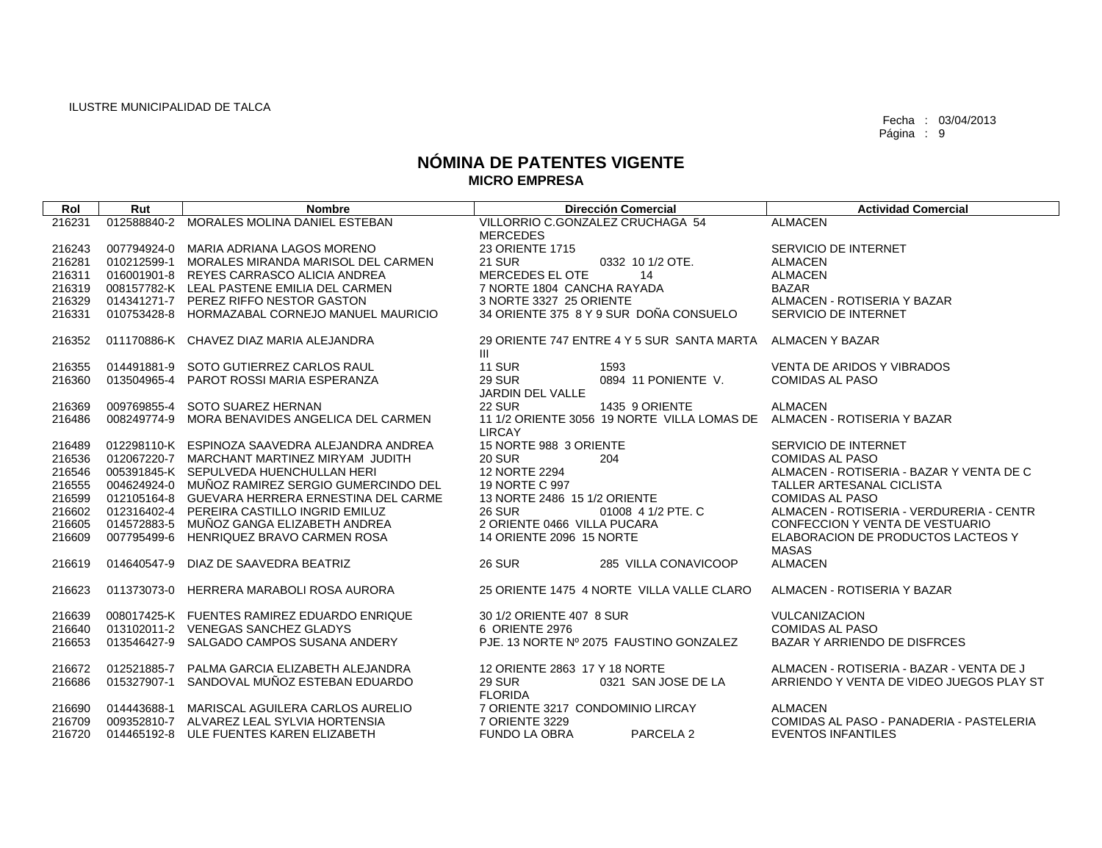| Rol    | Rut         | <b>Nombre</b>                                   | <b>Dirección Comercial</b>                                                   | <b>Actividad Comercial</b>               |
|--------|-------------|-------------------------------------------------|------------------------------------------------------------------------------|------------------------------------------|
| 216231 | 012588840-2 | MORALES MOLINA DANIEL ESTEBAN                   | VILLORRIO C.GONZALEZ CRUCHAGA 54<br><b>MERCEDES</b>                          | <b>ALMACEN</b>                           |
| 216243 |             | 007794924-0 MARIA ADRIANA LAGOS MORENO          | 23 ORIENTE 1715                                                              | SERVICIO DE INTERNET                     |
| 216281 |             | 010212599-1 MORALES MIRANDA MARISOL DEL CARMEN  | <b>21 SUR</b><br>0332 10 1/2 OTE.                                            | <b>ALMACEN</b>                           |
| 216311 |             | 016001901-8 REYES CARRASCO ALICIA ANDREA        | MERCEDES EL OTE<br>14                                                        | <b>ALMACEN</b>                           |
| 216319 |             | 008157782-K LEAL PASTENE EMILIA DEL CARMEN      | 7 NORTE 1804 CANCHA RAYADA                                                   | <b>BAZAR</b>                             |
| 216329 |             | 014341271-7 PEREZ RIFFO NESTOR GASTON           | 3 NORTE 3327 25 ORIENTE                                                      | ALMACEN - ROTISERIA Y BAZAR              |
| 216331 |             | 010753428-8 HORMAZABAL CORNEJO MANUEL MAURICIO  | 34 ORIENTE 375 8 Y 9 SUR DOÑA CONSUELO                                       | SERVICIO DE INTERNET                     |
| 216352 |             | 011170886-K CHAVEZ DIAZ MARIA ALEJANDRA         | 29 ORIENTE 747 ENTRE 4 Y 5 SUR SANTA MARTA ALMACEN Y BAZAR<br>$\mathbf{III}$ |                                          |
| 216355 |             | 014491881-9 SOTO GUTIERREZ CARLOS RAUL          | <b>11 SUR</b><br>1593                                                        | VENTA DE ARIDOS Y VIBRADOS               |
| 216360 |             | 013504965-4 PAROT ROSSI MARIA ESPERANZA         | <b>29 SUR</b><br>0894 11 PONIENTE V.                                         | <b>COMIDAS AL PASO</b>                   |
|        |             |                                                 | JARDIN DEL VALLE                                                             |                                          |
| 216369 |             | 009769855-4 SOTO SUAREZ HERNAN                  | <b>22 SUR</b><br>1435 9 ORIENTE                                              | <b>ALMACEN</b>                           |
| 216486 |             | 008249774-9 MORA BENAVIDES ANGELICA DEL CARMEN  | 11 1/2 ORIENTE 3056 19 NORTE VILLA LOMAS DE<br><b>LIRCAY</b>                 | ALMACEN - ROTISERIA Y BAZAR              |
| 216489 |             | 012298110-K ESPINOZA SAAVEDRA ALEJANDRA ANDREA  | 15 NORTE 988 3 ORIENTE                                                       | SERVICIO DE INTERNET                     |
| 216536 |             | 012067220-7 MARCHANT MARTINEZ MIRYAM JUDITH     | 204<br><b>20 SUR</b>                                                         | <b>COMIDAS AL PASO</b>                   |
| 216546 |             | 005391845-K SEPULVEDA HUENCHULLAN HERI          | 12 NORTE 2294                                                                | ALMACEN - ROTISERIA - BAZAR Y VENTA DE C |
| 216555 |             | 004624924-0 MUÑOZ RAMIREZ SERGIO GUMERCINDO DEL | 19 NORTE C 997                                                               | TALLER ARTESANAL CICLISTA                |
| 216599 |             | 012105164-8 GUEVARA HERRERA ERNESTINA DEL CARME | 13 NORTE 2486 15 1/2 ORIENTE                                                 | <b>COMIDAS AL PASO</b>                   |
| 216602 |             | 012316402-4 PEREIRA CASTILLO INGRID EMILUZ      | <b>26 SUR</b><br>01008 4 1/2 PTE. C                                          | ALMACEN - ROTISERIA - VERDURERIA - CENTR |
| 216605 |             | 014572883-5 MUÑOZ GANGA ELIZABETH ANDREA        | 2 ORIENTE 0466 VILLA PUCARA                                                  | CONFECCION Y VENTA DE VESTUARIO          |
| 216609 |             | 007795499-6 HENRIQUEZ BRAVO CARMEN ROSA         | 14 ORIENTE 2096 15 NORTE                                                     | ELABORACION DE PRODUCTOS LACTEOS Y       |
|        |             |                                                 |                                                                              | <b>MASAS</b>                             |
| 216619 | 014640547-9 | DIAZ DE SAAVEDRA BEATRIZ                        | <b>26 SUR</b><br>285 VILLA CONAVICOOP                                        | <b>ALMACEN</b>                           |
| 216623 |             | 011373073-0 HERRERA MARABOLI ROSA AURORA        | 25 ORIENTE 1475 4 NORTE VILLA VALLE CLARO                                    | ALMACEN - ROTISERIA Y BAZAR              |
| 216639 |             | 008017425-K FUENTES RAMIREZ EDUARDO ENRIQUE     | 30 1/2 ORIENTE 407 8 SUR                                                     | <b>VULCANIZACION</b>                     |
| 216640 |             | 013102011-2 VENEGAS SANCHEZ GLADYS              | 6 ORIENTE 2976                                                               | <b>COMIDAS AL PASO</b>                   |
| 216653 |             | 013546427-9 SALGADO CAMPOS SUSANA ANDERY        | PJE. 13 NORTE Nº 2075 FAUSTINO GONZALEZ                                      | BAZAR Y ARRIENDO DE DISFRCES             |
| 216672 |             | 012521885-7 PALMA GARCIA ELIZABETH ALEJANDRA    | 12 ORIENTE 2863 17 Y 18 NORTE                                                | ALMACEN - ROTISERIA - BAZAR - VENTA DE J |
| 216686 |             | 015327907-1 SANDOVAL MUÑOZ ESTEBAN EDUARDO      | <b>29 SUR</b><br>0321 SAN JOSE DE LA<br><b>FLORIDA</b>                       | ARRIENDO Y VENTA DE VIDEO JUEGOS PLAY ST |
| 216690 |             | 014443688-1 MARISCAL AGUILERA CARLOS AURELIO    | 7 ORIENTE 3217 CONDOMINIO LIRCAY                                             | <b>ALMACEN</b>                           |
| 216709 |             | 009352810-7 ALVAREZ LEAL SYLVIA HORTENSIA       | 7 ORIENTE 3229                                                               | COMIDAS AL PASO - PANADERIA - PASTELERIA |
| 216720 |             | 014465192-8 ULE FUENTES KAREN ELIZABETH         | <b>FUNDO LA OBRA</b><br>PARCELA 2                                            | <b>EVENTOS INFANTILES</b>                |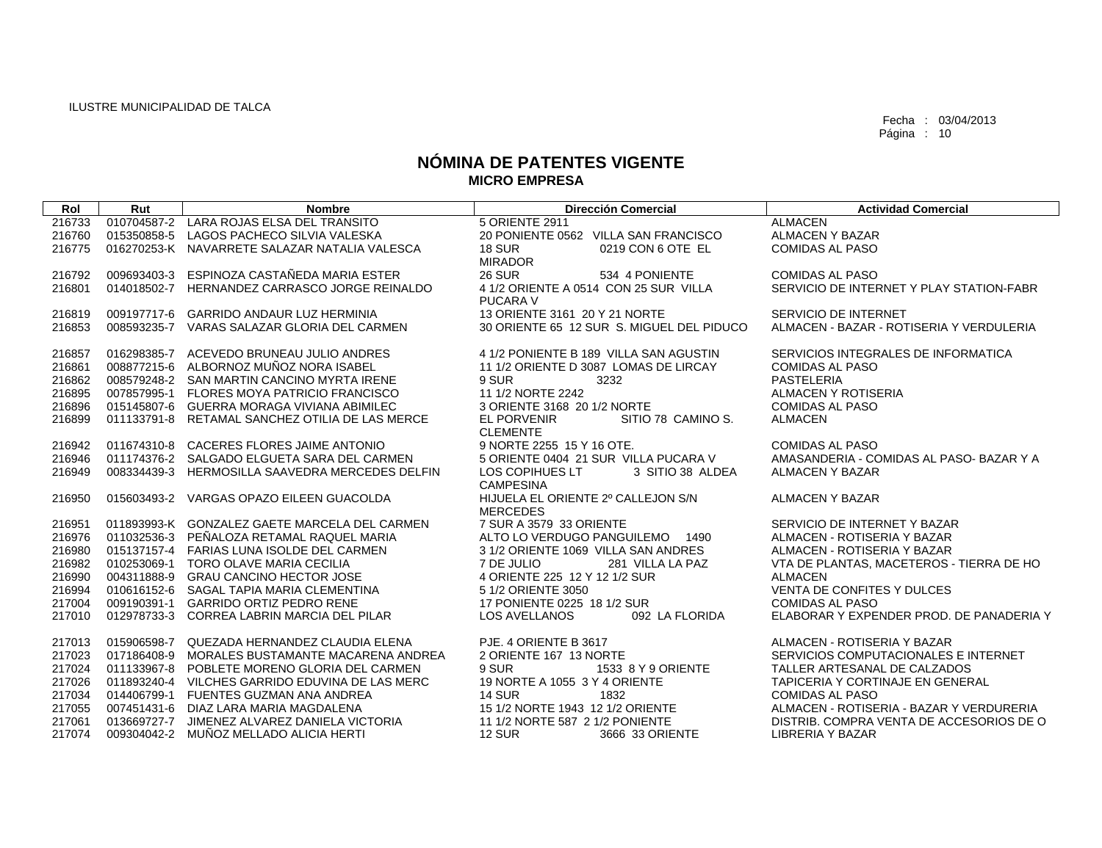| Rol    | Rut         | <b>Nombre</b>                                   | <b>Dirección Comercial</b>                | <b>Actividad Comercial</b>               |
|--------|-------------|-------------------------------------------------|-------------------------------------------|------------------------------------------|
| 216733 |             | 010704587-2 LARA ROJAS ELSA DEL TRANSITO        | 5 ORIENTE 2911                            | <b>ALMACEN</b>                           |
| 216760 |             | 015350858-5 LAGOS PACHECO SILVIA VALESKA        | 20 PONIENTE 0562 VILLA SAN FRANCISCO      | <b>ALMACEN Y BAZAR</b>                   |
| 216775 |             | 016270253-K NAVARRETE SALAZAR NATALIA VALESCA   | <b>18 SUR</b><br>0219 CON 6 OTE EL        | <b>COMIDAS AL PASO</b>                   |
|        |             |                                                 | <b>MIRADOR</b>                            |                                          |
| 216792 | 009693403-3 | ESPINOZA CASTAÑEDA MARIA ESTER                  | <b>26 SUR</b><br>534 4 PONIENTE           | <b>COMIDAS AL PASO</b>                   |
| 216801 |             | 014018502-7 HERNANDEZ CARRASCO JORGE REINALDO   | 4 1/2 ORIENTE A 0514 CON 25 SUR VILLA     | SERVICIO DE INTERNET Y PLAY STATION-FABR |
|        |             |                                                 | <b>PUCARA V</b>                           |                                          |
| 216819 |             | 009197717-6 GARRIDO ANDAUR LUZ HERMINIA         | 13 ORIENTE 3161 20 Y 21 NORTE             | SERVICIO DE INTERNET                     |
| 216853 |             | 008593235-7 VARAS SALAZAR GLORIA DEL CARMEN     | 30 ORIENTE 65 12 SUR S. MIGUEL DEL PIDUCO | ALMACEN - BAZAR - ROTISERIA Y VERDULERIA |
| 216857 |             | 016298385-7 ACEVEDO BRUNEAU JULIO ANDRES        | 4 1/2 PONIENTE B 189 VILLA SAN AGUSTIN    | SERVICIOS INTEGRALES DE INFORMATICA      |
| 216861 |             | 008877215-6 ALBORNOZ MUÑOZ NORA ISABEL          | 11 1/2 ORIENTE D 3087 LOMAS DE LIRCAY     | <b>COMIDAS AL PASO</b>                   |
| 216862 |             | 008579248-2 SAN MARTIN CANCINO MYRTA IRENE      | 9 SUR<br>3232                             | <b>PASTELERIA</b>                        |
| 216895 |             | 007857995-1 FLORES MOYA PATRICIO FRANCISCO      | 11 1/2 NORTE 2242                         | ALMACEN Y ROTISERIA                      |
| 216896 |             | 015145807-6 GUERRA MORAGA VIVIANA ABIMILEC      | 3 ORIENTE 3168 20 1/2 NORTE               | <b>COMIDAS AL PASO</b>                   |
| 216899 |             | 011133791-8 RETAMAL SANCHEZ OTILIA DE LAS MERCE | EL PORVENIR<br>SITIO 78 CAMINO S.         | <b>ALMACEN</b>                           |
|        |             |                                                 | <b>CLEMENTE</b>                           |                                          |
| 216942 |             | 011674310-8 CACERES FLORES JAIME ANTONIO        | 9 NORTE 2255 15 Y 16 OTE.                 | <b>COMIDAS AL PASO</b>                   |
| 216946 |             | 011174376-2 SALGADO ELGUETA SARA DEL CARMEN     | 5 ORIENTE 0404 21 SUR VILLA PUCARA V      | AMASANDERIA - COMIDAS AL PASO-BAZAR Y A  |
| 216949 |             | 008334439-3 HERMOSILLA SAAVEDRA MERCEDES DELFIN | 3 SITIO 38 ALDEA<br>LOS COPIHUES LT       | ALMACEN Y BAZAR                          |
|        |             |                                                 | <b>CAMPESINA</b>                          |                                          |
| 216950 |             | 015603493-2 VARGAS OPAZO EILEEN GUACOLDA        | HIJUELA EL ORIENTE 2º CALLEJON S/N        | ALMACEN Y BAZAR                          |
|        |             |                                                 | <b>MERCEDES</b>                           |                                          |
| 216951 |             | 011893993-K GONZALEZ GAETE MARCELA DEL CARMEN   | 7 SUR A 3579 33 ORIENTE                   | SERVICIO DE INTERNET Y BAZAR             |
| 216976 |             | 011032536-3 PEÑALOZA RETAMAL RAQUEL MARIA       | ALTO LO VERDUGO PANGUILEMO 1490           | ALMACEN - ROTISERIA Y BAZAR              |
| 216980 |             | 015137157-4 FARIAS LUNA ISOLDE DEL CARMEN       | 3 1/2 ORIENTE 1069 VILLA SAN ANDRES       | ALMACEN - ROTISERIA Y BAZAR              |
| 216982 |             | 010253069-1 TORO OLAVE MARIA CECILIA            | 7 DE JULIO<br>281 VILLA LA PAZ            | VTA DE PLANTAS, MACETEROS - TIERRA DE HO |
| 216990 |             | 004311888-9 GRAU CANCINO HECTOR JOSE            | 4 ORIENTE 225 12 Y 12 1/2 SUR             | <b>ALMACEN</b>                           |
| 216994 |             | 010616152-6 SAGAL TAPIA MARIA CLEMENTINA        | 5 1/2 ORIENTE 3050                        | VENTA DE CONFITES Y DULCES               |
| 217004 |             | 009190391-1 GARRIDO ORTIZ PEDRO RENE            | 17 PONIENTE 0225 18 1/2 SUR               | <b>COMIDAS AL PASO</b>                   |
| 217010 |             | 012978733-3 CORREA LABRIN MARCIA DEL PILAR      | <b>LOS AVELLANOS</b><br>092 LA FLORIDA    | ELABORAR Y EXPENDER PROD. DE PANADERIA Y |
| 217013 |             | 015906598-7 QUEZADA HERNANDEZ CLAUDIA ELENA     | PJE. 4 ORIENTE B 3617                     | ALMACEN - ROTISERIA Y BAZAR              |
| 217023 |             | 017186408-9 MORALES BUSTAMANTE MACARENA ANDREA  | 2 ORIENTE 167 13 NORTE                    | SERVICIOS COMPUTACIONALES E INTERNET     |
| 217024 |             | 011133967-8 POBLETE MORENO GLORIA DEL CARMEN    | 9 SUR<br>1533 8 Y 9 ORIENTE               | TALLER ARTESANAL DE CALZADOS             |
| 217026 |             | 011893240-4 VILCHES GARRIDO EDUVINA DE LAS MERC | 19 NORTE A 1055 3 Y 4 ORIENTE             | TAPICERIA Y CORTINAJE EN GENERAL         |
| 217034 |             | 014406799-1 FUENTES GUZMAN ANA ANDREA           | <b>14 SUR</b><br>1832                     | <b>COMIDAS AL PASO</b>                   |
| 217055 |             | 007451431-6 DIAZ LARA MARIA MAGDALENA           | 15 1/2 NORTE 1943 12 1/2 ORIENTE          | ALMACEN - ROTISERIA - BAZAR Y VERDURERIA |
| 217061 |             | 013669727-7 JIMENEZ ALVAREZ DANIELA VICTORIA    | 11 1/2 NORTE 587 2 1/2 PONIENTE           | DISTRIB. COMPRA VENTA DE ACCESORIOS DE O |
| 217074 |             | 009304042-2 MUÑOZ MELLADO ALICIA HERTI          | <b>12 SUR</b><br>3666 33 ORIENTE          | <b>LIBRERIA Y BAZAR</b>                  |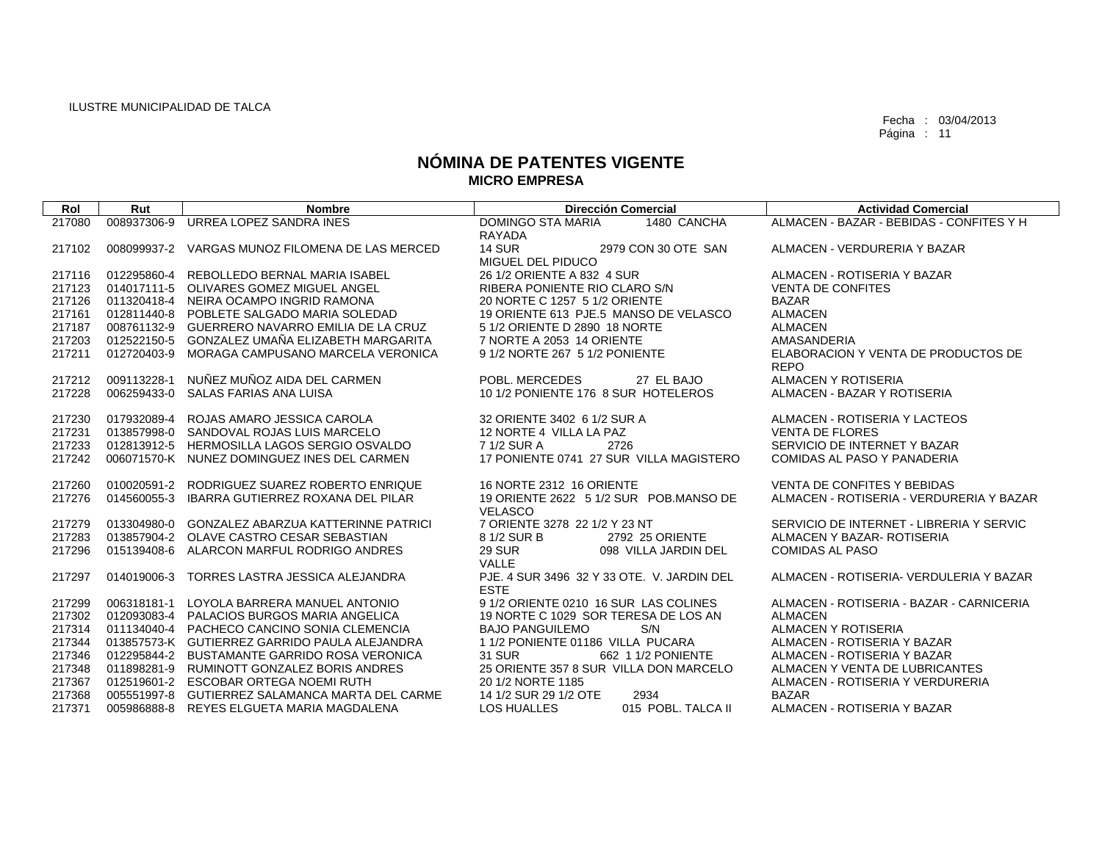| Rol    | Rut         | <b>Nombre</b>                                   | <b>Dirección Comercial</b>                                | <b>Actividad Comercial</b>                         |
|--------|-------------|-------------------------------------------------|-----------------------------------------------------------|----------------------------------------------------|
| 217080 | 008937306-9 | URREA LOPEZ SANDRA INES                         | DOMINGO STA MARIA<br>1480 CANCHA                          | ALMACEN - BAZAR - BEBIDAS - CONFITES Y H           |
|        |             |                                                 | RAYADA                                                    |                                                    |
| 217102 |             | 008099937-2 VARGAS MUNOZ FILOMENA DE LAS MERCED | <b>14 SUR</b><br>2979 CON 30 OTE SAN<br>MIGUEL DEL PIDUCO | ALMACEN - VERDURERIA Y BAZAR                       |
| 217116 |             | 012295860-4 REBOLLEDO BERNAL MARIA ISABEL       | 26 1/2 ORIENTE A 832 4 SUR                                | ALMACEN - ROTISERIA Y BAZAR                        |
| 217123 |             | 014017111-5 OLIVARES GOMEZ MIGUEL ANGEL         | RIBERA PONIENTE RIO CLARO S/N                             | <b>VENTA DE CONFITES</b>                           |
| 217126 |             | 011320418-4 NEIRA OCAMPO INGRID RAMONA          | 20 NORTE C 1257 5 1/2 ORIENTE                             | <b>BAZAR</b>                                       |
| 217161 |             | 012811440-8 POBLETE SALGADO MARIA SOLEDAD       | 19 ORIENTE 613 PJE.5 MANSO DE VELASCO                     | <b>ALMACEN</b>                                     |
| 217187 |             | 008761132-9 GUERRERO NAVARRO EMILIA DE LA CRUZ  | 5 1/2 ORIENTE D 2890 18 NORTE                             | <b>ALMACEN</b>                                     |
| 217203 |             | 012522150-5 GONZALEZ UMAÑA ELIZABETH MARGARITA  | 7 NORTE A 2053 14 ORIENTE                                 | AMASANDERIA                                        |
| 217211 | 012720403-9 | MORAGA CAMPUSANO MARCELA VERONICA               | 9 1/2 NORTE 267 5 1/2 PONIENTE                            | ELABORACION Y VENTA DE PRODUCTOS DE<br><b>REPO</b> |
| 217212 | 009113228-1 | NUÑEZ MUÑOZ AIDA DEL CARMEN                     | POBL. MERCEDES<br>27 EL BAJO                              | ALMACEN Y ROTISERIA                                |
| 217228 | 006259433-0 | SALAS FARIAS ANA LUISA                          | 10 1/2 PONIENTE 176 8 SUR HOTELEROS                       | ALMACEN - BAZAR Y ROTISERIA                        |
| 217230 |             | 017932089-4 ROJAS AMARO JESSICA CAROLA          | 32 ORIENTE 3402 6 1/2 SUR A                               | ALMACEN - ROTISERIA Y LACTEOS                      |
| 217231 |             | 013857998-0 SANDOVAL ROJAS LUIS MARCELO         | 12 NORTE 4 VILLA LA PAZ                                   | <b>VENTA DE FLORES</b>                             |
| 217233 |             | 012813912-5 HERMOSILLA LAGOS SERGIO OSVALDO     | 7 1/2 SUR A<br>2726                                       | SERVICIO DE INTERNET Y BAZAR                       |
| 217242 |             | 006071570-K NUNEZ DOMINGUEZ INES DEL CARMEN     | 17 PONIENTE 0741 27 SUR VILLA MAGISTERO                   | COMIDAS AL PASO Y PANADERIA                        |
| 217260 |             | 010020591-2 RODRIGUEZ SUAREZ ROBERTO ENRIQUE    | 16 NORTE 2312 16 ORIENTE                                  | VENTA DE CONFITES Y BEBIDAS                        |
| 217276 | 014560055-3 | IBARRA GUTIERREZ ROXANA DEL PILAR               | 19 ORIENTE 2622 5 1/2 SUR POB MANSO DE<br><b>VELASCO</b>  | ALMACEN - ROTISERIA - VERDURERIA Y BAZAR           |
| 217279 |             | 013304980-0 GONZALEZ ABARZUA KATTERINNE PATRICI | 7 ORIENTE 3278 22 1/2 Y 23 NT                             | SERVICIO DE INTERNET - LIBRERIA Y SERVIC           |
| 217283 |             | 013857904-2 OLAVE CASTRO CESAR SEBASTIAN        | 2792 25 ORIENTE<br>8 1/2 SUR B                            | ALMACEN Y BAZAR- ROTISERIA                         |
| 217296 |             | 015139408-6 ALARCON MARFUL RODRIGO ANDRES       | <b>29 SUR</b><br>098 VILLA JARDIN DEL<br>VALLE            | <b>COMIDAS AL PASO</b>                             |
| 217297 |             | 014019006-3 TORRES LASTRA JESSICA ALEJANDRA     | PJE, 4 SUR 3496 32 Y 33 OTE, V. JARDIN DEL<br><b>ESTE</b> | ALMACEN - ROTISERIA- VERDULERIA Y BAZAR            |
| 217299 | 006318181-1 | LOYOLA BARRERA MANUEL ANTONIO                   | 9 1/2 ORIENTE 0210 16 SUR LAS COLINES                     | ALMACEN - ROTISERIA - BAZAR - CARNICERIA           |
| 217302 |             | 012093083-4 PALACIOS BURGOS MARIA ANGELICA      | 19 NORTE C 1029 SOR TERESA DE LOS AN                      | <b>ALMACEN</b>                                     |
| 217314 |             | 011134040-4 PACHECO CANCINO SONIA CLEMENCIA     | <b>BAJO PANGUILEMO</b><br>S/N                             | <b>ALMACEN Y ROTISERIA</b>                         |
| 217344 |             | 013857573-K GUTIERREZ GARRIDO PAULA ALEJANDRA   | 1 1/2 PONIENTE 01186 VILLA PUCARA                         | ALMACEN - ROTISERIA Y BAZAR                        |
| 217346 |             | 012295844-2 BUSTAMANTE GARRIDO ROSA VERONICA    | <b>31 SUR</b><br>662 1 1/2 PONIENTE                       | ALMACEN - ROTISERIA Y BAZAR                        |
| 217348 |             | 011898281-9 RUMINOTT GONZALEZ BORIS ANDRES      | 25 ORIENTE 357 8 SUR VILLA DON MARCELO                    | ALMACEN Y VENTA DE LUBRICANTES                     |
| 217367 |             | 012519601-2 ESCOBAR ORTEGA NOEMI RUTH           | 20 1/2 NORTE 1185                                         | ALMACEN - ROTISERIA Y VERDURERIA                   |
| 217368 |             | 005551997-8 GUTIERREZ SALAMANCA MARTA DEL CARME | 2934<br>14 1/2 SUR 29 1/2 OTE                             | <b>BAZAR</b>                                       |
| 217371 |             | 005986888-8 REYES ELGUETA MARIA MAGDALENA       | <b>LOS HUALLES</b><br>015 POBL. TALCA II                  | ALMACEN - ROTISERIA Y BAZAR                        |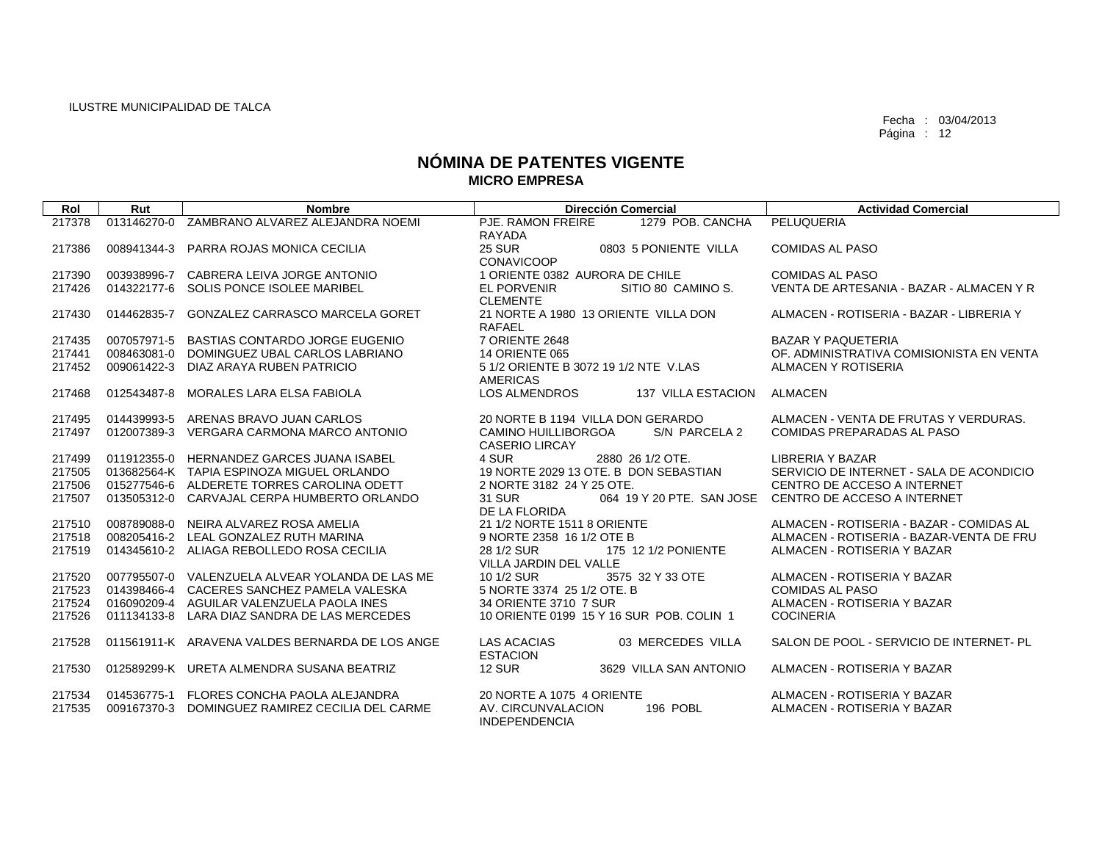| Rol    | Rut         | <b>Nombre</b>                                   | <b>Dirección Comercial</b>                                           | <b>Actividad Comercial</b>               |
|--------|-------------|-------------------------------------------------|----------------------------------------------------------------------|------------------------------------------|
| 217378 | 013146270-0 | ZAMBRANO ALVAREZ ALEJANDRA NOEMI                | PJE. RAMON FREIRE<br>1279 POB, CANCHA<br>RAYADA                      | PELUQUERIA                               |
| 217386 | 008941344-3 | PARRA ROJAS MONICA CECILIA                      | <b>25 SUR</b><br>0803 5 PONIENTE VILLA<br><b>CONAVICOOP</b>          | <b>COMIDAS AL PASO</b>                   |
| 217390 | 003938996-7 | CABRERA LEIVA JORGE ANTONIO                     | 1 ORIENTE 0382 AURORA DE CHILE                                       | <b>COMIDAS AL PASO</b>                   |
| 217426 |             | 014322177-6 SOLIS PONCE ISOLEE MARIBEL          | SITIO 80 CAMINO S.<br><b>EL PORVENIR</b><br><b>CLEMENTE</b>          | VENTA DE ARTESANIA - BAZAR - ALMACEN Y R |
| 217430 | 014462835-7 | <b>GONZALEZ CARRASCO MARCELA GORET</b>          | 21 NORTE A 1980 13 ORIENTE VILLA DON<br><b>RAFAEL</b>                | ALMACEN - ROTISERIA - BAZAR - LIBRERIA Y |
| 217435 | 007057971-5 | <b>BASTIAS CONTARDO JORGE EUGENIO</b>           | 7 ORIENTE 2648                                                       | <b>BAZAR Y PAQUETERIA</b>                |
| 217441 | 008463081-0 | DOMINGUEZ UBAL CARLOS LABRIANO                  | <b>14 ORIENTE 065</b>                                                | OF. ADMINISTRATIVA COMISIONISTA EN VENTA |
| 217452 |             | 009061422-3 DIAZ ARAYA RUBEN PATRICIO           | 5 1/2 ORIENTE B 3072 19 1/2 NTE V.LAS<br><b>AMERICAS</b>             | ALMACEN Y ROTISERIA                      |
| 217468 | 012543487-8 | <b>MORALES LARA ELSA FABIOLA</b>                | <b>LOS ALMENDROS</b><br>137 VILLA ESTACION                           | <b>ALMACEN</b>                           |
| 217495 | 014439993-5 | ARENAS BRAVO JUAN CARLOS                        | 20 NORTE B 1194 VILLA DON GERARDO                                    | ALMACEN - VENTA DE FRUTAS Y VERDURAS.    |
| 217497 |             | 012007389-3 VERGARA CARMONA MARCO ANTONIO       | <b>CAMINO HUILLIBORGOA</b><br>S/N PARCELA 2<br><b>CASERIO LIRCAY</b> | <b>COMIDAS PREPARADAS AL PASO</b>        |
| 217499 | 011912355-0 | <b>HERNANDEZ GARCES JUANA ISABEL</b>            | 4 SUR<br>2880 26 1/2 OTE.                                            | <b>LIBRERIA Y BAZAR</b>                  |
| 217505 |             | 013682564-K TAPIA ESPINOZA MIGUEL ORLANDO       | 19 NORTE 2029 13 OTE. B DON SEBASTIAN                                | SERVICIO DE INTERNET - SALA DE ACONDICIO |
| 217506 |             | 015277546-6 ALDERETE TORRES CAROLINA ODETT      | 2 NORTE 3182 24 Y 25 OTE.                                            | CENTRO DE ACCESO A INTERNET              |
| 217507 |             | 013505312-0 CARVAJAL CERPA HUMBERTO ORLANDO     | 31 SUR<br>064 19 Y 20 PTE. SAN JOSE<br>DE LA FLORIDA                 | CENTRO DE ACCESO A INTERNET              |
| 217510 | 008789088-0 | NEIRA ALVAREZ ROSA AMELIA                       | 21 1/2 NORTE 1511 8 ORIENTE                                          | ALMACEN - ROTISERIA - BAZAR - COMIDAS AL |
| 217518 |             | 008205416-2 LEAL GONZALEZ RUTH MARINA           | 9 NORTE 2358 16 1/2 OTE B                                            | ALMACEN - ROTISERIA - BAZAR-VENTA DE FRU |
| 217519 |             | 014345610-2 ALIAGA REBOLLEDO ROSA CECILIA       | 28 1/2 SUR<br>175 12 1/2 PONIENTE<br>VILLA JARDIN DEL VALLE          | ALMACEN - ROTISERIA Y BAZAR              |
| 217520 |             | 007795507-0 VALENZUELA ALVEAR YOLANDA DE LAS ME | 10 1/2 SUR<br>3575 32 Y 33 OTE                                       | ALMACEN - ROTISERIA Y BAZAR              |
| 217523 |             | 014398466-4 CACERES SANCHEZ PAMELA VALESKA      | 5 NORTE 3374 25 1/2 OTE, B                                           | <b>COMIDAS AL PASO</b>                   |
| 217524 |             | 016090209-4 AGUILAR VALENZUELA PAOLA INES       | 34 ORIENTE 3710 7 SUR                                                | ALMACEN - ROTISERIA Y BAZAR              |
| 217526 | 011134133-8 | LARA DIAZ SANDRA DE LAS MERCEDES                | 10 ORIENTE 0199 15 Y 16 SUR POB, COLIN 1                             | <b>COCINERIA</b>                         |
| 217528 |             | 011561911-K ARAVENA VALDES BERNARDA DE LOS ANGE | <b>LAS ACACIAS</b><br>03 MERCEDES VILLA<br><b>ESTACION</b>           | SALON DE POOL - SERVICIO DE INTERNET- PL |
| 217530 |             | 012589299-K URETA ALMENDRA SUSANA BEATRIZ       | <b>12 SUR</b><br>3629 VILLA SAN ANTONIO                              | ALMACEN - ROTISERIA Y BAZAR              |
| 217534 |             | 014536775-1 FLORES CONCHA PAOLA ALEJANDRA       | 20 NORTE A 1075 4 ORIENTE                                            | ALMACEN - ROTISERIA Y BAZAR              |
| 217535 | 009167370-3 | DOMINGUEZ RAMIREZ CECILIA DEL CARME             | AV. CIRCUNVALACION<br>196 POBL<br><b>INDEPENDENCIA</b>               | ALMACEN - ROTISERIA Y BAZAR              |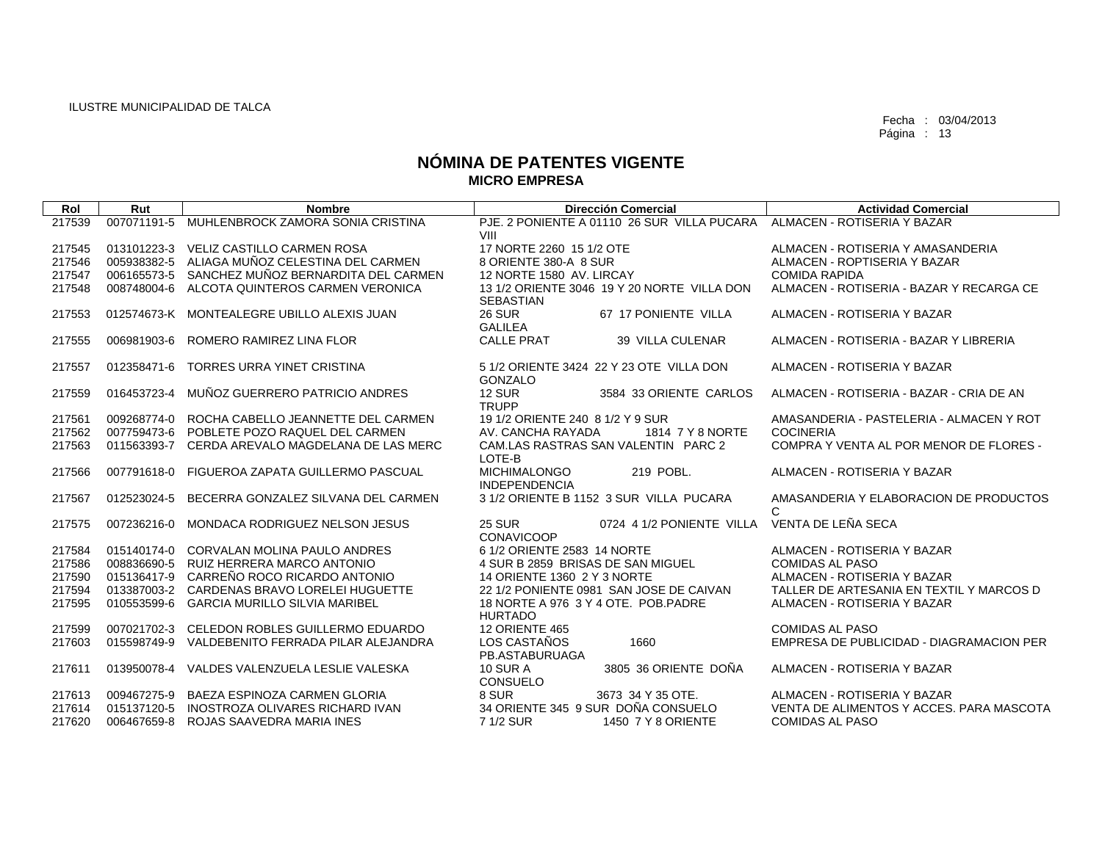| Rol    | Rut         | <b>Nombre</b>                                   | <b>Dirección Comercial</b>                                      | <b>Actividad Comercial</b>                  |
|--------|-------------|-------------------------------------------------|-----------------------------------------------------------------|---------------------------------------------|
| 217539 |             | 007071191-5 MUHLENBROCK ZAMORA SONIA CRISTINA   | PJE, 2 PONIENTE A 01110 26 SUR VILLA PUCARA                     | ALMACEN - ROTISERIA Y BAZAR                 |
|        |             |                                                 | VIII                                                            |                                             |
| 217545 |             | 013101223-3 VELIZ CASTILLO CARMEN ROSA          | 17 NORTE 2260 15 1/2 OTE                                        | ALMACEN - ROTISERIA Y AMASANDERIA           |
| 217546 |             | 005938382-5 ALIAGA MUÑOZ CELESTINA DEL CARMEN   | 8 ORIENTE 380-A 8 SUR                                           | ALMACEN - ROPTISERIA Y BAZAR                |
| 217547 |             | 006165573-5 SANCHEZ MUÑOZ BERNARDITA DEL CARMEN | 12 NORTE 1580 AV. LIRCAY                                        | <b>COMIDA RAPIDA</b>                        |
| 217548 | 008748004-6 | ALCOTA QUINTEROS CARMEN VERONICA                | 13 1/2 ORIENTE 3046 19 Y 20 NORTE VILLA DON<br><b>SEBASTIAN</b> | ALMACEN - ROTISERIA - BAZAR Y RECARGA CE    |
| 217553 |             | 012574673-K MONTEALEGRE UBILLO ALEXIS JUAN      | <b>26 SUR</b><br>67 17 PONIENTE VILLA<br><b>GALILEA</b>         | ALMACEN - ROTISERIA Y BAZAR                 |
| 217555 | 006981903-6 | ROMERO RAMIREZ LINA FLOR                        | <b>CALLE PRAT</b><br>39 VILLA CULENAR                           | ALMACEN - ROTISERIA - BAZAR Y LIBRERIA      |
| 217557 | 012358471-6 | TORRES URRA YINET CRISTINA                      | 5 1/2 ORIENTE 3424 22 Y 23 OTE VILLA DON<br>GONZALO             | ALMACEN - ROTISERIA Y BAZAR                 |
| 217559 | 016453723-4 | MUÑOZ GUERRERO PATRICIO ANDRES                  | <b>12 SUR</b><br>3584 33 ORIENTE CARLOS<br><b>TRUPP</b>         | ALMACEN - ROTISERIA - BAZAR - CRIA DE AN    |
| 217561 |             | 009268774-0 ROCHA CABELLO JEANNETTE DEL CARMEN  | 19 1/2 ORIENTE 240 8 1/2 Y 9 SUR                                | AMASANDERIA - PASTELERIA - ALMACEN Y ROT    |
| 217562 |             | 007759473-6 POBLETE POZO RAQUEL DEL CARMEN      | AV. CANCHA RAYADA<br>1814 7 Y 8 NORTE                           | <b>COCINERIA</b>                            |
| 217563 |             | 011563393-7 CERDA AREVALO MAGDELANA DE LAS MERC | CAM.LAS RASTRAS SAN VALENTIN PARC 2<br>LOTE-B                   | COMPRA Y VENTA AL POR MENOR DE FLORES -     |
| 217566 | 007791618-0 | FIGUEROA ZAPATA GUILLERMO PASCUAL               | <b>MICHIMALONGO</b><br>219 POBL.<br><b>INDEPENDENCIA</b>        | ALMACEN - ROTISERIA Y BAZAR                 |
| 217567 | 012523024-5 | BECERRA GONZALEZ SILVANA DEL CARMEN             | 3 1/2 ORIENTE B 1152 3 SUR VILLA PUCARA                         | AMASANDERIA Y ELABORACION DE PRODUCTOS<br>C |
| 217575 | 007236216-0 | MONDACA RODRIGUEZ NELSON JESUS                  | <b>25 SUR</b><br>0724 4 1/2 PONIENTE VILLA<br><b>CONAVICOOP</b> | VENTA DE LEÑA SECA                          |
| 217584 |             | 015140174-0 CORVALAN MOLINA PAULO ANDRES        | 6 1/2 ORIENTE 2583 14 NORTE                                     | ALMACEN - ROTISERIA Y BAZAR                 |
| 217586 |             | 008836690-5 RUIZ HERRERA MARCO ANTONIO          | 4 SUR B 2859 BRISAS DE SAN MIGUEL                               | <b>COMIDAS AL PASO</b>                      |
| 217590 |             | 015136417-9 CARREÑO ROCO RICARDO ANTONIO        | 14 ORIENTE 1360 2 Y 3 NORTE                                     | ALMACEN - ROTISERIA Y BAZAR                 |
| 217594 |             | 013387003-2 CARDENAS BRAVO LORELEI HUGUETTE     | 22 1/2 PONIENTE 0981 SAN JOSE DE CAIVAN                         | TALLER DE ARTESANIA EN TEXTIL Y MARCOS D    |
| 217595 | 010553599-6 | <b>GARCIA MURILLO SILVIA MARIBEL</b>            | 18 NORTE A 976 3 Y 4 OTE. POB.PADRE<br><b>HURTADO</b>           | ALMACEN - ROTISERIA Y BAZAR                 |
| 217599 |             | 007021702-3 CELEDON ROBLES GUILLERMO EDUARDO    | 12 ORIENTE 465                                                  | <b>COMIDAS AL PASO</b>                      |
| 217603 |             | 015598749-9 VALDEBENITO FERRADA PILAR ALEJANDRA | LOS CASTAÑOS<br>1660<br>PB.ASTABURUAGA                          | EMPRESA DE PUBLICIDAD - DIAGRAMACION PER    |
| 217611 |             | 013950078-4 VALDES VALENZUELA LESLIE VALESKA    | <b>10 SUR A</b><br>3805 36 ORIENTE DOÑA<br><b>CONSUELO</b>      | ALMACEN - ROTISERIA Y BAZAR                 |
| 217613 | 009467275-9 | BAEZA ESPINOZA CARMEN GLORIA                    | 8 SUR<br>3673 34 Y 35 OTE.                                      | ALMACEN - ROTISERIA Y BAZAR                 |
| 217614 |             | 015137120-5 INOSTROZA OLIVARES RICHARD IVAN     | 34 ORIENTE 345 9 SUR DOÑA CONSUELO                              | VENTA DE ALIMENTOS Y ACCES. PARA MASCOTA    |
| 217620 | 006467659-8 | ROJAS SAAVEDRA MARIA INES                       | 7 1/2 SUR<br>1450 7 Y 8 ORIENTE                                 | <b>COMIDAS AL PASO</b>                      |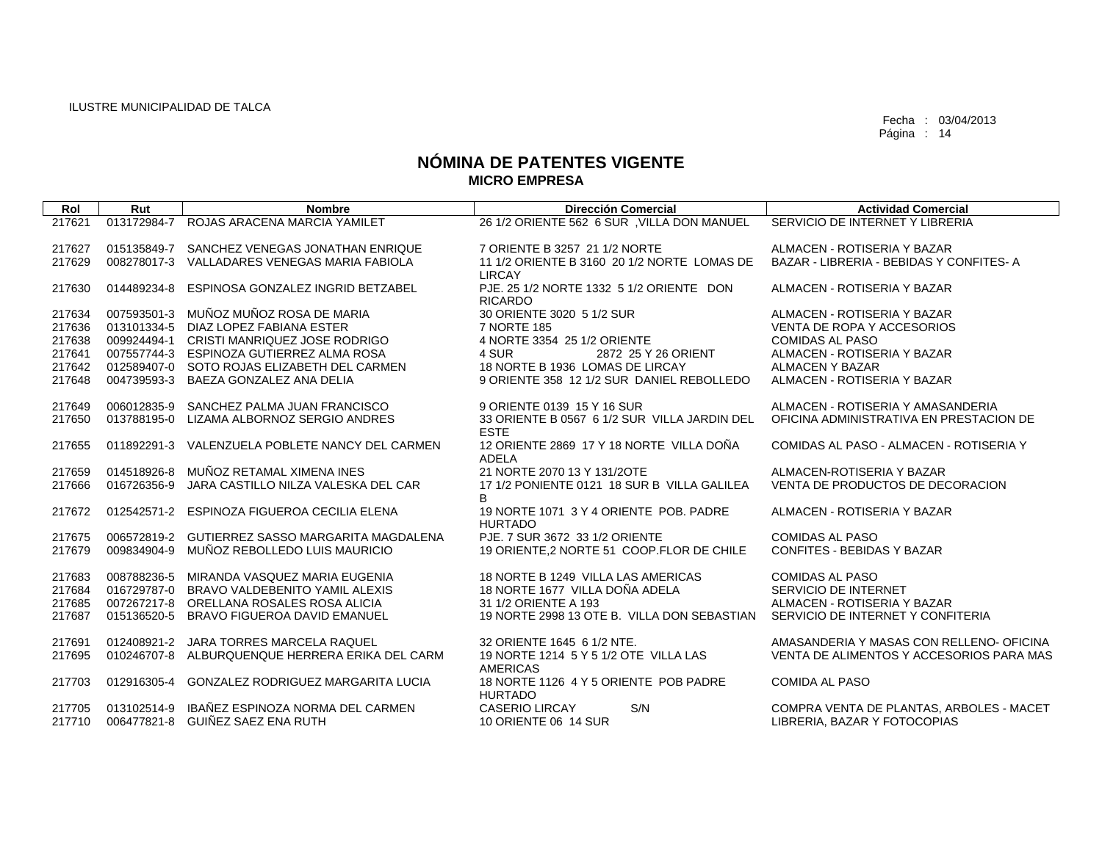| Rol    | Rut         | <b>Nombre</b>                                   | <b>Dirección Comercial</b>                   | <b>Actividad Comercial</b>               |
|--------|-------------|-------------------------------------------------|----------------------------------------------|------------------------------------------|
| 217621 |             | 013172984-7 ROJAS ARACENA MARCIA YAMILET        | 26 1/2 ORIENTE 562 6 SUR, VILLA DON MANUEL   | SERVICIO DE INTERNET Y LIBRERIA          |
|        |             |                                                 |                                              |                                          |
|        |             |                                                 |                                              |                                          |
| 217627 |             | 015135849-7 SANCHEZ VENEGAS JONATHAN ENRIQUE    | 7 ORIENTE B 3257 21 1/2 NORTE                | ALMACEN - ROTISERIA Y BAZAR              |
| 217629 |             | 008278017-3 VALLADARES VENEGAS MARIA FABIOLA    | 11 1/2 ORIENTE B 3160 20 1/2 NORTE LOMAS DE  | BAZAR - LIBRERIA - BEBIDAS Y CONFITES-A  |
|        |             |                                                 | <b>LIRCAY</b>                                |                                          |
| 217630 | 014489234-8 | ESPINOSA GONZALEZ INGRID BETZABEL               | PJE, 25 1/2 NORTE 1332 5 1/2 ORIENTE DON     | ALMACEN - ROTISERIA Y BAZAR              |
|        |             |                                                 | <b>RICARDO</b>                               |                                          |
| 217634 |             | 007593501-3 MUÑOZ MUÑOZ ROSA DE MARIA           | 30 ORIENTE 3020 5 1/2 SUR                    | ALMACEN - ROTISERIA Y BAZAR              |
| 217636 |             | 013101334-5 DIAZ LOPEZ FABIANA ESTER            | 7 NORTE 185                                  | VENTA DE ROPA Y ACCESORIOS               |
| 217638 |             | 009924494-1 CRISTI MANRIQUEZ JOSE RODRIGO       | 4 NORTE 3354 25 1/2 ORIENTE                  | <b>COMIDAS AL PASO</b>                   |
| 217641 |             | 007557744-3 ESPINOZA GUTIERREZ ALMA ROSA        | 4 SUR<br>2872 25 Y 26 ORIENT                 | ALMACEN - ROTISERIA Y BAZAR              |
| 217642 |             | 012589407-0 SOTO ROJAS ELIZABETH DEL CARMEN     | 18 NORTE B 1936 LOMAS DE LIRCAY              | ALMACEN Y BAZAR                          |
| 217648 |             | 004739593-3 BAEZA GONZALEZ ANA DELIA            | 9 ORIENTE 358 12 1/2 SUR DANIEL REBOLLEDO    | ALMACEN - ROTISERIA Y BAZAR              |
|        |             |                                                 |                                              |                                          |
| 217649 |             | 006012835-9 SANCHEZ PALMA JUAN FRANCISCO        | 9 ORIENTE 0139 15 Y 16 SUR                   | ALMACEN - ROTISERIA Y AMASANDERIA        |
| 217650 |             | 013788195-0 LIZAMA ALBORNOZ SERGIO ANDRES       | 33 ORIENTE B 0567 6 1/2 SUR VILLA JARDIN DEL | OFICINA ADMINISTRATIVA EN PRESTACION DE  |
|        |             |                                                 | <b>ESTE</b>                                  |                                          |
| 217655 |             | 011892291-3 VALENZUELA POBLETE NANCY DEL CARMEN | 12 ORIENTE 2869 17 Y 18 NORTE VILLA DOÑA     | COMIDAS AL PASO - ALMACEN - ROTISERIA Y  |
|        |             |                                                 | <b>ADELA</b>                                 |                                          |
|        | 014518926-8 | MUÑOZ RETAMAL XIMENA INES                       | 21 NORTE 2070 13 Y 131/2OTE                  | ALMACEN-ROTISERIA Y BAZAR                |
| 217659 |             |                                                 |                                              |                                          |
| 217666 | 016726356-9 | JARA CASTILLO NILZA VALESKA DEL CAR             | 17 1/2 PONIENTE 0121 18 SUR B VILLA GALILEA  | VENTA DE PRODUCTOS DE DECORACION         |
|        |             |                                                 | B.                                           |                                          |
| 217672 |             | 012542571-2 ESPINOZA FIGUEROA CECILIA ELENA     | 19 NORTE 1071 3 Y 4 ORIENTE POB. PADRE       | ALMACEN - ROTISERIA Y BAZAR              |
|        |             |                                                 | <b>HURTADO</b>                               |                                          |
| 217675 |             | 006572819-2 GUTIERREZ SASSO MARGARITA MAGDALENA | PJE. 7 SUR 3672 33 1/2 ORIENTE               | <b>COMIDAS AL PASO</b>                   |
| 217679 | 009834904-9 | MUÑOZ REBOLLEDO LUIS MAURICIO                   | 19 ORIENTE.2 NORTE 51 COOP.FLOR DE CHILE     | <b>CONFITES - BEBIDAS Y BAZAR</b>        |
|        |             |                                                 |                                              |                                          |
| 217683 |             | 008788236-5 MIRANDA VASQUEZ MARIA EUGENIA       | 18 NORTE B 1249 VILLA LAS AMERICAS           | <b>COMIDAS AL PASO</b>                   |
| 217684 |             | 016729787-0 BRAVO VALDEBENITO YAMIL ALEXIS      | 18 NORTE 1677 VILLA DOÑA ADELA               | SERVICIO DE INTERNET                     |
| 217685 |             | 007267217-8 ORELLANA ROSALES ROSA ALICIA        | 31 1/2 ORIENTE A 193                         | ALMACEN - ROTISERIA Y BAZAR              |
| 217687 |             | 015136520-5 BRAVO FIGUEROA DAVID EMANUEL        | 19 NORTE 2998 13 OTE B. VILLA DON SEBASTIAN  | SERVICIO DE INTERNET Y CONFITERIA        |
|        |             |                                                 |                                              |                                          |
| 217691 |             | 012408921-2 JARA TORRES MARCELA RAQUEL          | 32 ORIENTE 1645 6 1/2 NTE.                   | AMASANDERIA Y MASAS CON RELLENO- OFICINA |
| 217695 |             | 010246707-8 ALBURQUENQUE HERRERA ERIKA DEL CARM | 19 NORTE 1214 5 Y 5 1/2 OTE VILLA LAS        | VENTA DE ALIMENTOS Y ACCESORIOS PARA MAS |
|        |             |                                                 | <b>AMERICAS</b>                              |                                          |
| 217703 | 012916305-4 | GONZALEZ RODRIGUEZ MARGARITA LUCIA              | 18 NORTE 1126 4 Y 5 ORIENTE POB PADRE        | <b>COMIDA AL PASO</b>                    |
|        |             |                                                 | <b>HURTADO</b>                               |                                          |
| 217705 | 013102514-9 | IBAÑEZ ESPINOZA NORMA DEL CARMEN                | S/N<br><b>CASERIO LIRCAY</b>                 | COMPRA VENTA DE PLANTAS, ARBOLES - MACET |
| 217710 |             | 006477821-8 GUIÑEZ SAEZ ENA RUTH                | 10 ORIENTE 06 14 SUR                         | LIBRERIA, BAZAR Y FOTOCOPIAS             |
|        |             |                                                 |                                              |                                          |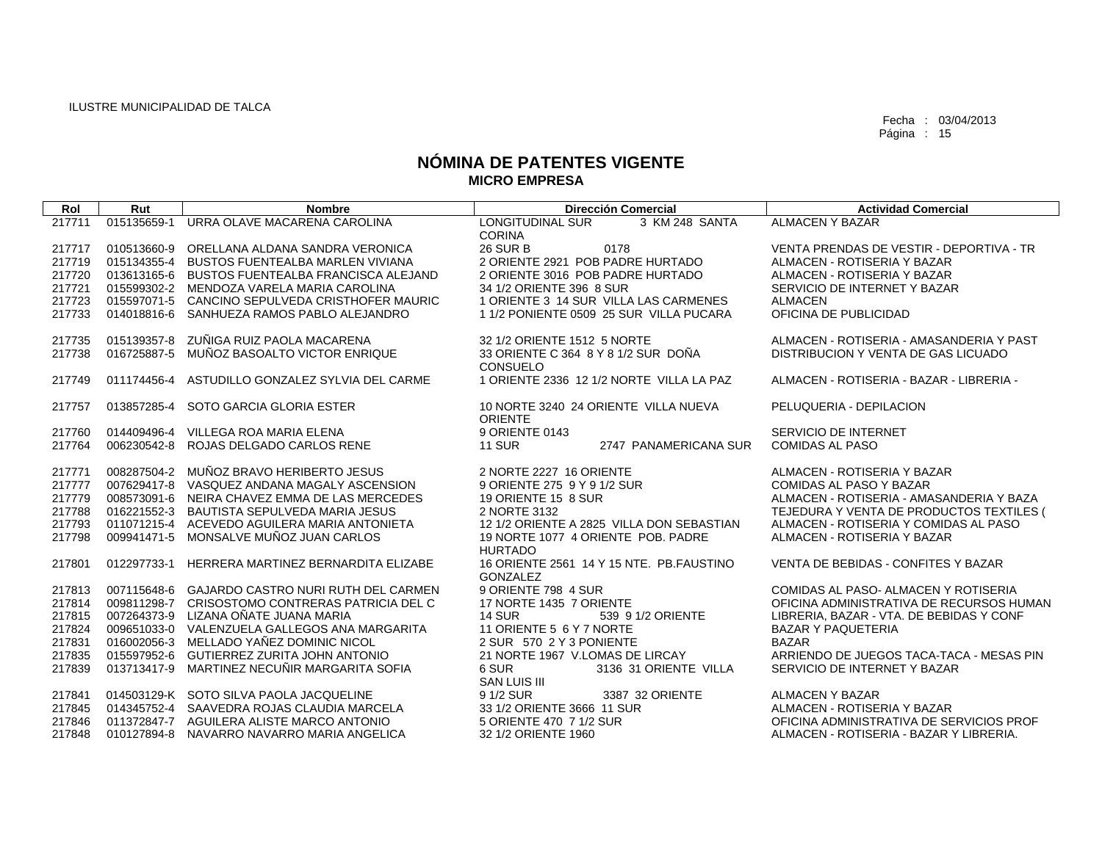| Rol    | Rut         | <b>Nombre</b>                                   | <b>Dirección Comercial</b>                | <b>Actividad Comercial</b>               |
|--------|-------------|-------------------------------------------------|-------------------------------------------|------------------------------------------|
| 217711 | 015135659-1 | URRA OLAVE MACARENA CAROLINA                    | <b>LONGITUDINAL SUR</b><br>3 KM 248 SANTA | <b>ALMACEN Y BAZAR</b>                   |
|        |             |                                                 | <b>CORINA</b>                             |                                          |
| 217717 |             | 010513660-9 ORELLANA ALDANA SANDRA VERONICA     | <b>26 SUR B</b><br>0178                   | VENTA PRENDAS DE VESTIR - DEPORTIVA - TR |
| 217719 |             | 015134355-4 BUSTOS FUENTEALBA MARLEN VIVIANA    | 2 ORIENTE 2921 POB PADRE HURTADO          | ALMACEN - ROTISERIA Y BAZAR              |
| 217720 |             | 013613165-6 BUSTOS FUENTEALBA FRANCISCA ALEJAND | 2 ORIENTE 3016 POB PADRE HURTADO          | ALMACEN - ROTISERIA Y BAZAR              |
| 217721 |             | 015599302-2 MENDOZA VARELA MARIA CAROLINA       | 34 1/2 ORIENTE 396 8 SUR                  | SERVICIO DE INTERNET Y BAZAR             |
| 217723 |             | 015597071-5 CANCINO SEPULVEDA CRISTHOFER MAURIC | 1 ORIENTE 3 14 SUR VILLA LAS CARMENES     | <b>ALMACEN</b>                           |
| 217733 |             | 014018816-6 SANHUEZA RAMOS PABLO ALEJANDRO      | 1 1/2 PONIENTE 0509 25 SUR VILLA PUCARA   | OFICINA DE PUBLICIDAD                    |
|        |             |                                                 |                                           |                                          |
| 217735 |             | 015139357-8 ZUÑIGA RUIZ PAOLA MACARENA          | 32 1/2 ORIENTE 1512 5 NORTE               | ALMACEN - ROTISERIA - AMASANDERIA Y PAST |
| 217738 |             | 016725887-5 MUÑOZ BASOALTO VICTOR ENRIQUE       | 33 ORIENTE C 364 8 Y 8 1/2 SUR DOÑA       | DISTRIBUCION Y VENTA DE GAS LICUADO      |
|        |             |                                                 | <b>CONSUELO</b>                           |                                          |
| 217749 |             | 011174456-4 ASTUDILLO GONZALEZ SYLVIA DEL CARME | 1 ORIENTE 2336 12 1/2 NORTE VILLA LA PAZ  | ALMACEN - ROTISERIA - BAZAR - LIBRERIA - |
|        |             |                                                 |                                           |                                          |
| 217757 |             | 013857285-4 SOTO GARCIA GLORIA ESTER            | 10 NORTE 3240 24 ORIENTE VILLA NUEVA      | PELUQUERIA - DEPILACION                  |
|        |             |                                                 | <b>ORIENTE</b>                            |                                          |
| 217760 |             | 014409496-4 VILLEGA ROA MARIA ELENA             | 9 ORIENTE 0143                            | SERVICIO DE INTERNET                     |
| 217764 |             | 006230542-8 ROJAS DELGADO CARLOS RENE           | <b>11 SUR</b><br>2747 PANAMERICANA SUR    | <b>COMIDAS AL PASO</b>                   |
|        |             |                                                 |                                           |                                          |
| 217771 |             | 008287504-2 MUÑOZ BRAVO HERIBERTO JESUS         | 2 NORTE 2227 16 ORIENTE                   | ALMACEN - ROTISERIA Y BAZAR              |
| 217777 |             | 007629417-8 VASQUEZ ANDANA MAGALY ASCENSION     | 9 ORIENTE 275 9 Y 9 1/2 SUR               | <b>COMIDAS AL PASO Y BAZAR</b>           |
| 217779 |             | 008573091-6 NEIRA CHAVEZ EMMA DE LAS MERCEDES   | 19 ORIENTE 15 8 SUR                       | ALMACEN - ROTISERIA - AMASANDERIA Y BAZA |
| 217788 |             | 016221552-3 BAUTISTA SEPULVEDA MARIA JESUS      | 2 NORTE 3132                              | TEJEDURA Y VENTA DE PRODUCTOS TEXTILES ( |
| 217793 |             | 011071215-4 ACEVEDO AGUILERA MARIA ANTONIETA    | 12 1/2 ORIENTE A 2825 VILLA DON SEBASTIAN | ALMACEN - ROTISERIA Y COMIDAS AL PASO    |
| 217798 |             | 009941471-5 MONSALVE MUÑOZ JUAN CARLOS          | 19 NORTE 1077 4 ORIENTE POB, PADRE        | ALMACEN - ROTISERIA Y BAZAR              |
|        |             |                                                 | <b>HURTADO</b>                            |                                          |
| 217801 |             | 012297733-1 HERRERA MARTINEZ BERNARDITA ELIZABE | 16 ORIENTE 2561 14 Y 15 NTE. PB.FAUSTINO  | VENTA DE BEBIDAS - CONFITES Y BAZAR      |
|        |             |                                                 | <b>GONZALEZ</b>                           |                                          |
| 217813 |             | 007115648-6 GAJARDO CASTRO NURI RUTH DEL CARMEN | 9 ORIENTE 798 4 SUR                       | COMIDAS AL PASO- ALMACEN Y ROTISERIA     |
| 217814 |             | 009811298-7 CRISOSTOMO CONTRERAS PATRICIA DEL C | 17 NORTE 1435 7 ORIENTE                   | OFICINA ADMINISTRATIVA DE RECURSOS HUMAN |
| 217815 |             | 007264373-9 LIZANA OÑATE JUANA MARIA            | <b>14 SUR</b><br>539 9 1/2 ORIENTE        | LIBRERIA, BAZAR - VTA, DE BEBIDAS Y CONF |
| 217824 |             | 009651033-0 VALENZUELA GALLEGOS ANA MARGARITA   | 11 ORIENTE 5 6 Y 7 NORTE                  | <b>BAZAR Y PAQUETERIA</b>                |
| 217831 |             | 016002056-3 MELLADO YAÑEZ DOMINIC NICOL         | 2 SUR 570 2 Y 3 PONIENTE                  | <b>BAZAR</b>                             |
| 217835 |             | 015597952-6 GUTIERREZ ZURITA JOHN ANTONIO       | 21 NORTE 1967 V.LOMAS DE LIRCAY           | ARRIENDO DE JUEGOS TACA-TACA - MESAS PIN |
| 217839 |             | 013713417-9 MARTINEZ NECUÑIR MARGARITA SOFIA    | 6 SUR<br>3136 31 ORIENTE VILLA            | SERVICIO DE INTERNET Y BAZAR             |
|        |             |                                                 | <b>SAN LUIS III</b>                       |                                          |
| 217841 |             | 014503129-K SOTO SILVA PAOLA JACQUELINE         | 9 1/2 SUR<br>3387 32 ORIENTE              | <b>ALMACEN Y BAZAR</b>                   |
| 217845 |             | 014345752-4 SAAVEDRA ROJAS CLAUDIA MARCELA      | 33 1/2 ORIENTE 3666 11 SUR                | ALMACEN - ROTISERIA Y BAZAR              |
| 217846 |             | 011372847-7 AGUILERA ALISTE MARCO ANTONIO       | 5 ORIENTE 470 7 1/2 SUR                   | OFICINA ADMINISTRATIVA DE SERVICIOS PROF |
| 217848 |             | 010127894-8 NAVARRO NAVARRO MARIA ANGELICA      | 32 1/2 ORIENTE 1960                       | ALMACEN - ROTISERIA - BAZAR Y LIBRERIA.  |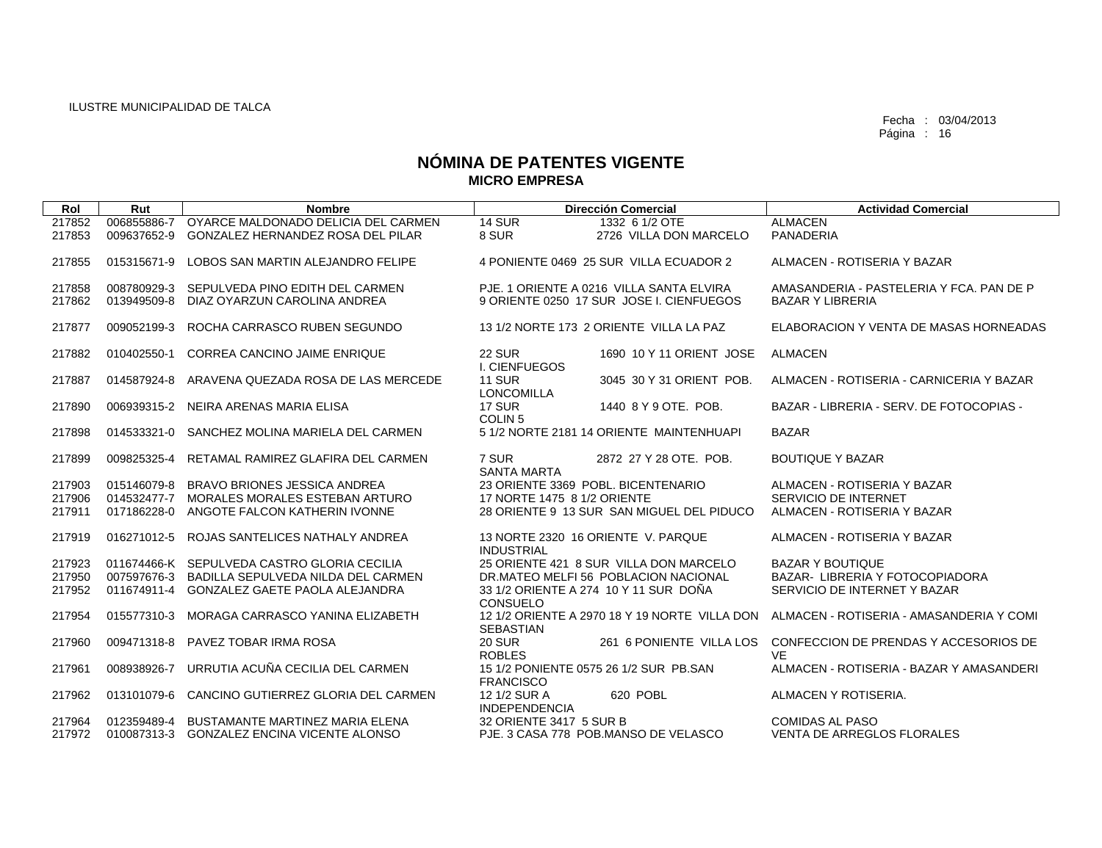| Rol    | Rut         | <b>Nombre</b>                                  | <b>Dirección Comercial</b>                                  |                          | <b>Actividad Comercial</b>                                                             |
|--------|-------------|------------------------------------------------|-------------------------------------------------------------|--------------------------|----------------------------------------------------------------------------------------|
| 217852 | 006855886-7 | OYARCE MALDONADO DELICIA DEL CARMEN            | <b>14 SUR</b><br>1332 6 1/2 OTE                             |                          | <b>ALMACEN</b>                                                                         |
| 217853 | 009637652-9 | GONZALEZ HERNANDEZ ROSA DEL PILAR              | 8 SUR                                                       | 2726 VILLA DON MARCELO   | PANADERIA                                                                              |
| 217855 | 015315671-9 | LOBOS SAN MARTIN ALEJANDRO FELIPE              | 4 PONIENTE 0469 25 SUR VILLA ECUADOR 2                      |                          | ALMACEN - ROTISERIA Y BAZAR                                                            |
| 217858 | 008780929-3 | SEPULVEDA PINO EDITH DEL CARMEN                | PJE. 1 ORIENTE A 0216 VILLA SANTA ELVIRA                    |                          | AMASANDERIA - PASTELERIA Y FCA, PAN DE P                                               |
| 217862 | 013949509-8 | DIAZ OYARZUN CAROLINA ANDREA                   | 9 ORIENTE 0250 17 SUR JOSE I. CIENFUEGOS                    |                          | <b>BAZAR Y LIBRERIA</b>                                                                |
| 217877 | 009052199-3 | ROCHA CARRASCO RUBEN SEGUNDO                   | 13 1/2 NORTE 173 2 ORIENTE VILLA LA PAZ                     |                          | ELABORACION Y VENTA DE MASAS HORNEADAS                                                 |
| 217882 | 010402550-1 | <b>CORREA CANCINO JAIME ENRIQUE</b>            | <b>22 SUR</b><br>I. CIENFUEGOS                              | 1690 10 Y 11 ORIENT JOSE | <b>ALMACEN</b>                                                                         |
| 217887 | 014587924-8 | ARAVENA QUEZADA ROSA DE LAS MERCEDE            | <b>11 SUR</b><br><b>LONCOMILLA</b>                          | 3045 30 Y 31 ORIENT POB. | ALMACEN - ROTISERIA - CARNICERIA Y BAZAR                                               |
| 217890 | 006939315-2 | NEIRA ARENAS MARIA ELISA                       | <b>17 SUR</b><br>1440 8 Y 9 OTE, POB.<br>COLIN <sub>5</sub> |                          | BAZAR - LIBRERIA - SERV. DE FOTOCOPIAS -                                               |
| 217898 | 014533321-0 | SANCHEZ MOLINA MARIELA DEL CARMEN              | 5 1/2 NORTE 2181 14 ORIENTE MAINTENHUAPI                    |                          | <b>BAZAR</b>                                                                           |
| 217899 | 009825325-4 | RETAMAL RAMIREZ GLAFIRA DEL CARMEN             | 7 SUR<br>2872 27 Y 28 OTE, POB.<br><b>SANTA MARTA</b>       |                          | <b>BOUTIQUE Y BAZAR</b>                                                                |
| 217903 |             | 015146079-8 BRAVO BRIONES JESSICA ANDREA       | 23 ORIENTE 3369 POBL, BICENTENARIO                          |                          | ALMACEN - ROTISERIA Y BAZAR                                                            |
| 217906 | 014532477-7 | MORALES MORALES ESTEBAN ARTURO                 | 17 NORTE 1475 8 1/2 ORIENTE                                 |                          | SERVICIO DE INTERNET                                                                   |
| 217911 |             | 017186228-0 ANGOTE FALCON KATHERIN IVONNE      | 28 ORIENTE 9 13 SUR SAN MIGUEL DEL PIDUCO                   |                          | ALMACEN - ROTISERIA Y BAZAR                                                            |
| 217919 | 016271012-5 | ROJAS SANTELICES NATHALY ANDREA                | 13 NORTE 2320 16 ORIENTE V. PARQUE<br><b>INDUSTRIAL</b>     |                          | ALMACEN - ROTISERIA Y BAZAR                                                            |
| 217923 |             | 011674466-K SEPULVEDA CASTRO GLORIA CECILIA    | 25 ORIENTE 421 8 SUR VILLA DON MARCELO                      |                          | <b>BAZAR Y BOUTIQUE</b>                                                                |
| 217950 |             | 007597676-3 BADILLA SEPULVEDA NILDA DEL CARMEN | DR.MATEO MELFI 56 POBLACION NACIONAL                        |                          | BAZAR- LIBRERIA Y FOTOCOPIADORA                                                        |
| 217952 |             | 011674911-4 GONZALEZ GAETE PAOLA ALEJANDRA     | 33 1/2 ORIENTE A 274 10 Y 11 SUR DOÑA<br><b>CONSUELO</b>    |                          | SERVICIO DE INTERNET Y BAZAR                                                           |
| 217954 | 015577310-3 | MORAGA CARRASCO YANINA ELIZABETH               | <b>SEBASTIAN</b>                                            |                          | 12 1/2 ORIENTE A 2970 18 Y 19 NORTE VILLA DON ALMACEN - ROTISERIA - AMASANDERIA Y COMI |
| 217960 | 009471318-8 | PAVEZ TOBAR IRMA ROSA                          | <b>20 SUR</b><br><b>ROBLES</b>                              | 261 6 PONIENTE VILLA LOS | CONFECCION DE PRENDAS Y ACCESORIOS DE<br><b>VE</b>                                     |
| 217961 | 008938926-7 | URRUTIA ACUÑA CECILIA DEL CARMEN               | 15 1/2 PONIENTE 0575 26 1/2 SUR PB.SAN<br><b>FRANCISCO</b>  |                          | ALMACEN - ROTISERIA - BAZAR Y AMASANDERI                                               |
| 217962 | 013101079-6 | CANCINO GUTIERREZ GLORIA DEL CARMEN            | 12 1/2 SUR A<br>620 POBL<br><b>INDEPENDENCIA</b>            |                          | ALMACEN Y ROTISERIA.                                                                   |
| 217964 |             | 012359489-4 BUSTAMANTE MARTINEZ MARIA ELENA    | 32 ORIENTE 3417 5 SUR B                                     |                          | <b>COMIDAS AL PASO</b>                                                                 |
| 217972 |             | 010087313-3 GONZALEZ ENCINA VICENTE ALONSO     | PJE, 3 CASA 778 POB, MANSO DE VELASCO                       |                          | <b>VENTA DE ARREGLOS FLORALES</b>                                                      |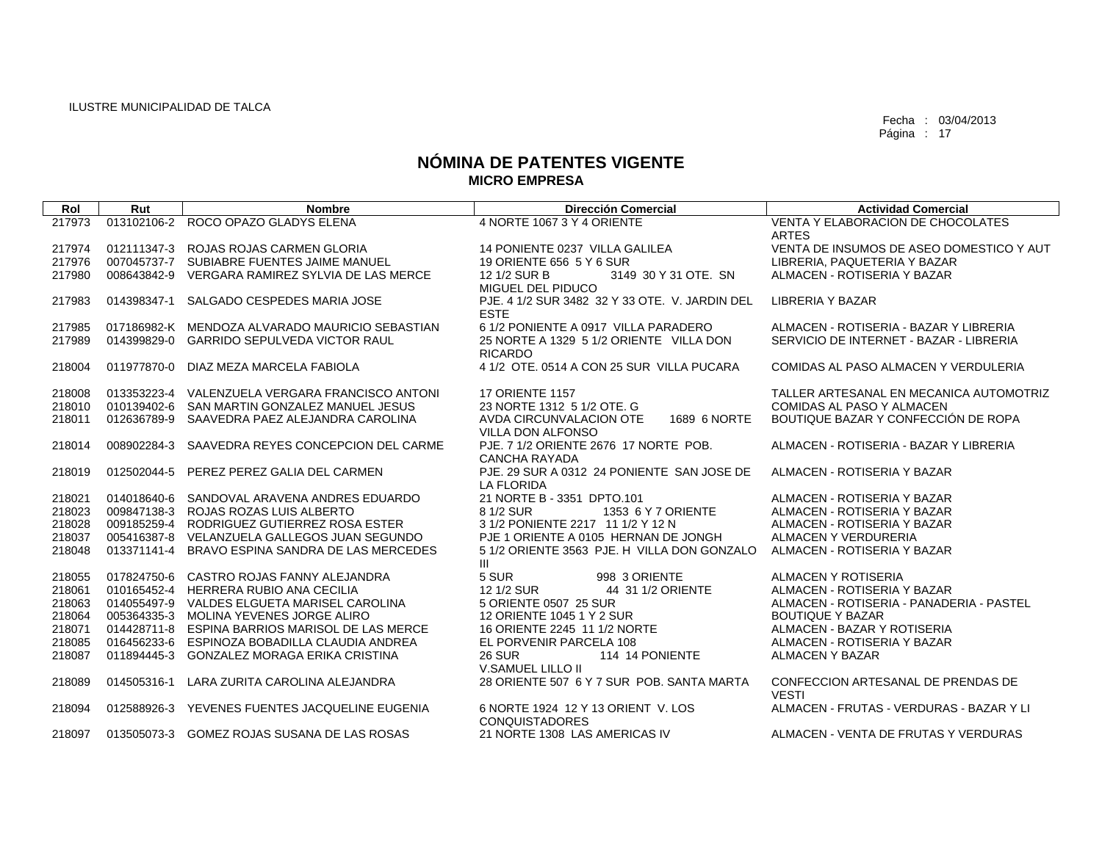| Rol    | Rut         | <b>Nombre</b>                                   | <b>Dirección Comercial</b>                                          | <b>Actividad Comercial</b>                         |
|--------|-------------|-------------------------------------------------|---------------------------------------------------------------------|----------------------------------------------------|
| 217973 | 013102106-2 | ROCO OPAZO GLADYS ELENA                         | 4 NORTE 1067 3 Y 4 ORIENTE                                          | VENTA Y ELABORACION DE CHOCOLATES<br><b>ARTES</b>  |
| 217974 |             | 012111347-3 ROJAS ROJAS CARMEN GLORIA           | 14 PONIENTE 0237 VILLA GALILEA                                      | VENTA DE INSUMOS DE ASEO DOMESTICO Y AUT           |
| 217976 |             | 007045737-7 SUBIABRE FUENTES JAIME MANUEL       | 19 ORIENTE 656 5 Y 6 SUR                                            | LIBRERIA, PAQUETERIA Y BAZAR                       |
| 217980 | 008643842-9 | VERGARA RAMIREZ SYLVIA DE LAS MERCE             | 3149 30 Y 31 OTE. SN<br>12 1/2 SUR B<br>MIGUEL DEL PIDUCO           | ALMACEN - ROTISERIA Y BAZAR                        |
| 217983 | 014398347-1 | SALGADO CESPEDES MARIA JOSE                     | PJE, 4 1/2 SUR 3482 32 Y 33 OTE, V. JARDIN DEL<br><b>ESTE</b>       | <b>LIBRERIA Y BAZAR</b>                            |
| 217985 |             | 017186982-K MENDOZA ALVARADO MAURICIO SEBASTIAN | 6 1/2 PONIENTE A 0917 VILLA PARADERO                                | ALMACEN - ROTISERIA - BAZAR Y LIBRERIA             |
| 217989 |             | 014399829-0 GARRIDO SEPULVEDA VICTOR RAUL       | 25 NORTE A 1329 5 1/2 ORIENTE VILLA DON<br><b>RICARDO</b>           | SERVICIO DE INTERNET - BAZAR - LIBRERIA            |
| 218004 |             | 011977870-0 DIAZ MEZA MARCELA FABIOLA           | 4 1/2 OTE, 0514 A CON 25 SUR VILLA PUCARA                           | COMIDAS AL PASO ALMACEN Y VERDULERIA               |
| 218008 |             | 013353223-4 VALENZUELA VERGARA FRANCISCO ANTONI | <b>17 ORIENTE 1157</b>                                              | TALLER ARTESANAL EN MECANICA AUTOMOTRIZ            |
| 218010 |             | 010139402-6 SAN MARTIN GONZALEZ MANUEL JESUS    | 23 NORTE 1312 5 1/2 OTE, G                                          | <b>COMIDAS AL PASO Y ALMACEN</b>                   |
| 218011 |             | 012636789-9 SAAVEDRA PAEZ ALEJANDRA CAROLINA    | AVDA CIRCUNVALACION OTE<br>1689 6 NORTE<br><b>VILLA DON ALFONSO</b> | BOUTIQUE BAZAR Y CONFECCIÓN DE ROPA                |
| 218014 |             | 008902284-3 SAAVEDRA REYES CONCEPCION DEL CARME | PJE, 7 1/2 ORIENTE 2676 17 NORTE POB.<br><b>CANCHA RAYADA</b>       | ALMACEN - ROTISERIA - BAZAR Y LIBRERIA             |
| 218019 |             | 012502044-5 PEREZ PEREZ GALIA DEL CARMEN        | PJE, 29 SUR A 0312 24 PONIENTE SAN JOSE DE<br><b>LA FLORIDA</b>     | ALMACEN - ROTISERIA Y BAZAR                        |
| 218021 |             | 014018640-6 SANDOVAL ARAVENA ANDRES EDUARDO     | 21 NORTE B - 3351 DPTO.101                                          | ALMACEN - ROTISERIA Y BAZAR                        |
| 218023 |             | 009847138-3 ROJAS ROZAS LUIS ALBERTO            | 8 1/2 SUR<br>1353 6 Y 7 ORIENTE                                     | ALMACEN - ROTISERIA Y BAZAR                        |
| 218028 |             | 009185259-4 RODRIGUEZ GUTIERREZ ROSA ESTER      | 3 1/2 PONIENTE 2217 11 1/2 Y 12 N                                   | ALMACEN - ROTISERIA Y BAZAR                        |
| 218037 |             | 005416387-8 VELANZUELA GALLEGOS JUAN SEGUNDO    | PJE 1 ORIENTE A 0105 HERNAN DE JONGH                                | ALMACEN Y VERDURERIA                               |
| 218048 | 013371141-4 | BRAVO ESPINA SANDRA DE LAS MERCEDES             | 5 1/2 ORIENTE 3563 PJE. H VILLA DON GONZALO<br>Ш                    | ALMACEN - ROTISERIA Y BAZAR                        |
| 218055 | 017824750-6 | CASTRO ROJAS FANNY ALEJANDRA                    | 5 SUR<br>998 3 ORIENTE                                              | ALMACEN Y ROTISERIA                                |
| 218061 | 010165452-4 | <b>HERRERA RUBIO ANA CECILIA</b>                | 12 1/2 SUR<br>44 31 1/2 ORIENTE                                     | ALMACEN - ROTISERIA Y BAZAR                        |
| 218063 |             | 014055497-9 VALDES ELGUETA MARISEL CAROLINA     | 5 ORIENTE 0507 25 SUR                                               | ALMACEN - ROTISERIA - PANADERIA - PASTEL           |
| 218064 |             | 005364335-3 MOLINA YEVENES JORGE ALIRO          | 12 ORIENTE 1045 1 Y 2 SUR                                           | <b>BOUTIQUE Y BAZAR</b>                            |
| 218071 |             | 014428711-8 ESPINA BARRIOS MARISOL DE LAS MERCE | 16 ORIENTE 2245 11 1/2 NORTE                                        | ALMACEN - BAZAR Y ROTISERIA                        |
| 218085 |             | 016456233-6 ESPINOZA BOBADILLA CLAUDIA ANDREA   | EL PORVENIR PARCELA 108                                             | ALMACEN - ROTISERIA Y BAZAR                        |
| 218087 | 011894445-3 | <b>GONZALEZ MORAGA ERIKA CRISTINA</b>           | 114 14 PONIENTE<br><b>26 SUR</b><br>V.SAMUEL LILLO II               | <b>ALMACEN Y BAZAR</b>                             |
| 218089 | 014505316-1 | LARA ZURITA CAROLINA ALEJANDRA                  | 28 ORIENTE 507 6 Y 7 SUR POB, SANTA MARTA                           | CONFECCION ARTESANAL DE PRENDAS DE<br><b>VESTI</b> |
| 218094 | 012588926-3 | YEVENES FUENTES JACQUELINE EUGENIA              | 6 NORTE 1924 12 Y 13 ORIENT V. LOS<br><b>CONQUISTADORES</b>         | ALMACEN - FRUTAS - VERDURAS - BAZAR Y LI           |
| 218097 |             | 013505073-3 GOMEZ ROJAS SUSANA DE LAS ROSAS     | 21 NORTE 1308 LAS AMERICAS IV                                       | ALMACEN - VENTA DE FRUTAS Y VERDURAS               |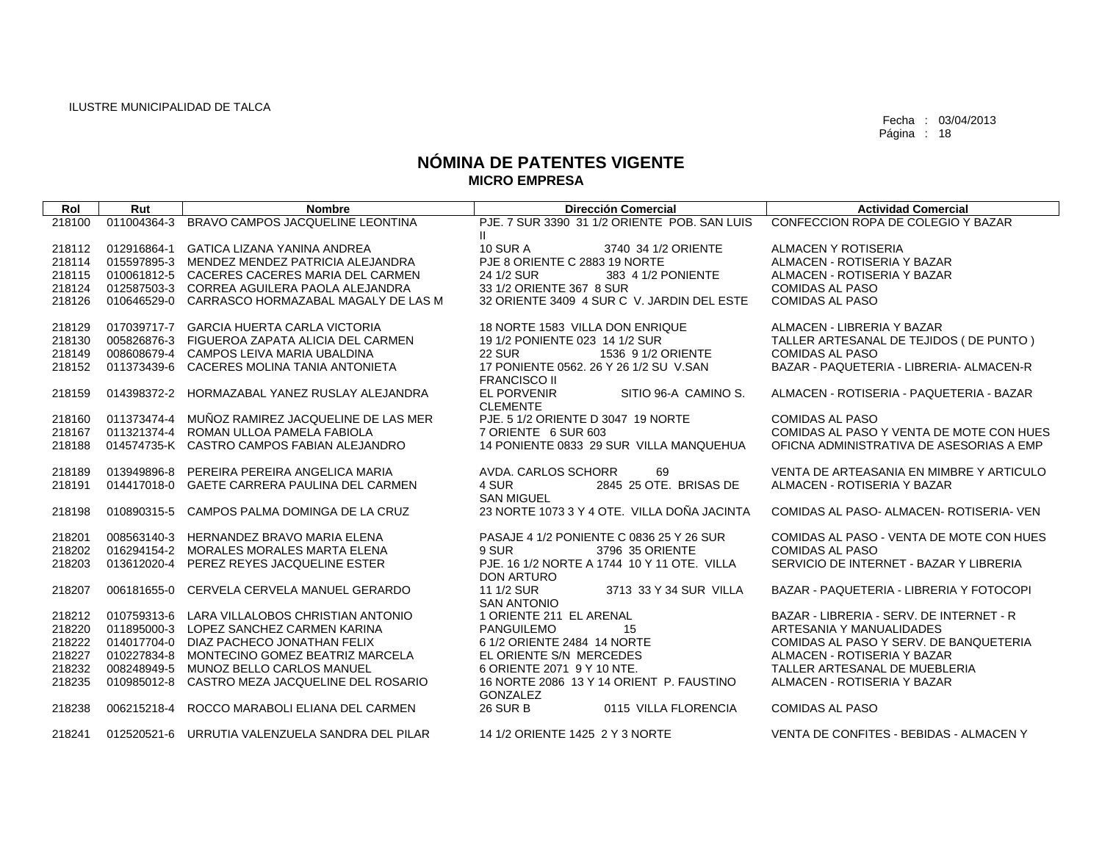|        |             |                                                 | <b>Dirección Comercial</b>                   | <b>Actividad Comercial</b>               |
|--------|-------------|-------------------------------------------------|----------------------------------------------|------------------------------------------|
| Rol    | Rut         | <b>Nombre</b>                                   |                                              |                                          |
| 218100 | 011004364-3 | BRAVO CAMPOS JACQUELINE LEONTINA                | PJE, 7 SUR 3390 31 1/2 ORIENTE POB, SAN LUIS | CONFECCION ROPA DE COLEGIO Y BAZAR       |
|        |             |                                                 | Ш                                            |                                          |
| 218112 | 012916864-1 | <b>GATICA LIZANA YANINA ANDREA</b>              | <b>10 SUR A</b><br>3740 34 1/2 ORIENTE       | ALMACEN Y ROTISERIA                      |
| 218114 | 015597895-3 | MENDEZ MENDEZ PATRICIA ALEJANDRA                | PJE 8 ORIENTE C 2883 19 NORTE                | ALMACEN - ROTISERIA Y BAZAR              |
| 218115 |             | 010061812-5 CACERES CACERES MARIA DEL CARMEN    | 24 1/2 SUR<br>383 4 1/2 PONIENTE             | ALMACEN - ROTISERIA Y BAZAR              |
| 218124 | 012587503-3 | CORREA AGUILERA PAOLA ALEJANDRA                 | 33 1/2 ORIENTE 367 8 SUR                     | <b>COMIDAS AL PASO</b>                   |
| 218126 | 010646529-0 | CARRASCO HORMAZABAL MAGALY DE LAS M             | 32 ORIENTE 3409 4 SUR C V. JARDIN DEL ESTE   | <b>COMIDAS AL PASO</b>                   |
|        |             |                                                 |                                              |                                          |
| 218129 | 017039717-7 | <b>GARCIA HUERTA CARLA VICTORIA</b>             | 18 NORTE 1583 VILLA DON ENRIQUE              | ALMACEN - LIBRERIA Y BAZAR               |
| 218130 |             | 005826876-3 FIGUEROA ZAPATA ALICIA DEL CARMEN   | 19 1/2 PONIENTE 023 14 1/2 SUR               | TALLER ARTESANAL DE TEJIDOS (DE PUNTO)   |
| 218149 |             | 008608679-4 CAMPOS LEIVA MARIA UBALDINA         | 22 SUR<br>1536 9 1/2 ORIENTE                 | <b>COMIDAS AL PASO</b>                   |
| 218152 | 011373439-6 | CACERES MOLINA TANIA ANTONIETA                  | 17 PONIENTE 0562, 26 Y 26 1/2 SU V.SAN       | BAZAR - PAQUETERIA - LIBRERIA- ALMACEN-R |
|        |             |                                                 | <b>FRANCISCO II</b>                          |                                          |
| 218159 |             | 014398372-2 HORMAZABAL YANEZ RUSLAY ALEJANDRA   | EL PORVENIR<br>SITIO 96-A CAMINO S.          | ALMACEN - ROTISERIA - PAQUETERIA - BAZAR |
|        |             |                                                 | <b>CLEMENTE</b>                              |                                          |
| 218160 | 011373474-4 | MUÑOZ RAMIREZ JACQUELINE DE LAS MER             | PJE. 5 1/2 ORIENTE D 3047 19 NORTE           | <b>COMIDAS AL PASO</b>                   |
| 218167 | 011321374-4 | ROMAN ULLOA PAMELA FABIOLA                      | 7 ORIENTE 6 SUR 603                          | COMIDAS AL PASO Y VENTA DE MOTE CON HUES |
| 218188 |             | 014574735-K CASTRO CAMPOS FABIAN ALEJANDRO      | 14 PONIENTE 0833 29 SUR VILLA MANQUEHUA      | OFICNA ADMINISTRATIVA DE ASESORIAS A EMP |
|        |             |                                                 |                                              |                                          |
| 218189 | 013949896-8 | PEREIRA PEREIRA ANGELICA MARIA                  | AVDA, CARLOS SCHORR<br>69                    | VENTA DE ARTEASANIA EN MIMBRE Y ARTICULO |
| 218191 | 014417018-0 | <b>GAETE CARRERA PAULINA DEL CARMEN</b>         | 2845 25 OTE. BRISAS DE<br>4 SUR              | ALMACEN - ROTISERIA Y BAZAR              |
|        |             |                                                 | <b>SAN MIGUEL</b>                            |                                          |
| 218198 |             | 010890315-5 CAMPOS PALMA DOMINGA DE LA CRUZ     | 23 NORTE 1073 3 Y 4 OTE. VILLA DOÑA JACINTA  | COMIDAS AL PASO- ALMACEN- ROTISERIA- VEN |
|        |             |                                                 |                                              |                                          |
| 218201 | 008563140-3 | HERNANDEZ BRAVO MARIA ELENA                     | PASAJE 4 1/2 PONIENTE C 0836 25 Y 26 SUR     | COMIDAS AL PASO - VENTA DE MOTE CON HUES |
| 218202 | 016294154-2 | MORALES MORALES MARTA ELENA                     | 9 SUR<br>3796 35 ORIENTE                     | <b>COMIDAS AL PASO</b>                   |
|        |             |                                                 |                                              |                                          |
| 218203 | 013612020-4 | PEREZ REYES JACQUELINE ESTER                    | PJE. 16 1/2 NORTE A 1744 10 Y 11 OTE. VILLA  | SERVICIO DE INTERNET - BAZAR Y LIBRERIA  |
|        |             |                                                 | DON ARTURO                                   |                                          |
| 218207 | 006181655-0 | CERVELA CERVELA MANUEL GERARDO                  | 11 1/2 SUR<br>3713 33 Y 34 SUR VILLA         | BAZAR - PAQUETERIA - LIBRERIA Y FOTOCOPI |
|        |             |                                                 | <b>SAN ANTONIO</b>                           |                                          |
| 218212 |             | 010759313-6 LARA VILLALOBOS CHRISTIAN ANTONIO   | 1 ORIENTE 211 EL ARENAL                      | BAZAR - LIBRERIA - SERV. DE INTERNET - R |
| 218220 |             | 011895000-3 LOPEZ SANCHEZ CARMEN KARINA         | <b>PANGUILEMO</b><br>15                      | ARTESANIA Y MANUALIDADES                 |
| 218222 | 014017704-0 | DIAZ PACHECO JONATHAN FELIX                     | 6 1/2 ORIENTE 2484 14 NORTE                  | COMIDAS AL PASO Y SERV. DE BANQUETERIA   |
| 218227 | 010227834-8 | MONTECINO GOMEZ BEATRIZ MARCELA                 | EL ORIENTE S/N MERCEDES                      | ALMACEN - ROTISERIA Y BAZAR              |
| 218232 | 008248949-5 | MUNOZ BELLO CARLOS MANUEL                       | 6 ORIENTE 2071 9 Y 10 NTE.                   | TALLER ARTESANAL DE MUEBLERIA            |
| 218235 | 010985012-8 | CASTRO MEZA JACQUELINE DEL ROSARIO              | 16 NORTE 2086 13 Y 14 ORIENT P. FAUSTINO     | ALMACEN - ROTISERIA Y BAZAR              |
|        |             |                                                 | <b>GONZALEZ</b>                              |                                          |
| 218238 | 006215218-4 | ROCCO MARABOLI ELIANA DEL CARMEN                | <b>26 SUR B</b><br>0115 VILLA FLORENCIA      | <b>COMIDAS AL PASO</b>                   |
|        |             |                                                 |                                              |                                          |
| 218241 |             | 012520521-6 URRUTIA VALENZUELA SANDRA DEL PILAR | 14 1/2 ORIENTE 1425 2 Y 3 NORTE              | VENTA DE CONFITES - BEBIDAS - ALMACEN Y  |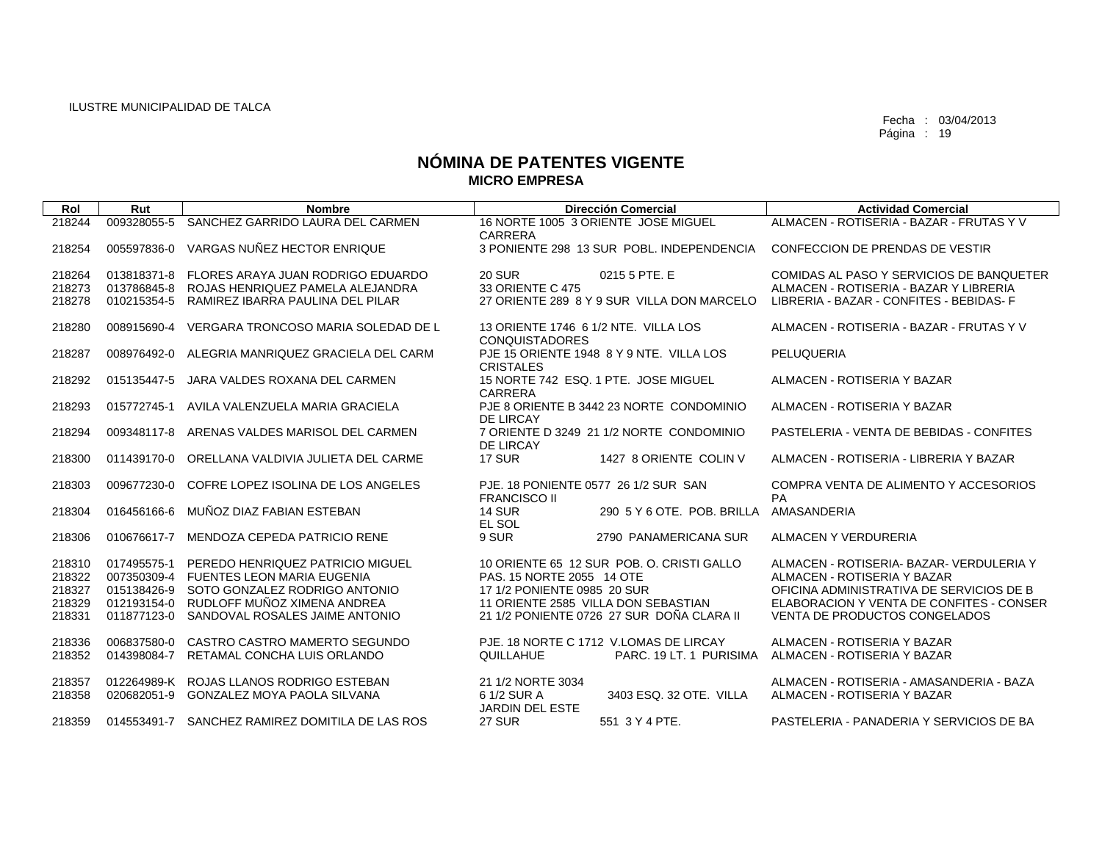| Rol              | Rut                        | <b>Nombre</b>                                                                    | <b>Dirección Comercial</b>                                                       | <b>Actividad Comercial</b>                                                         |
|------------------|----------------------------|----------------------------------------------------------------------------------|----------------------------------------------------------------------------------|------------------------------------------------------------------------------------|
| 218244           | 009328055-5                | SANCHEZ GARRIDO LAURA DEL CARMEN                                                 | 16 NORTE 1005 3 ORIENTE JOSE MIGUEL<br>CARRERA                                   | ALMACEN - ROTISERIA - BAZAR - FRUTAS Y V                                           |
| 218254           | 005597836-0                | VARGAS NUÑEZ HECTOR ENRIQUE                                                      | 3 PONIENTE 298 13 SUR POBL, INDEPENDENCIA                                        | CONFECCION DE PRENDAS DE VESTIR                                                    |
| 218264           | 013818371-8                | FLORES ARAYA JUAN RODRIGO EDUARDO                                                | 0215 5 PTE. E<br><b>20 SUR</b>                                                   | COMIDAS AL PASO Y SERVICIOS DE BANQUETER                                           |
| 218273<br>218278 | 010215354-5                | 013786845-8 ROJAS HENRIQUEZ PAMELA ALEJANDRA<br>RAMIREZ IBARRA PAULINA DEL PILAR | 33 ORIENTE C 475<br>27 ORIENTE 289 8 Y 9 SUR VILLA DON MARCELO                   | ALMACEN - ROTISERIA - BAZAR Y LIBRERIA<br>LIBRERIA - BAZAR - CONFITES - BEBIDAS- F |
| 218280           | 008915690-4                | VERGARA TRONCOSO MARIA SOLEDAD DE L                                              | 13 ORIENTE 1746 6 1/2 NTE. VILLA LOS<br><b>CONQUISTADORES</b>                    | ALMACEN - ROTISERIA - BAZAR - FRUTAS Y V                                           |
| 218287           | 008976492-0                | ALEGRIA MANRIQUEZ GRACIELA DEL CARM                                              | PJE 15 ORIENTE 1948 8 Y 9 NTE. VILLA LOS<br><b>CRISTALES</b>                     | PELUQUERIA                                                                         |
| 218292           | 015135447-5                | JARA VALDES ROXANA DEL CARMEN                                                    | 15 NORTE 742 ESQ. 1 PTE. JOSE MIGUEL<br><b>CARRERA</b>                           | ALMACEN - ROTISERIA Y BAZAR                                                        |
| 218293           |                            | 015772745-1 AVILA VALENZUELA MARIA GRACIELA                                      | PJE 8 ORIENTE B 3442 23 NORTE CONDOMINIO<br><b>DE LIRCAY</b>                     | ALMACEN - ROTISERIA Y BAZAR                                                        |
| 218294           | 009348117-8                | ARENAS VALDES MARISOL DEL CARMEN                                                 | 7 ORIENTE D 3249 21 1/2 NORTE CONDOMINIO<br><b>DE LIRCAY</b>                     | PASTELERIA - VENTA DE BEBIDAS - CONFITES                                           |
| 218300           | 011439170-0                | ORELLANA VALDIVIA JULIETA DEL CARME                                              | <b>17 SUR</b><br>1427 8 ORIENTE COLIN V                                          | ALMACEN - ROTISERIA - LIBRERIA Y BAZAR                                             |
| 218303           | 009677230-0                | COFRE LOPEZ ISOLINA DE LOS ANGELES                                               | PJE, 18 PONIENTE 0577 26 1/2 SUR SAN<br><b>FRANCISCO II</b>                      | COMPRA VENTA DE ALIMENTO Y ACCESORIOS<br><b>PA</b>                                 |
| 218304           | 016456166-6                | MUÑOZ DIAZ FABIAN ESTEBAN                                                        | 290 5 Y 6 OTE, POB, BRILLA<br><b>14 SUR</b><br>EL SOL                            | <b>AMASANDERIA</b>                                                                 |
| 218306           | 010676617-7                | MENDOZA CEPEDA PATRICIO RENE                                                     | 9 SUR<br>2790 PANAMERICANA SUR                                                   | ALMACEN Y VERDURERIA                                                               |
| 218310<br>218322 | 017495575-1                | PEREDO HENRIQUEZ PATRICIO MIGUEL<br>007350309-4 FUENTES LEON MARIA EUGENIA       | 10 ORIENTE 65 12 SUR POB, O. CRISTI GALLO<br>PAS. 15 NORTE 2055 14 OTE           | ALMACEN - ROTISERIA- BAZAR- VERDULERIA Y<br>ALMACEN - ROTISERIA Y BAZAR            |
| 218327           |                            | 015138426-9 SOTO GONZALEZ RODRIGO ANTONIO                                        | 17 1/2 PONIENTE 0985 20 SUR                                                      | OFICINA ADMINISTRATIVA DE SERVICIOS DE B                                           |
| 218329<br>218331 | 012193154-0<br>011877123-0 | RUDLOFF MUÑOZ XIMENA ANDREA<br>SANDOVAL ROSALES JAIME ANTONIO                    | 11 ORIENTE 2585 VILLA DON SEBASTIAN<br>21 1/2 PONIENTE 0726 27 SUR DOÑA CLARA II | ELABORACION Y VENTA DE CONFITES - CONSER<br><b>VENTA DE PRODUCTOS CONGELADOS</b>   |
| 218336           |                            | 006837580-0 CASTRO CASTRO MAMERTO SEGUNDO                                        | PJE, 18 NORTE C 1712 V.LOMAS DE LIRCAY                                           | ALMACEN - ROTISERIA Y BAZAR                                                        |
| 218352           |                            | 014398084-7 RETAMAL CONCHA LUIS ORLANDO                                          | QUILLAHUE<br>PARC, 19 LT, 1 PURISIMA                                             | ALMACEN - ROTISERIA Y BAZAR                                                        |
| 218357           |                            | 012264989-K ROJAS LLANOS RODRIGO ESTEBAN                                         | 21 1/2 NORTE 3034                                                                | ALMACEN - ROTISERIA - AMASANDERIA - BAZA                                           |
| 218358           | 020682051-9                | GONZALEZ MOYA PAOLA SILVANA                                                      | 3403 ESQ. 32 OTE. VILLA<br>6 1/2 SUR A<br><b>JARDIN DEL ESTE</b>                 | ALMACEN - ROTISERIA Y BAZAR                                                        |
| 218359           |                            | 014553491-7 SANCHEZ RAMIREZ DOMITILA DE LAS ROS                                  | 27 SUR<br>551 3 Y 4 PTE.                                                         | PASTELERIA - PANADERIA Y SERVICIOS DE BA                                           |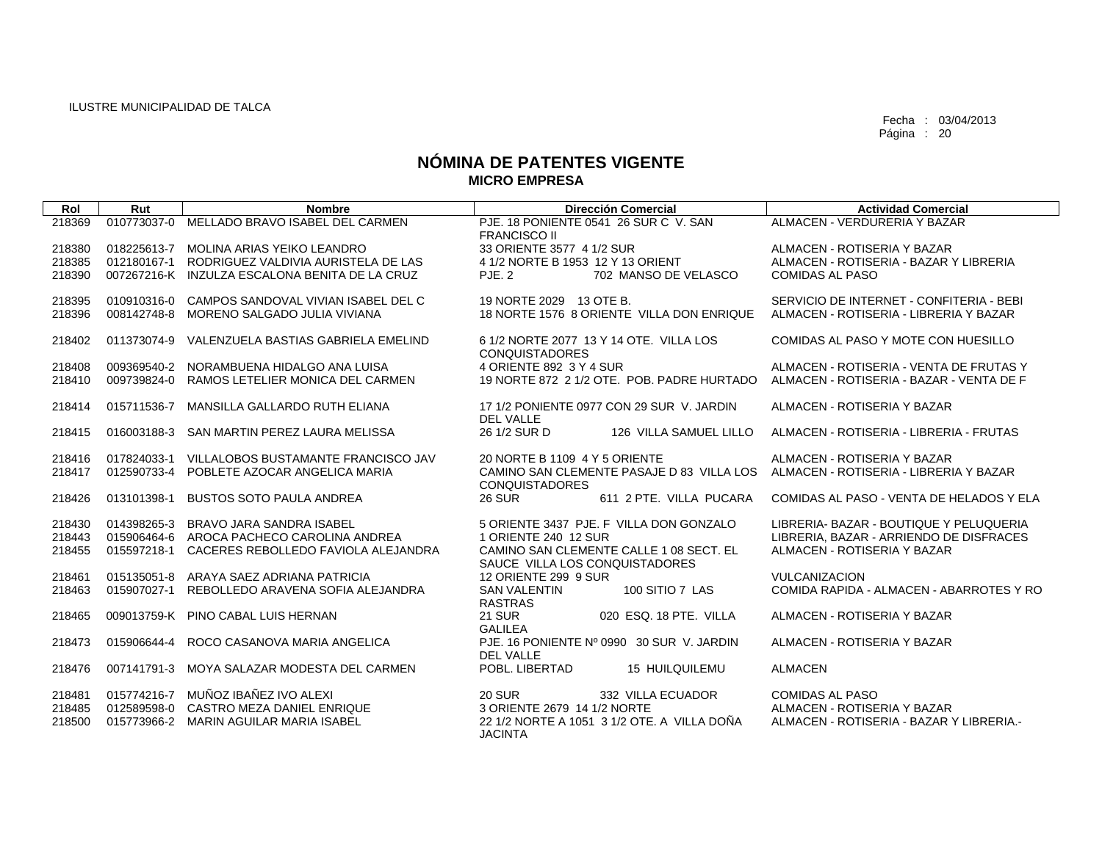| Rol              | Rut         | <b>Nombre</b>                                                                    | <b>Dirección Comercial</b>                                                                                | <b>Actividad Comercial</b>                                              |
|------------------|-------------|----------------------------------------------------------------------------------|-----------------------------------------------------------------------------------------------------------|-------------------------------------------------------------------------|
| 218369           | 010773037-0 | MELLADO BRAVO ISABEL DEL CARMEN                                                  | PJE, 18 PONIENTE 0541 26 SUR C V, SAN<br><b>FRANCISCO II</b>                                              | ALMACEN - VERDURERIA Y BAZAR                                            |
| 218380           |             | 018225613-7 MOLINA ARIAS YEIKO LEANDRO                                           | 33 ORIENTE 3577 4 1/2 SUR                                                                                 | ALMACEN - ROTISERIA Y BAZAR                                             |
| 218385           |             | 012180167-1 RODRIGUEZ VALDIVIA AURISTELA DE LAS                                  | 4 1/2 NORTE B 1953 12 Y 13 ORIENT                                                                         | ALMACEN - ROTISERIA - BAZAR Y LIBRERIA                                  |
| 218390           |             | 007267216-K INZULZA ESCALONA BENITA DE LA CRUZ                                   | PJE. 2<br>702 MANSO DE VELASCO                                                                            | <b>COMIDAS AL PASO</b>                                                  |
| 218395           | 010910316-0 | CAMPOS SANDOVAL VIVIAN ISABEL DEL C                                              | 19 NORTE 2029 13 OTE B.                                                                                   | SERVICIO DE INTERNET - CONFITERIA - BEBI                                |
| 218396           |             | 008142748-8 MORENO SALGADO JULIA VIVIANA                                         | 18 NORTE 1576 8 ORIENTE VILLA DON ENRIQUE ALMACEN - ROTISERIA - LIBRERIA Y BAZAR                          |                                                                         |
| 218402           |             | 011373074-9 VALENZUELA BASTIAS GABRIELA EMELIND                                  | 6 1/2 NORTE 2077 13 Y 14 OTE. VILLA LOS<br><b>CONQUISTADORES</b>                                          | COMIDAS AL PASO Y MOTE CON HUESILLO                                     |
| 218408           | 009369540-2 | NORAMBUENA HIDALGO ANA LUISA                                                     | 4 ORIENTE 892 3 Y 4 SUR                                                                                   | ALMACEN - ROTISERIA - VENTA DE FRUTAS Y                                 |
| 218410           | 009739824-0 | RAMOS LETELIER MONICA DEL CARMEN                                                 | 19 NORTE 872 2 1/2 OTE. POB. PADRE HURTADO                                                                | ALMACEN - ROTISERIA - BAZAR - VENTA DE F                                |
| 218414           | 015711536-7 | MANSILLA GALLARDO RUTH ELIANA                                                    | 17 1/2 PONIENTE 0977 CON 29 SUR V. JARDIN<br><b>DEL VALLE</b>                                             | ALMACEN - ROTISERIA Y BAZAR                                             |
| 218415           |             | 016003188-3 SAN MARTIN PEREZ LAURA MELISSA                                       | 26 1/2 SUR D<br>126 VILLA SAMUEL LILLO                                                                    | ALMACEN - ROTISERIA - LIBRERIA - FRUTAS                                 |
| 218416           |             | 017824033-1 VILLALOBOS BUSTAMANTE FRANCISCO JAV                                  | 20 NORTE B 1109 4 Y 5 ORIENTE                                                                             | ALMACEN - ROTISERIA Y BAZAR                                             |
| 218417           |             | 012590733-4 POBLETE AZOCAR ANGELICA MARIA                                        | CAMINO SAN CLEMENTE PASAJE D 83 VILLA LOS ALMACEN - ROTISERIA - LIBRERIA Y BAZAR<br><b>CONQUISTADORES</b> |                                                                         |
| 218426           | 013101398-1 | <b>BUSTOS SOTO PAULA ANDREA</b>                                                  | <b>26 SUR</b><br>611 2 PTE. VILLA PUCARA                                                                  | COMIDAS AL PASO - VENTA DE HELADOS Y ELA                                |
| 218430           |             | 014398265-3 BRAVO JARA SANDRA ISABEL                                             | 5 ORIENTE 3437 PJE. F VILLA DON GONZALO                                                                   | LIBRERIA- BAZAR - BOUTIQUE Y PELUQUERIA                                 |
| 218443           |             | 015906464-6 AROCA PACHECO CAROLINA ANDREA                                        | 1 ORIENTE 240 12 SUR                                                                                      | LIBRERIA, BAZAR - ARRIENDO DE DISFRACES                                 |
| 218455           |             | 015597218-1 CACERES REBOLLEDO FAVIOLA ALEJANDRA                                  | CAMINO SAN CLEMENTE CALLE 1 08 SECT. EL<br>SAUCE VILLA LOS CONQUISTADORES                                 | ALMACEN - ROTISERIA Y BAZAR                                             |
| 218461           |             | 015135051-8 ARAYA SAEZ ADRIANA PATRICIA                                          | 12 ORIENTE 299 9 SUR                                                                                      | <b>VULCANIZACION</b>                                                    |
| 218463           |             | 015907027-1 REBOLLEDO ARAVENA SOFIA ALEJANDRA                                    | 100 SITIO 7 LAS<br><b>SAN VALENTIN</b><br><b>RASTRAS</b>                                                  | COMIDA RAPIDA - ALMACEN - ABARROTES Y RO                                |
| 218465           |             | 009013759-K PINO CABAL LUIS HERNAN                                               | <b>21 SUR</b><br>020 ESQ, 18 PTE, VILLA<br>GALILEA                                                        | ALMACEN - ROTISERIA Y BAZAR                                             |
| 218473           |             | 015906644-4 ROCO CASANOVA MARIA ANGELICA                                         | PJE, 16 PONIENTE Nº 0990 30 SUR V. JARDIN<br>DEL VALLE                                                    | ALMACEN - ROTISERIA Y BAZAR                                             |
| 218476           |             | 007141791-3 MOYA SALAZAR MODESTA DEL CARMEN                                      | POBL. LIBERTAD<br><b>15 HUILQUILEMU</b>                                                                   | <b>ALMACEN</b>                                                          |
| 218481           |             | 015774216-7 MUÑOZ IBAÑEZ IVO ALEXI                                               | <b>20 SUR</b><br>332 VILLA ECUADOR                                                                        | COMIDAS AL PASO                                                         |
| 218485<br>218500 |             | 012589598-0 CASTRO MEZA DANIEL ENRIQUE<br>015773966-2 MARIN AGUILAR MARIA ISABEL | 3 ORIENTE 2679 14 1/2 NORTE<br>22 1/2 NORTE A 1051 3 1/2 OTE, A VILLA DOÑA                                | ALMACEN - ROTISERIA Y BAZAR<br>ALMACEN - ROTISERIA - BAZAR Y LIBRERIA.- |
|                  |             |                                                                                  | <b>JACINTA</b>                                                                                            |                                                                         |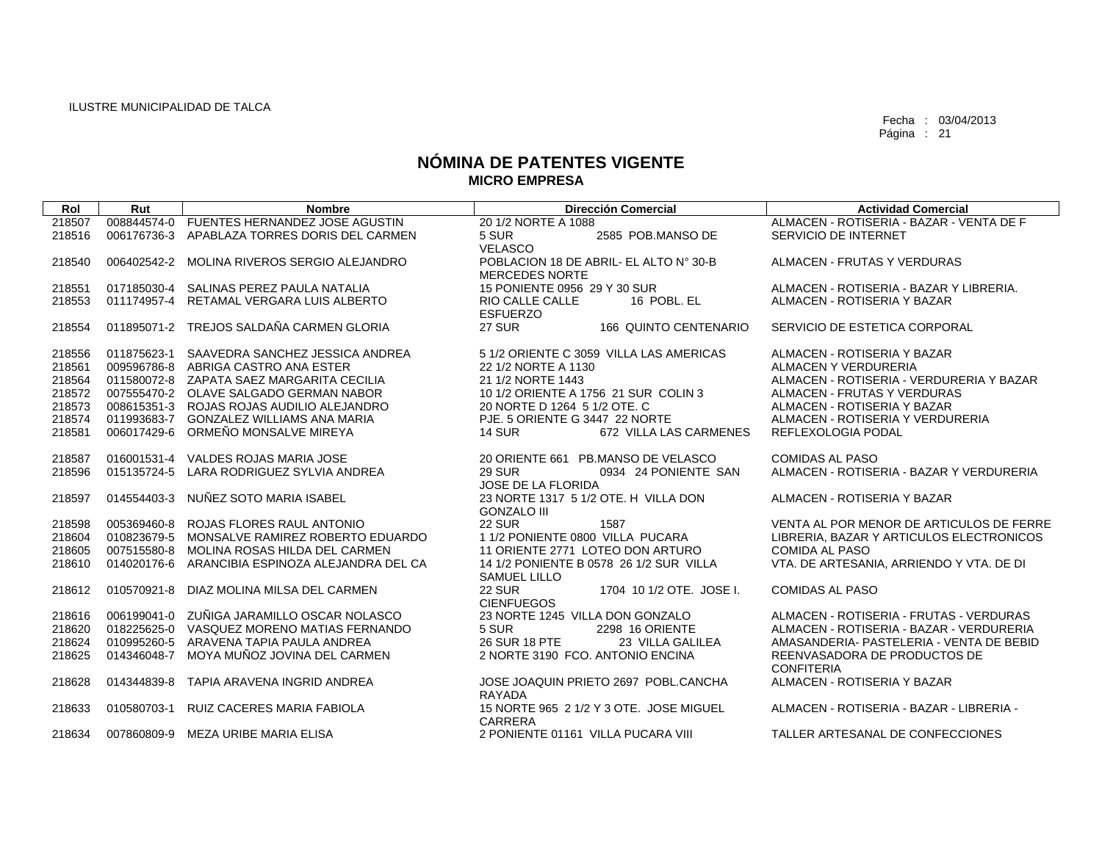| Rol    | Rut         | <b>Nombre</b>                              | <b>Dirección Comercial</b>                                            | <b>Actividad Comercial</b>                                               |
|--------|-------------|--------------------------------------------|-----------------------------------------------------------------------|--------------------------------------------------------------------------|
| 218507 | 008844574-0 | FUENTES HERNANDEZ JOSE AGUSTIN             | 20 1/2 NORTE A 1088                                                   | ALMACEN - ROTISERIA - BAZAR - VENTA DE F                                 |
| 218516 | 006176736-3 | APABLAZA TORRES DORIS DEL CARMEN           | 5 SUR<br>2585 POB.MANSO DE                                            | SERVICIO DE INTERNET                                                     |
|        |             |                                            | VELASCO                                                               |                                                                          |
| 218540 | 006402542-2 | MOLINA RIVEROS SERGIO ALEJANDRO            | POBLACION 18 DE ABRIL- EL ALTO Nº 30-B                                | ALMACEN - FRUTAS Y VERDURAS                                              |
|        |             |                                            | <b>MERCEDES NORTE</b>                                                 |                                                                          |
| 218551 | 017185030-4 | SALINAS PEREZ PAULA NATALIA                | 15 PONIENTE 0956 29 Y 30 SUR                                          | ALMACEN - ROTISERIA - BAZAR Y LIBRERIA.                                  |
| 218553 | 011174957-4 | RETAMAL VERGARA LUIS ALBERTO               | RIO CALLE CALLE<br>16 POBL. EL<br><b>ESFUERZO</b>                     | ALMACEN - ROTISERIA Y BAZAR                                              |
| 218554 | 011895071-2 | TREJOS SALDAÑA CARMEN GLORIA               | <b>27 SUR</b><br>166 QUINTO CENTENARIO                                | SERVICIO DE ESTETICA CORPORAL                                            |
|        |             |                                            |                                                                       |                                                                          |
| 218556 | 011875623-1 | SAAVEDRA SANCHEZ JESSICA ANDREA            | 5 1/2 ORIENTE C 3059 VILLA LAS AMERICAS                               | ALMACEN - ROTISERIA Y BAZAR                                              |
| 218561 | 009596786-8 | ABRIGA CASTRO ANA ESTER                    | 22 1/2 NORTE A 1130                                                   | ALMACEN Y VERDURERIA                                                     |
| 218564 |             | 011580072-8 ZAPATA SAEZ MARGARITA CECILIA  | 21 1/2 NORTE 1443                                                     | ALMACEN - ROTISERIA - VERDURERIA Y BAZAR                                 |
| 218572 |             | 007555470-2 OLAVE SALGADO GERMAN NABOR     | 10 1/2 ORIENTE A 1756 21 SUR COLIN 3                                  | ALMACEN - FRUTAS Y VERDURAS                                              |
| 218573 |             | 008615351-3 ROJAS ROJAS AUDILIO ALEJANDRO  | 20 NORTE D 1264 5 1/2 OTE, C                                          | ALMACEN - ROTISERIA Y BAZAR                                              |
| 218574 | 011993683-7 | GONZALEZ WILLIAMS ANA MARIA                | PJE, 5 ORIENTE G 3447 22 NORTE                                        | ALMACEN - ROTISERIA Y VERDURERIA                                         |
| 218581 | 006017429-6 | ORMEÑO MONSALVE MIREYA                     | <b>14 SUR</b><br>672 VILLA LAS CARMENES                               | REFLEXOLOGIA PODAL                                                       |
|        |             |                                            |                                                                       |                                                                          |
| 218587 | 016001531-4 | VALDES ROJAS MARIA JOSE                    | 20 ORIENTE 661 PB.MANSO DE VELASCO                                    | <b>COMIDAS AL PASO</b>                                                   |
| 218596 |             | 015135724-5 LARA RODRIGUEZ SYLVIA ANDREA   | <b>29 SUR</b><br>0934 24 PONIENTE SAN<br><b>JOSE DE LA FLORIDA</b>    | ALMACEN - ROTISERIA - BAZAR Y VERDURERIA                                 |
| 218597 |             | 014554403-3 NUÑEZ SOTO MARIA ISABEL        | 23 NORTE 1317 5 1/2 OTE, H VILLA DON                                  | ALMACEN - ROTISERIA Y BAZAR                                              |
|        |             |                                            | <b>GONZALO III</b>                                                    |                                                                          |
| 218598 | 005369460-8 | ROJAS FLORES RAUL ANTONIO                  | <b>22 SUR</b><br>1587                                                 | VENTA AL POR MENOR DE ARTICULOS DE FERRE                                 |
| 218604 | 010823679-5 | MONSALVE RAMIREZ ROBERTO EDUARDO           | 1 1/2 PONIENTE 0800 VILLA PUCARA                                      | LIBRERIA, BAZAR Y ARTICULOS ELECTRONICOS                                 |
| 218605 | 007515580-8 | MOLINA ROSAS HILDA DEL CARMEN              | 11 ORIENTE 2771 LOTEO DON ARTURO                                      | <b>COMIDA AL PASO</b>                                                    |
| 218610 | 014020176-6 | ARANCIBIA ESPINOZA ALEJANDRA DEL CA        | 14 1/2 PONIENTE B 0578 26 1/2 SUR VILLA                               | VTA. DE ARTESANIA, ARRIENDO Y VTA. DE DI                                 |
|        |             |                                            | <b>SAMUEL LILLO</b>                                                   |                                                                          |
| 218612 |             | 010570921-8 DIAZ MOLINA MILSA DEL CARMEN   | <b>22 SUR</b><br>1704 10 1/2 OTE. JOSE I.                             | <b>COMIDAS AL PASO</b>                                                   |
|        |             |                                            | <b>CIENFUEGOS</b>                                                     |                                                                          |
| 218616 |             | 006199041-0 ZUÑIGA JARAMILLO OSCAR NOLASCO | 23 NORTE 1245 VILLA DON GONZALO                                       | ALMACEN - ROTISERIA - FRUTAS - VERDURAS                                  |
| 218620 | 018225625-0 | VASQUEZ MORENO MATIAS FERNANDO             | 5 SUR<br>2298 16 ORIENTE                                              | ALMACEN - ROTISERIA - BAZAR - VERDURERIA                                 |
| 218624 | 010995260-5 | ARAVENA TAPIA PAULA ANDREA                 | 26 SUR 18 PTE<br>23 VILLA GALILEA<br>2 NORTE 3190 FCO, ANTONIO ENCINA | AMASANDERIA- PASTELERIA - VENTA DE BEBID<br>REENVASADORA DE PRODUCTOS DE |
| 218625 | 014346048-7 | MOYA MUÑOZ JOVINA DEL CARMEN               |                                                                       | <b>CONFITERIA</b>                                                        |
| 218628 | 014344839-8 | TAPIA ARAVENA INGRID ANDREA                | JOSE JOAQUIN PRIETO 2697 POBL.CANCHA                                  | ALMACEN - ROTISERIA Y BAZAR                                              |
|        |             |                                            | RAYADA                                                                |                                                                          |
| 218633 | 010580703-1 | RUIZ CACERES MARIA FABIOLA                 | 15 NORTE 965 2 1/2 Y 3 OTE. JOSE MIGUEL                               | ALMACEN - ROTISERIA - BAZAR - LIBRERIA -                                 |
|        |             |                                            | <b>CARRERA</b>                                                        |                                                                          |
| 218634 |             | 007860809-9 MEZA URIBE MARIA ELISA         | 2 PONIENTE 01161 VILLA PUCARA VIII                                    | TALLER ARTESANAL DE CONFECCIONES                                         |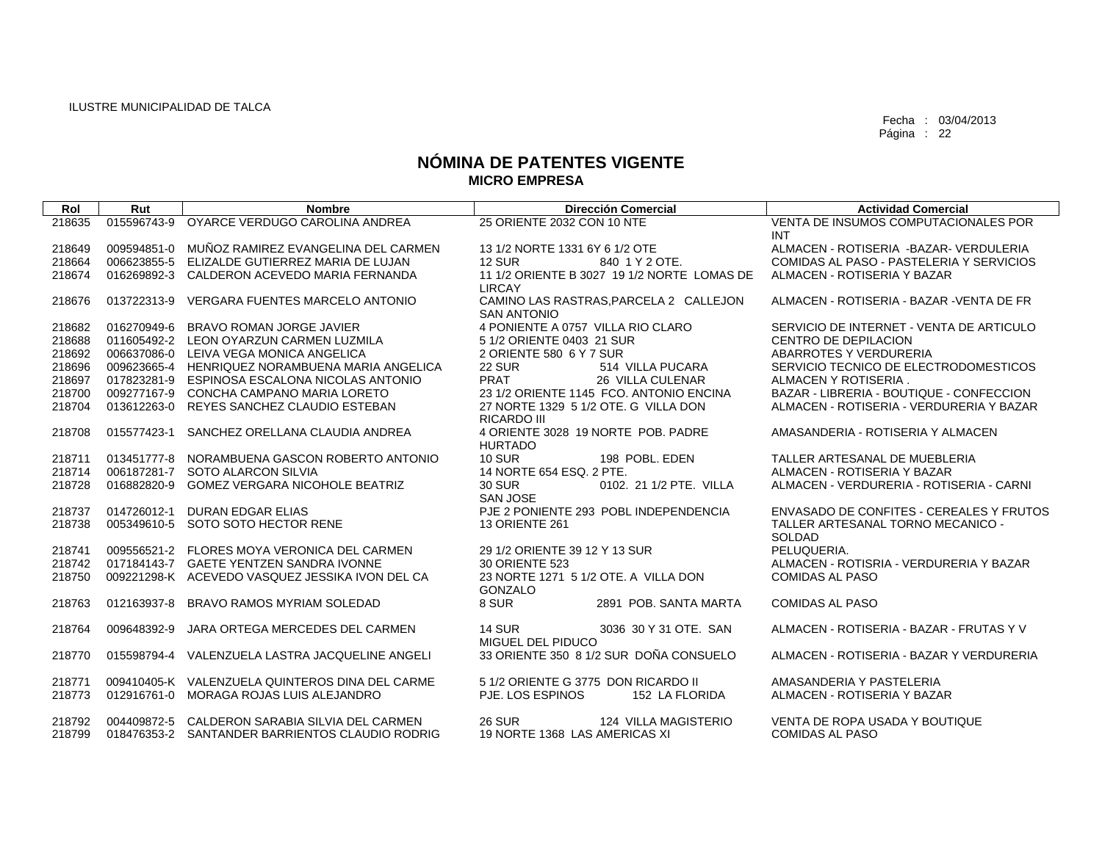| Rol              | Rut         | <b>Nombre</b>                                                                                     | <b>Dirección Comercial</b>                                             | <b>Actividad Comercial</b>                               |
|------------------|-------------|---------------------------------------------------------------------------------------------------|------------------------------------------------------------------------|----------------------------------------------------------|
| 218635           | 015596743-9 | OYARCE VERDUGO CAROLINA ANDREA                                                                    | 25 ORIENTE 2032 CON 10 NTE                                             | VENTA DE INSUMOS COMPUTACIONALES POR<br><b>INT</b>       |
| 218649           | 009594851-0 | MUÑOZ RAMIREZ EVANGELINA DEL CARMEN                                                               | 13 1/2 NORTE 1331 6Y 6 1/2 OTE                                         | ALMACEN - ROTISERIA - BAZAR - VERDULERIA                 |
| 218664           | 006623855-5 | ELIZALDE GUTIERREZ MARIA DE LUJAN                                                                 | <b>12 SUR</b><br>840 1 Y 2 OTE.                                        | COMIDAS AL PASO - PASTELERIA Y SERVICIOS                 |
| 218674           | 016269892-3 | CALDERON ACEVEDO MARIA FERNANDA                                                                   | 11 1/2 ORIENTE B 3027 19 1/2 NORTE LOMAS DE<br><b>LIRCAY</b>           | ALMACEN - ROTISERIA Y BAZAR                              |
| 218676           | 013722313-9 | <b>VERGARA FUENTES MARCELO ANTONIO</b>                                                            | CAMINO LAS RASTRAS. PARCELA 2 CALLEJON<br><b>SAN ANTONIO</b>           | ALMACEN - ROTISERIA - BAZAR - VENTA DE FR                |
| 218682           | 016270949-6 | BRAVO ROMAN JORGE JAVIER                                                                          | 4 PONIENTE A 0757 VILLA RIO CLARO                                      | SERVICIO DE INTERNET - VENTA DE ARTICULO                 |
| 218688           |             | 011605492-2 LEON OYARZUN CARMEN LUZMILA                                                           | 5 1/2 ORIENTE 0403 21 SUR                                              | CENTRO DE DEPILACION                                     |
| 218692           |             | 006637086-0 LEIVA VEGA MONICA ANGELICA                                                            | 2 ORIENTE 580 6 Y 7 SUR                                                | ABARROTES Y VERDURERIA                                   |
| 218696           |             | 009623665-4 HENRIQUEZ NORAMBUENA MARIA ANGELICA                                                   | <b>22 SUR</b><br>514 VILLA PUCARA                                      | SERVICIO TECNICO DE ELECTRODOMESTICOS                    |
| 218697           | 017823281-9 | ESPINOSA ESCALONA NICOLAS ANTONIO                                                                 | <b>PRAT</b><br>26 VILLA CULENAR                                        | ALMACEN Y ROTISERIA.                                     |
| 218700           | 009277167-9 | CONCHA CAMPANO MARIA LORETO                                                                       | 23 1/2 ORIENTE 1145 FCO. ANTONIO ENCINA                                | BAZAR - LIBRERIA - BOUTIQUE - CONFECCION                 |
| 218704           | 013612263-0 | REYES SANCHEZ CLAUDIO ESTEBAN                                                                     | 27 NORTE 1329 5 1/2 OTE, G VILLA DON<br><b>RICARDO III</b>             | ALMACEN - ROTISERIA - VERDURERIA Y BAZAR                 |
| 218708           | 015577423-1 | SANCHEZ ORELLANA CLAUDIA ANDREA                                                                   | 4 ORIENTE 3028 19 NORTE POB, PADRE<br><b>HURTADO</b>                   | AMASANDERIA - ROTISERIA Y ALMACEN                        |
| 218711           | 013451777-8 | NORAMBUENA GASCON ROBERTO ANTONIO                                                                 | <b>10 SUR</b><br>198 POBL, EDEN                                        | TALLER ARTESANAL DE MUEBLERIA                            |
| 218714           | 006187281-7 | SOTO ALARCON SILVIA                                                                               | 14 NORTE 654 ESQ, 2 PTE.                                               | ALMACEN - ROTISERIA Y BAZAR                              |
| 218728           | 016882820-9 | <b>GOMEZ VERGARA NICOHOLE BEATRIZ</b>                                                             | 30 SUR<br>0102. 21 1/2 PTE. VILLA<br>SAN JOSE                          | ALMACEN - VERDURERIA - ROTISERIA - CARNI                 |
| 218737           | 014726012-1 | <b>DURAN EDGAR ELIAS</b>                                                                          | PJE 2 PONIENTE 293 POBL INDEPENDENCIA                                  | ENVASADO DE CONFITES - CEREALES Y FRUTOS                 |
| 218738           |             | 005349610-5 SOTO SOTO HECTOR RENE                                                                 | <b>13 ORIENTE 261</b>                                                  | TALLER ARTESANAL TORNO MECANICO -<br>SOLDAD              |
| 218741           |             | 009556521-2 FLORES MOYA VERONICA DEL CARMEN                                                       | 29 1/2 ORIENTE 39 12 Y 13 SUR                                          | PELUQUERIA.                                              |
| 218742           |             | 017184143-7 GAETE YENTZEN SANDRA IVONNE                                                           | 30 ORIENTE 523                                                         | ALMACEN - ROTISRIA - VERDURERIA Y BAZAR                  |
| 218750           |             | 009221298-K ACEVEDO VASQUEZ JESSIKA IVON DEL CA                                                   | 23 NORTE 1271 5 1/2 OTE. A VILLA DON<br>GONZALO                        | <b>COMIDAS AL PASO</b>                                   |
| 218763           | 012163937-8 | BRAVO RAMOS MYRIAM SOLEDAD                                                                        | 8 SUR<br>2891 POB, SANTA MARTA                                         | <b>COMIDAS AL PASO</b>                                   |
| 218764           | 009648392-9 | JARA ORTEGA MERCEDES DEL CARMEN                                                                   | <b>14 SUR</b><br>3036 30 Y 31 OTE, SAN<br>MIGUEL DEL PIDUCO            | ALMACEN - ROTISERIA - BAZAR - FRUTAS Y V                 |
| 218770           |             | 015598794-4 VALENZUELA LASTRA JACQUELINE ANGELI                                                   | 33 ORIENTE 350 8 1/2 SUR DOÑA CONSUELO                                 | ALMACEN - ROTISERIA - BAZAR Y VERDURERIA                 |
| 218771           |             | 009410405-K VALENZUELA QUINTEROS DINA DEL CARME                                                   | 5 1/2 ORIENTE G 3775 DON RICARDO II                                    | AMASANDERIA Y PASTELERIA                                 |
| 218773           | 012916761-0 | MORAGA ROJAS LUIS ALEJANDRO                                                                       | PJE. LOS ESPINOS<br>152 LA FLORIDA                                     | ALMACEN - ROTISERIA Y BAZAR                              |
| 218792<br>218799 |             | 004409872-5 CALDERON SARABIA SILVIA DEL CARMEN<br>018476353-2 SANTANDER BARRIENTOS CLAUDIO RODRIG | <b>26 SUR</b><br>124 VILLA MAGISTERIO<br>19 NORTE 1368 LAS AMERICAS XI | VENTA DE ROPA USADA Y BOUTIQUE<br><b>COMIDAS AL PASO</b> |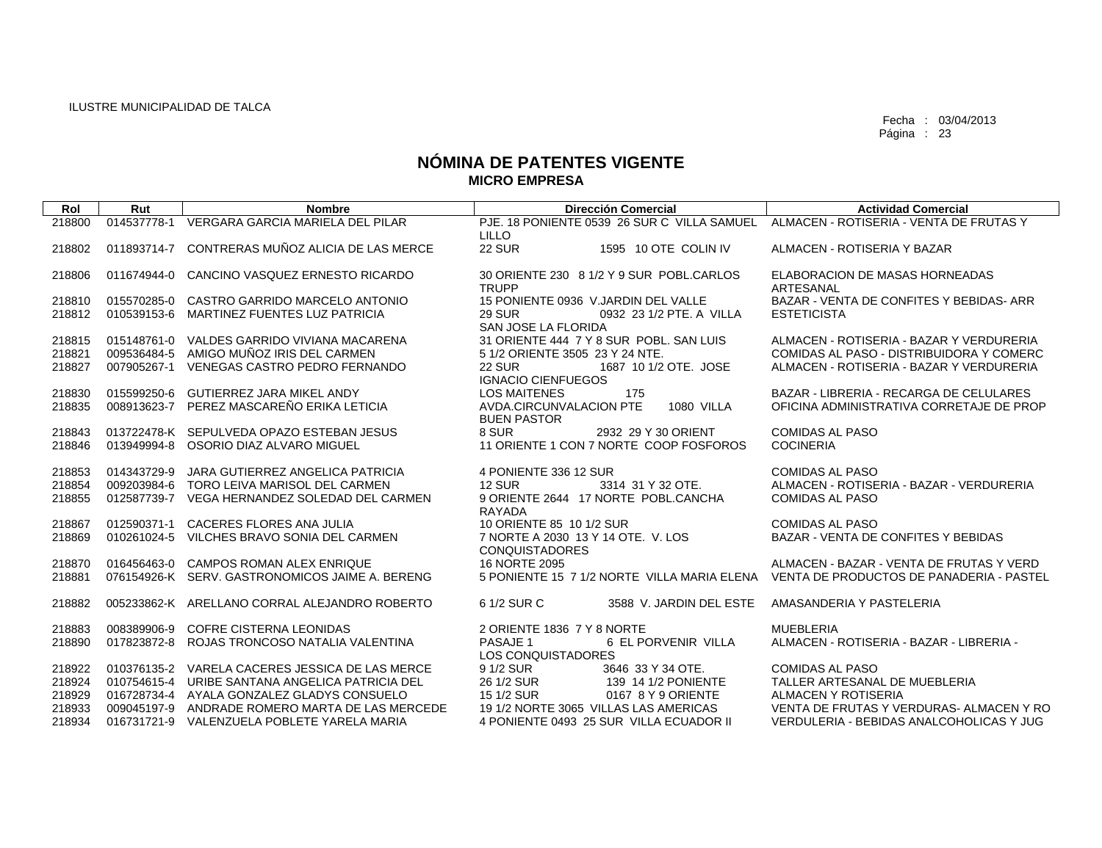| Rol    | Rut         | <b>Nombre</b>                                   | <b>Dirección Comercial</b>                                                           | <b>Actividad Comercial</b>               |
|--------|-------------|-------------------------------------------------|--------------------------------------------------------------------------------------|------------------------------------------|
| 218800 | 014537778-1 | VERGARA GARCIA MARIELA DEL PILAR                | PJE. 18 PONIENTE 0539 26 SUR C VILLA SAMUEL ALMACEN - ROTISERIA - VENTA DE FRUTAS Y  |                                          |
|        |             |                                                 | <b>LILLO</b>                                                                         |                                          |
| 218802 | 011893714-7 | CONTRERAS MUÑOZ ALICIA DE LAS MERCE             | <b>22 SUR</b><br>1595 10 OTE COLIN IV                                                | ALMACEN - ROTISERIA Y BAZAR              |
|        |             |                                                 |                                                                                      |                                          |
| 218806 | 011674944-0 | CANCINO VASQUEZ ERNESTO RICARDO                 | 30 ORIENTE 230 8 1/2 Y 9 SUR POBL.CARLOS                                             | ELABORACION DE MASAS HORNEADAS           |
|        |             |                                                 | <b>TRUPP</b>                                                                         | ARTESANAL                                |
| 218810 | 015570285-0 | CASTRO GARRIDO MARCELO ANTONIO                  | 15 PONIENTE 0936 V.JARDIN DEL VALLE                                                  | BAZAR - VENTA DE CONFITES Y BEBIDAS-ARR  |
| 218812 | 010539153-6 | MARTINEZ FUENTES LUZ PATRICIA                   | <b>29 SUR</b><br>0932 23 1/2 PTE, A VILLA                                            | <b>ESTETICISTA</b>                       |
|        |             |                                                 | SAN JOSE LA FLORIDA                                                                  |                                          |
| 218815 |             | 015148761-0 VALDES GARRIDO VIVIANA MACARENA     | 31 ORIENTE 444 7 Y 8 SUR POBL, SAN LUIS                                              | ALMACEN - ROTISERIA - BAZAR Y VERDURERIA |
| 218821 |             | 009536484-5 AMIGO MUÑOZ IRIS DEL CARMEN         | 5 1/2 ORIENTE 3505 23 Y 24 NTE.                                                      | COMIDAS AL PASO - DISTRIBUIDORA Y COMERC |
| 218827 | 007905267-1 | VENEGAS CASTRO PEDRO FERNANDO                   | <b>22 SUR</b><br>1687 10 1/2 OTE, JOSE<br><b>IGNACIO CIENFUEGOS</b>                  | ALMACEN - ROTISERIA - BAZAR Y VERDURERIA |
| 218830 | 015599250-6 | <b>GUTIERREZ JARA MIKEL ANDY</b>                | <b>LOS MAITENES</b><br>175                                                           | BAZAR - LIBRERIA - RECARGA DE CELULARES  |
| 218835 |             | 008913623-7 PEREZ MASCAREÑO ERIKA LETICIA       | AVDA.CIRCUNVALACION PTE<br>1080 VILLA                                                | OFICINA ADMINISTRATIVA CORRETAJE DE PROP |
|        |             |                                                 | <b>BUEN PASTOR</b>                                                                   |                                          |
| 218843 |             | 013722478-K SEPULVEDA OPAZO ESTEBAN JESUS       | 8 SUR<br>2932 29 Y 30 ORIENT                                                         | <b>COMIDAS AL PASO</b>                   |
| 218846 | 013949994-8 | OSORIO DIAZ ALVARO MIGUEL                       | 11 ORIENTE 1 CON 7 NORTE COOP FOSFOROS                                               | <b>COCINERIA</b>                         |
|        |             |                                                 |                                                                                      |                                          |
| 218853 | 014343729-9 | JARA GUTIERREZ ANGELICA PATRICIA                | 4 PONIENTE 336 12 SUR                                                                | <b>COMIDAS AL PASO</b>                   |
| 218854 |             | 009203984-6 TORO LEIVA MARISOL DEL CARMEN       | <b>12 SUR</b><br>3314 31 Y 32 OTE.                                                   | ALMACEN - ROTISERIA - BAZAR - VERDURERIA |
| 218855 |             | 012587739-7 VEGA HERNANDEZ SOLEDAD DEL CARMEN   | 9 ORIENTE 2644 17 NORTE POBL.CANCHA                                                  | <b>COMIDAS AL PASO</b>                   |
|        |             |                                                 | RAYADA                                                                               |                                          |
| 218867 | 012590371-1 | <b>CACERES FLORES ANA JULIA</b>                 | 10 ORIENTE 85 10 1/2 SUR                                                             | <b>COMIDAS AL PASO</b>                   |
| 218869 |             | 010261024-5 VILCHES BRAVO SONIA DEL CARMEN      | 7 NORTE A 2030 13 Y 14 OTE. V. LOS                                                   | BAZAR - VENTA DE CONFITES Y BEBIDAS      |
|        |             |                                                 | <b>CONQUISTADORES</b>                                                                |                                          |
| 218870 | 016456463-0 | <b>CAMPOS ROMAN ALEX ENRIQUE</b>                | 16 NORTE 2095                                                                        | ALMACEN - BAZAR - VENTA DE FRUTAS Y VERD |
| 218881 |             | 076154926-K SERV, GASTRONOMICOS JAIME A, BERENG | 5 PONIENTE 15 7 1/2 NORTE VILLA MARIA ELENA VENTA DE PRODUCTOS DE PANADERIA - PASTEL |                                          |
| 218882 |             | 005233862-K ARELLANO CORRAL ALEJANDRO ROBERTO   | 6 1/2 SUR C<br>3588 V. JARDIN DEL ESTE                                               | AMASANDERIA Y PASTELERIA                 |
|        |             |                                                 |                                                                                      |                                          |
| 218883 | 008389906-9 | <b>COFRE CISTERNA LEONIDAS</b>                  | 2 ORIENTE 1836 7 Y 8 NORTE                                                           | <b>MUEBLERIA</b>                         |
| 218890 |             | 017823872-8 ROJAS TRONCOSO NATALIA VALENTINA    | PASAJE 1<br>6 EL PORVENIR VILLA                                                      | ALMACEN - ROTISERIA - BAZAR - LIBRERIA - |
|        |             |                                                 | <b>LOS CONQUISTADORES</b>                                                            |                                          |
| 218922 |             | 010376135-2 VARELA CACERES JESSICA DE LAS MERCE | 9 1/2 SUR<br>3646 33 Y 34 OTE.                                                       | <b>COMIDAS AL PASO</b>                   |
| 218924 |             | 010754615-4 URIBE SANTANA ANGELICA PATRICIA DEL | 26 1/2 SUR<br>139 14 1/2 PONIENTE                                                    | TALLER ARTESANAL DE MUEBLERIA            |
| 218929 |             | 016728734-4 AYALA GONZALEZ GLADYS CONSUELO      | 15 1/2 SUR<br>0167 8 Y 9 ORIENTE                                                     | ALMACEN Y ROTISERIA                      |
| 218933 |             | 009045197-9 ANDRADE ROMERO MARTA DE LAS MERCEDE | 19 1/2 NORTE 3065 VILLAS LAS AMERICAS                                                | VENTA DE FRUTAS Y VERDURAS- ALMACEN Y RO |
| 218934 |             | 016731721-9 VALENZUELA POBLETE YARELA MARIA     | 4 PONIENTE 0493 25 SUR VILLA ECUADOR II                                              | VERDULERIA - BEBIDAS ANALCOHOLICAS Y JUG |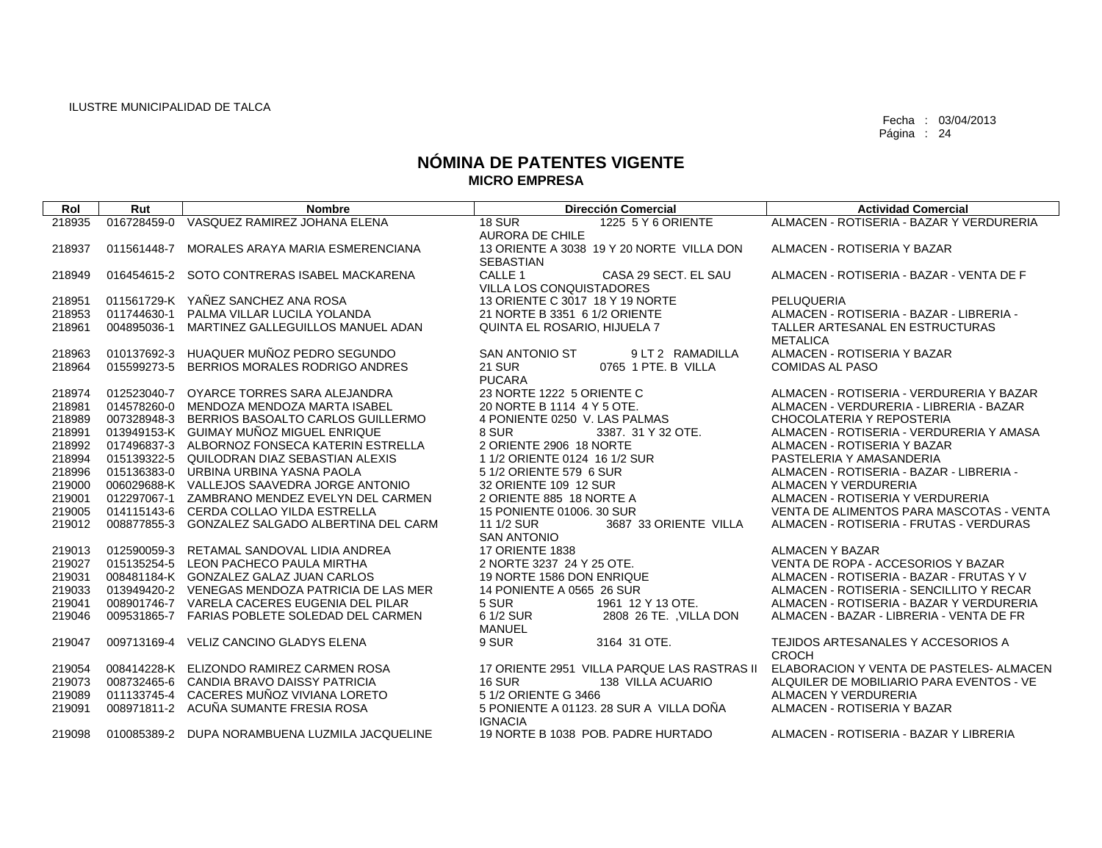| Rol              | Rut         | <b>Nombre</b>                                                                            | <b>Dirección Comercial</b>                                         | <b>Actividad Comercial</b>                                                   |
|------------------|-------------|------------------------------------------------------------------------------------------|--------------------------------------------------------------------|------------------------------------------------------------------------------|
| 218935           | 016728459-0 | VASQUEZ RAMIREZ JOHANA ELENA                                                             | <b>18 SUR</b><br>1225 5 Y 6 ORIENTE                                | ALMACEN - ROTISERIA - BAZAR Y VERDURERIA                                     |
|                  |             |                                                                                          | <b>AURORA DE CHILE</b>                                             |                                                                              |
| 218937           | 011561448-7 | MORALES ARAYA MARIA ESMERENCIANA                                                         | 13 ORIENTE A 3038 19 Y 20 NORTE VILLA DON                          | ALMACEN - ROTISERIA Y BAZAR                                                  |
|                  |             |                                                                                          | <b>SEBASTIAN</b>                                                   |                                                                              |
| 218949           |             | 016454615-2 SOTO CONTRERAS ISABEL MACKARENA                                              | CALLE <sub>1</sub><br>CASA 29 SECT. EL SAU                         | ALMACEN - ROTISERIA - BAZAR - VENTA DE F                                     |
|                  |             | 011561729-K YAÑEZ SANCHEZ ANA ROSA                                                       | <b>VILLA LOS CONQUISTADORES</b><br>13 ORIENTE C 3017 18 Y 19 NORTE | PELUQUERIA                                                                   |
| 218951<br>218953 |             | 011744630-1 PALMA VILLAR LUCILA YOLANDA                                                  | 21 NORTE B 3351 6 1/2 ORIENTE                                      | ALMACEN - ROTISERIA - BAZAR - LIBRERIA -                                     |
| 218961           | 004895036-1 | MARTINEZ GALLEGUILLOS MANUEL ADAN                                                        | QUINTA EL ROSARIO, HIJUELA 7                                       | TALLER ARTESANAL EN ESTRUCTURAS                                              |
|                  |             |                                                                                          |                                                                    | <b>METALICA</b>                                                              |
| 218963           |             | 010137692-3 HUAQUER MUÑOZ PEDRO SEGUNDO                                                  | <b>SAN ANTONIO ST</b><br>9 LT 2 RAMADILLA                          | ALMACEN - ROTISERIA Y BAZAR                                                  |
| 218964           |             | 015599273-5 BERRIOS MORALES RODRIGO ANDRES                                               | <b>21 SUR</b><br>0765 1 PTE, B VILLA                               | <b>COMIDAS AL PASO</b>                                                       |
|                  |             |                                                                                          | <b>PUCARA</b>                                                      |                                                                              |
| 218974           |             | 012523040-7 OYARCE TORRES SARA ALEJANDRA                                                 | 23 NORTE 1222 5 ORIENTE C                                          | ALMACEN - ROTISERIA - VERDURERIA Y BAZAR                                     |
| 218981           |             | 014578260-0 MENDOZA MENDOZA MARTA ISABEL                                                 | 20 NORTE B 1114 4 Y 5 OTE.                                         | ALMACEN - VERDURERIA - LIBRERIA - BAZAR                                      |
| 218989           |             | 007328948-3 BERRIOS BASOALTO CARLOS GUILLERMO                                            | 4 PONIENTE 0250 V. LAS PALMAS                                      | CHOCOLATERIA Y REPOSTERIA                                                    |
| 218991           |             | 013949153-K GUIMAY MUÑOZ MIGUEL ENRIQUE                                                  | 8 SUR<br>3387. 31 Y 32 OTE.                                        | ALMACEN - ROTISERIA - VERDURERIA Y AMASA                                     |
| 218992           |             | 017496837-3 ALBORNOZ FONSECA KATERIN ESTRELLA                                            | 2 ORIENTE 2906 18 NORTE                                            | ALMACEN - ROTISERIA Y BAZAR                                                  |
| 218994           |             | 015139322-5 QUILODRAN DIAZ SEBASTIAN ALEXIS                                              | 1 1/2 ORIENTE 0124 16 1/2 SUR                                      | PASTELERIA Y AMASANDERIA                                                     |
| 218996           |             | 015136383-0 URBINA URBINA YASNA PAOLA                                                    | 5 1/2 ORIENTE 579 6 SUR                                            | ALMACEN - ROTISERIA - BAZAR - LIBRERIA -                                     |
| 219000           |             | 006029688-K VALLEJOS SAAVEDRA JORGE ANTONIO                                              | 32 ORIENTE 109 12 SUR                                              | ALMACEN Y VERDURERIA                                                         |
| 219001<br>219005 |             | 012297067-1 ZAMBRANO MENDEZ EVELYN DEL CARMEN<br>014115143-6 CERDA COLLAO YILDA ESTRELLA | 2 ORIENTE 885 18 NORTE A<br>15 PONIENTE 01006, 30 SUR              | ALMACEN - ROTISERIA Y VERDURERIA<br>VENTA DE ALIMENTOS PARA MASCOTAS - VENTA |
| 219012           |             | 008877855-3 GONZALEZ SALGADO ALBERTINA DEL CARM                                          | 11 1/2 SUR<br>3687 33 ORIENTE VILLA                                | ALMACEN - ROTISERIA - FRUTAS - VERDURAS                                      |
|                  |             |                                                                                          | <b>SAN ANTONIO</b>                                                 |                                                                              |
| 219013           |             | 012590059-3 RETAMAL SANDOVAL LIDIA ANDREA                                                | <b>17 ORIENTE 1838</b>                                             | <b>ALMACEN Y BAZAR</b>                                                       |
| 219027           |             | 015135254-5 LEON PACHECO PAULA MIRTHA                                                    | 2 NORTE 3237 24 Y 25 OTE.                                          | VENTA DE ROPA - ACCESORIOS Y BAZAR                                           |
| 219031           |             | 008481184-K GONZALEZ GALAZ JUAN CARLOS                                                   | 19 NORTE 1586 DON ENRIQUE                                          | ALMACEN - ROTISERIA - BAZAR - FRUTAS Y V                                     |
| 219033           |             | 013949420-2 VENEGAS MENDOZA PATRICIA DE LAS MER                                          | 14 PONIENTE A 0565 26 SUR                                          | ALMACEN - ROTISERIA - SENCILLITO Y RECAR                                     |
| 219041           |             | 008901746-7 VARELA CACERES EUGENIA DEL PILAR                                             | 1961 12 Y 13 OTE.<br>5 SUR                                         | ALMACEN - ROTISERIA - BAZAR Y VERDURERIA                                     |
| 219046           |             | 009531865-7 FARIAS POBLETE SOLEDAD DEL CARMEN                                            | 6 1/2 SUR<br>2808 26 TE. , VILLA DON<br><b>MANUEL</b>              | ALMACEN - BAZAR - LIBRERIA - VENTA DE FR                                     |
| 219047           | 009713169-4 | VELIZ CANCINO GLADYS ELENA                                                               | 9 SUR<br>3164 31 OTE.                                              | TEJIDOS ARTESANALES Y ACCESORIOS A                                           |
|                  |             |                                                                                          |                                                                    | <b>CROCH</b>                                                                 |
| 219054           |             | 008414228-K ELIZONDO RAMIREZ CARMEN ROSA                                                 | 17 ORIENTE 2951 VILLA PARQUE LAS RASTRAS II                        | ELABORACION Y VENTA DE PASTELES- ALMACEN                                     |
| 219073           |             | 008732465-6 CANDIA BRAVO DAISSY PATRICIA                                                 | <b>16 SUR</b><br>138 VILLA ACUARIO                                 | ALQUILER DE MOBILIARIO PARA EVENTOS - VE                                     |
| 219089           |             | 011133745-4 CACERES MUÑOZ VIVIANA LORETO                                                 | 5 1/2 ORIENTE G 3466                                               | ALMACEN Y VERDURERIA                                                         |
| 219091           |             | 008971811-2 ACUÑA SUMANTE FRESIA ROSA                                                    | 5 PONIENTE A 01123, 28 SUR A VILLA DOÑA                            | ALMACEN - ROTISERIA Y BAZAR                                                  |
| 219098           |             | 010085389-2 DUPA NORAMBUENA LUZMILA JACQUELINE                                           | <b>IGNACIA</b><br>19 NORTE B 1038 POB, PADRE HURTADO               | ALMACEN - ROTISERIA - BAZAR Y LIBRERIA                                       |
|                  |             |                                                                                          |                                                                    |                                                                              |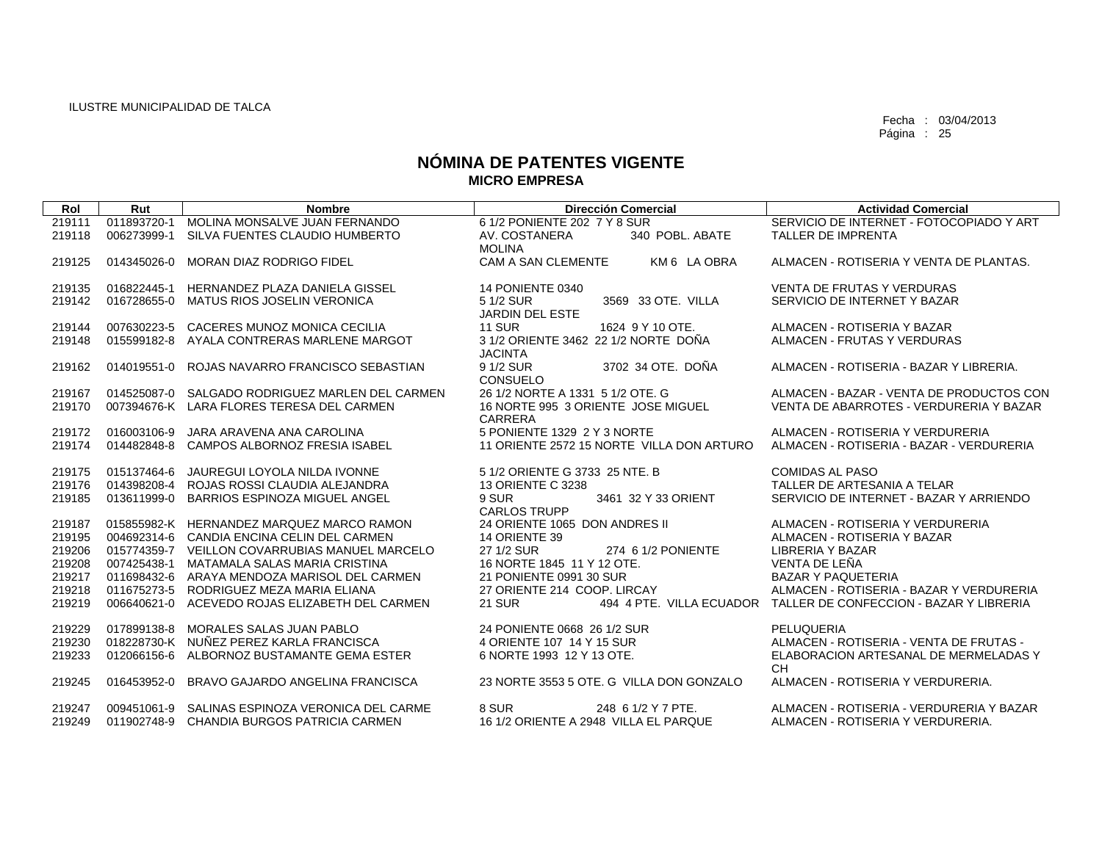| Rol              | Rut         | <b>Nombre</b>                                                                                | <b>Dirección Comercial</b>                                             | <b>Actividad Comercial</b>                                                          |
|------------------|-------------|----------------------------------------------------------------------------------------------|------------------------------------------------------------------------|-------------------------------------------------------------------------------------|
| 219111           | 011893720-1 | MOLINA MONSALVE JUAN FERNANDO                                                                | 6 1/2 PONIENTE 202 7 Y 8 SUR                                           | SERVICIO DE INTERNET - FOTOCOPIADO Y ART                                            |
| 219118           | 006273999-1 | SILVA FUENTES CLAUDIO HUMBERTO                                                               | 340 POBL, ABATE<br>AV. COSTANERA                                       | TALLER DE IMPRENTA                                                                  |
|                  |             |                                                                                              | <b>MOLINA</b>                                                          |                                                                                     |
| 219125           | 014345026-0 | MORAN DIAZ RODRIGO FIDEL                                                                     | CAM A SAN CLEMENTE<br>KM 6 LA OBRA                                     | ALMACEN - ROTISERIA Y VENTA DE PLANTAS.                                             |
| 219135           | 016822445-1 | HERNANDEZ PLAZA DANIELA GISSEL                                                               | <b>14 PONIENTE 0340</b>                                                | <b>VENTA DE FRUTAS Y VERDURAS</b>                                                   |
| 219142           | 016728655-0 | <b>MATUS RIOS JOSELIN VERONICA</b>                                                           | 5 1/2 SUR<br>3569 33 OTE, VILLA                                        | SERVICIO DE INTERNET Y BAZAR                                                        |
|                  |             |                                                                                              | <b>JARDIN DEL ESTE</b>                                                 |                                                                                     |
| 219144           | 007630223-5 | CACERES MUNOZ MONICA CECILIA                                                                 | 1624 9 Y 10 OTE.<br><b>11 SUR</b>                                      | ALMACEN - ROTISERIA Y BAZAR                                                         |
| 219148           |             | 015599182-8 AYALA CONTRERAS MARLENE MARGOT                                                   | 3 1/2 ORIENTE 3462 22 1/2 NORTE DOÑA                                   | ALMACEN - FRUTAS Y VERDURAS                                                         |
|                  |             |                                                                                              | <b>JACINTA</b>                                                         |                                                                                     |
| 219162           | 014019551-0 | ROJAS NAVARRO FRANCISCO SEBASTIAN                                                            | 9 1/2 SUR<br>3702 34 OTE, DOÑA                                         | ALMACEN - ROTISERIA - BAZAR Y LIBRERIA.                                             |
|                  |             |                                                                                              | CONSUELO                                                               |                                                                                     |
| 219167           |             | 014525087-0 SALGADO RODRIGUEZ MARLEN DEL CARMEN<br>007394676-K LARA FLORES TERESA DEL CARMEN | 26 1/2 NORTE A 1331 5 1/2 OTE, G<br>16 NORTE 995 3 ORIENTE JOSE MIGUEL | ALMACEN - BAZAR - VENTA DE PRODUCTOS CON<br>VENTA DE ABARROTES - VERDURERIA Y BAZAR |
| 219170           |             |                                                                                              | CARRERA                                                                |                                                                                     |
| 219172           |             | 016003106-9 JARA ARAVENA ANA CAROLINA                                                        | 5 PONIENTE 1329 2 Y 3 NORTE                                            | ALMACEN - ROTISERIA Y VERDURERIA                                                    |
| 219174           |             | 014482848-8 CAMPOS ALBORNOZ FRESIA ISABEL                                                    | 11 ORIENTE 2572 15 NORTE VILLA DON ARTURO                              | ALMACEN - ROTISERIA - BAZAR - VERDURERIA                                            |
|                  |             |                                                                                              |                                                                        |                                                                                     |
| 219175           | 015137464-6 | JAUREGUI LOYOLA NILDA IVONNE                                                                 | 5 1/2 ORIENTE G 3733 25 NTE. B                                         | <b>COMIDAS AL PASO</b>                                                              |
| 219176           | 014398208-4 | ROJAS ROSSI CLAUDIA ALEJANDRA                                                                | 13 ORIENTE C 3238                                                      | TALLER DE ARTESANIA A TELAR                                                         |
| 219185           | 013611999-0 | <b>BARRIOS ESPINOZA MIGUEL ANGEL</b>                                                         | 9 SUR<br>3461 32 Y 33 ORIENT                                           | SERVICIO DE INTERNET - BAZAR Y ARRIENDO                                             |
|                  |             |                                                                                              | <b>CARLOS TRUPP</b>                                                    |                                                                                     |
| 219187           |             | 015855982-K HERNANDEZ MARQUEZ MARCO RAMON                                                    | 24 ORIENTE 1065 DON ANDRES II                                          | ALMACEN - ROTISERIA Y VERDURERIA                                                    |
| 219195           |             | 004692314-6 CANDIA ENCINA CELIN DEL CARMEN                                                   | 14 ORIENTE 39<br>27 1/2 SUR                                            | ALMACEN - ROTISERIA Y BAZAR                                                         |
| 219206<br>219208 | 007425438-1 | 015774359-7 VEILLON COVARRUBIAS MANUEL MARCELO<br>MATAMALA SALAS MARIA CRISTINA              | 274 6 1/2 PONIENTE<br>16 NORTE 1845 11 Y 12 OTE.                       | <b>LIBRERIA Y BAZAR</b><br>VENTA DE LEÑA                                            |
| 219217           | 011698432-6 | ARAYA MENDOZA MARISOL DEL CARMEN                                                             | 21 PONIENTE 0991 30 SUR                                                | <b>BAZAR Y PAQUETERIA</b>                                                           |
| 219218           | 011675273-5 | RODRIGUEZ MEZA MARIA ELIANA                                                                  | 27 ORIENTE 214 COOP, LIRCAY                                            | ALMACEN - ROTISERIA - BAZAR Y VERDURERIA                                            |
| 219219           |             | 006640621-0 ACEVEDO ROJAS ELIZABETH DEL CARMEN                                               | <b>21 SUR</b>                                                          | 494 4 PTE. VILLA ECUADOR TALLER DE CONFECCION - BAZAR Y LIBRERIA                    |
|                  |             |                                                                                              |                                                                        |                                                                                     |
| 219229           |             | 017899138-8 MORALES SALAS JUAN PABLO                                                         | 24 PONIENTE 0668 26 1/2 SUR                                            | PELUQUERIA                                                                          |
| 219230           |             | 018228730-K NUÑEZ PEREZ KARLA FRANCISCA                                                      | 4 ORIENTE 107 14 Y 15 SUR                                              | ALMACEN - ROTISERIA - VENTA DE FRUTAS -                                             |
| 219233           |             | 012066156-6 ALBORNOZ BUSTAMANTE GEMA ESTER                                                   | 6 NORTE 1993 12 Y 13 OTE.                                              | ELABORACION ARTESANAL DE MERMELADAS Y                                               |
|                  |             |                                                                                              |                                                                        | <b>CH</b>                                                                           |
| 219245           | 016453952-0 | BRAVO GAJARDO ANGELINA FRANCISCA                                                             | 23 NORTE 3553 5 OTE, G VILLA DON GONZALO                               | ALMACEN - ROTISERIA Y VERDURERIA.                                                   |
| 219247           | 009451061-9 | SALINAS ESPINOZA VERONICA DEL CARME                                                          | 8 SUR<br>248 6 1/2 Y 7 PTE.                                            | ALMACEN - ROTISERIA - VERDURERIA Y BAZAR                                            |
| 219249           |             | 011902748-9 CHANDIA BURGOS PATRICIA CARMEN                                                   | 16 1/2 ORIENTE A 2948 VILLA EL PARQUE                                  | ALMACEN - ROTISERIA Y VERDURERIA.                                                   |
|                  |             |                                                                                              |                                                                        |                                                                                     |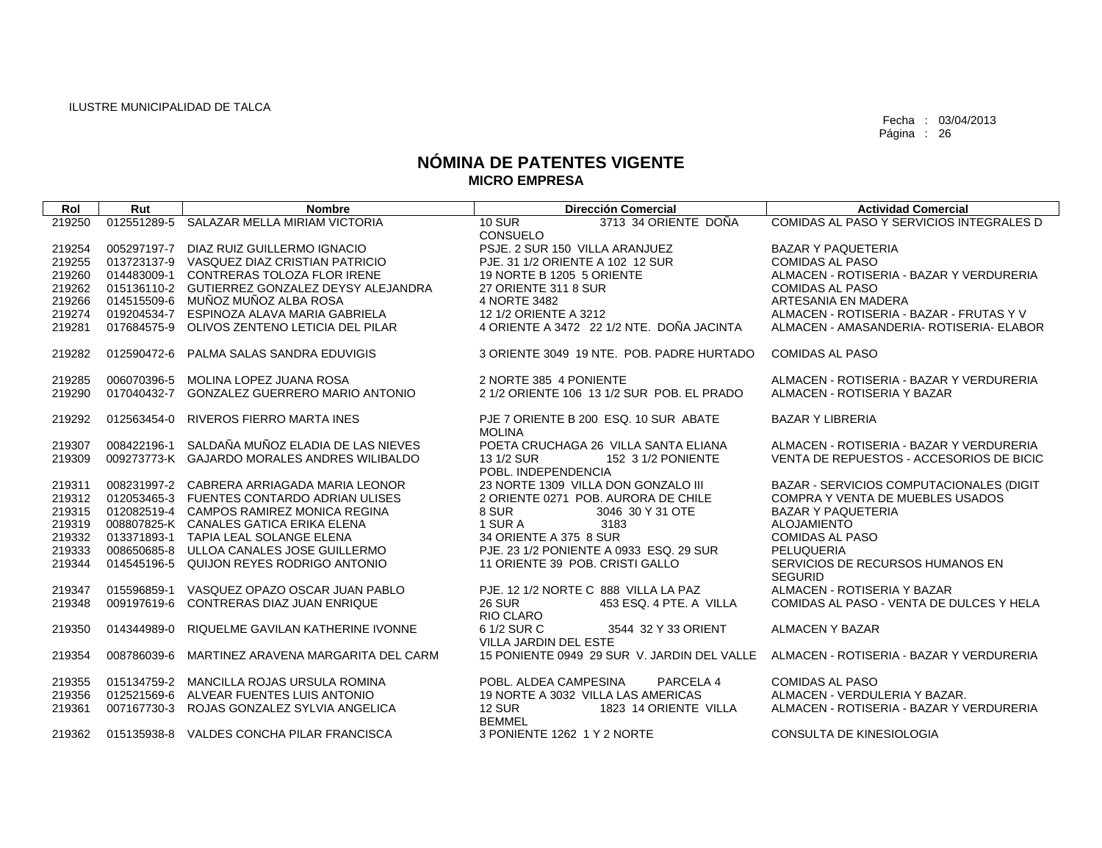| Rol              | Rut                        | <b>Nombre</b>                                               | <b>Dirección Comercial</b>                                   | <b>Actividad Comercial</b>                    |
|------------------|----------------------------|-------------------------------------------------------------|--------------------------------------------------------------|-----------------------------------------------|
| 219250           | 012551289-5                | SALAZAR MELLA MIRIAM VICTORIA                               | <b>10 SUR</b><br>3713 34 ORIENTE DOÑA                        | COMIDAS AL PASO Y SERVICIOS INTEGRALES D      |
|                  |                            |                                                             | <b>CONSUELO</b>                                              |                                               |
| 219254           |                            | 005297197-7 DIAZ RUIZ GUILLERMO IGNACIO                     | PSJE, 2 SUR 150 VILLA ARANJUEZ                               | <b>BAZAR Y PAQUETERIA</b>                     |
| 219255           |                            | 013723137-9 VASQUEZ DIAZ CRISTIAN PATRICIO                  | PJE, 31 1/2 ORIENTE A 102 12 SUR                             | <b>COMIDAS AL PASO</b>                        |
| 219260           | 014483009-1                | CONTRERAS TOLOZA FLOR IRENE                                 | 19 NORTE B 1205 5 ORIENTE                                    | ALMACEN - ROTISERIA - BAZAR Y VERDURERIA      |
| 219262<br>219266 | 015136110-2<br>014515509-6 | GUTIERREZ GONZALEZ DEYSY ALEJANDRA<br>MUÑOZ MUÑOZ ALBA ROSA | 27 ORIENTE 311 8 SUR<br>4 NORTE 3482                         | <b>COMIDAS AL PASO</b><br>ARTESANIA EN MADERA |
| 219274           | 019204534-7                | ESPINOZA ALAVA MARIA GABRIELA                               | 12 1/2 ORIENTE A 3212                                        | ALMACEN - ROTISERIA - BAZAR - FRUTAS Y V      |
| 219281           | 017684575-9                | OLIVOS ZENTENO LETICIA DEL PILAR                            | 4 ORIENTE A 3472 22 1/2 NTE. DOÑA JACINTA                    | ALMACEN - AMASANDERIA- ROTISERIA- ELABOR      |
|                  |                            |                                                             |                                                              |                                               |
| 219282           |                            | 012590472-6 PALMA SALAS SANDRA EDUVIGIS                     | 3 ORIENTE 3049 19 NTE. POB. PADRE HURTADO                    | <b>COMIDAS AL PASO</b>                        |
| 219285           | 006070396-5                | MOLINA LOPEZ JUANA ROSA                                     | 2 NORTE 385 4 PONIENTE                                       | ALMACEN - ROTISERIA - BAZAR Y VERDURERIA      |
| 219290           | 017040432-7                | <b>GONZALEZ GUERRERO MARIO ANTONIO</b>                      | 2 1/2 ORIENTE 106 13 1/2 SUR POB. EL PRADO                   | ALMACEN - ROTISERIA Y BAZAR                   |
|                  |                            |                                                             |                                                              |                                               |
| 219292           | 012563454-0                | <b>RIVEROS FIERRO MARTA INES</b>                            | PJE 7 ORIENTE B 200 ESQ, 10 SUR ABATE<br><b>MOLINA</b>       | <b>BAZAR Y LIBRERIA</b>                       |
| 219307           | 008422196-1                | SALDAÑA MUÑOZ ELADIA DE LAS NIEVES                          | POETA CRUCHAGA 26 VILLA SANTA ELIANA                         | ALMACEN - ROTISERIA - BAZAR Y VERDURERIA      |
| 219309           |                            | 009273773-K GAJARDO MORALES ANDRES WILIBALDO                | 13 1/2 SUR<br>152 3 1/2 PONIENTE                             | VENTA DE REPUESTOS - ACCESORIOS DE BICIC      |
|                  |                            |                                                             | POBL. INDEPENDENCIA                                          |                                               |
| 219311           |                            | 008231997-2 CABRERA ARRIAGADA MARIA LEONOR                  | 23 NORTE 1309 VILLA DON GONZALO III                          | BAZAR - SERVICIOS COMPUTACIONALES (DIGIT      |
| 219312           |                            | 012053465-3 FUENTES CONTARDO ADRIAN ULISES                  | 2 ORIENTE 0271 POB. AURORA DE CHILE                          | COMPRA Y VENTA DE MUEBLES USADOS              |
| 219315           |                            | 012082519-4 CAMPOS RAMIREZ MONICA REGINA                    | 8 SUR<br>3046 30 Y 31 OTE                                    | <b>BAZAR Y PAQUETERIA</b>                     |
| 219319           |                            | 008807825-K CANALES GATICA ERIKA ELENA                      | 1 SUR A<br>3183                                              | <b>ALOJAMIENTO</b>                            |
| 219332           | 013371893-1                | TAPIA LEAL SOLANGE ELENA                                    | 34 ORIENTE A 375 8 SUR                                       | <b>COMIDAS AL PASO</b>                        |
| 219333           | 008650685-8                | ULLOA CANALES JOSE GUILLERMO                                | PJE, 23 1/2 PONIENTE A 0933 ESQ, 29 SUR                      | PELUQUERIA                                    |
| 219344           | 014545196-5                | QUIJON REYES RODRIGO ANTONIO                                | 11 ORIENTE 39 POB. CRISTI GALLO                              | SERVICIOS DE RECURSOS HUMANOS EN              |
|                  |                            |                                                             |                                                              | <b>SEGURID</b>                                |
| 219347           | 015596859-1                | VASQUEZ OPAZO OSCAR JUAN PABLO                              | PJE. 12 1/2 NORTE C 888 VILLA LA PAZ                         | ALMACEN - ROTISERIA Y BAZAR                   |
| 219348           | 009197619-6                | CONTRERAS DIAZ JUAN ENRIQUE                                 | <b>26 SUR</b><br>453 ESQ, 4 PTE, A VILLA<br><b>RIO CLARO</b> | COMIDAS AL PASO - VENTA DE DULCES Y HELA      |
| 219350           | 014344989-0                | RIQUELME GAVILAN KATHERINE IVONNE                           | 6 1/2 SUR C<br>3544 32 Y 33 ORIENT                           | ALMACEN Y BAZAR                               |
|                  |                            |                                                             | <b>VILLA JARDIN DEL ESTE</b>                                 |                                               |
| 219354           | 008786039-6                | MARTINEZ ARAVENA MARGARITA DEL CARM                         | 15 PONIENTE 0949 29 SUR V. JARDIN DEL VALLE                  | ALMACEN - ROTISERIA - BAZAR Y VERDURERIA      |
|                  |                            |                                                             |                                                              |                                               |
| 219355           |                            | 015134759-2 MANCILLA ROJAS URSULA ROMINA                    | POBL. ALDEA CAMPESINA<br>PARCELA 4                           | <b>COMIDAS AL PASO</b>                        |
| 219356           |                            | 012521569-6 ALVEAR FUENTES LUIS ANTONIO                     | 19 NORTE A 3032 VILLA LAS AMERICAS                           | ALMACEN - VERDULERIA Y BAZAR.                 |
| 219361           | 007167730-3                | ROJAS GONZALEZ SYLVIA ANGELICA                              | <b>12 SUR</b><br>1823 14 ORIENTE VILLA<br><b>BEMMEL</b>      | ALMACEN - ROTISERIA - BAZAR Y VERDURERIA      |
| 219362           |                            | 015135938-8 VALDES CONCHA PILAR FRANCISCA                   | 3 PONIENTE 1262 1 Y 2 NORTE                                  | CONSULTA DE KINESIOLOGIA                      |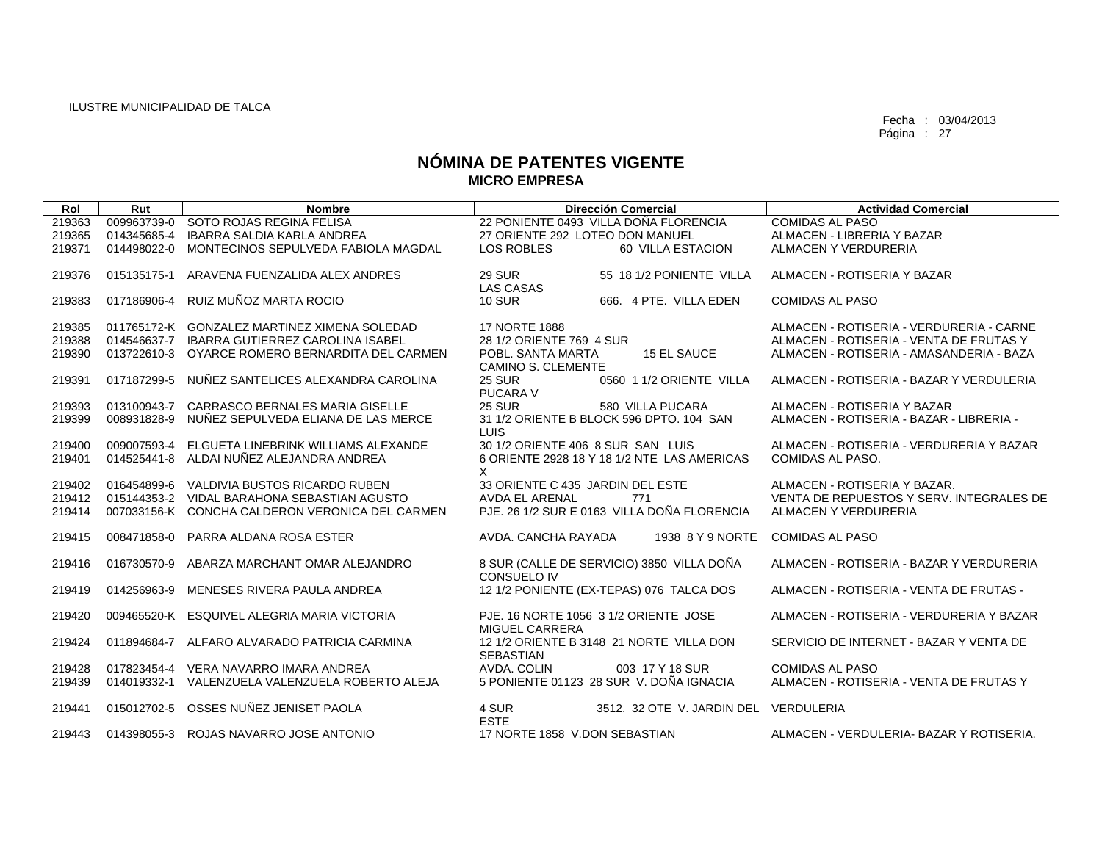| Rol    | Rut         | <b>Nombre</b>                                   | <b>Dirección Comercial</b>                                     | <b>Actividad Comercial</b>               |
|--------|-------------|-------------------------------------------------|----------------------------------------------------------------|------------------------------------------|
| 219363 | 009963739-0 | SOTO ROJAS REGINA FELISA                        | 22 PONIENTE 0493 VILLA DOÑA FLORENCIA                          | <b>COMIDAS AL PASO</b>                   |
| 219365 | 014345685-4 | IBARRA SALDIA KARLA ANDREA                      | 27 ORIENTE 292 LOTEO DON MANUEL                                | ALMACEN - LIBRERIA Y BAZAR               |
| 219371 | 014498022-0 | MONTECINOS SEPULVEDA FABIOLA MAGDAL             | <b>LOS ROBLES</b><br>60 VILLA ESTACION                         | ALMACEN Y VERDURERIA                     |
| 219376 | 015135175-1 | ARAVENA FUENZALIDA ALEX ANDRES                  | 29 SUR<br>55 18 1/2 PONIENTE VILLA<br><b>LAS CASAS</b>         | ALMACEN - ROTISERIA Y BAZAR              |
| 219383 | 017186906-4 | RUIZ MUÑOZ MARTA ROCIO                          | <b>10 SUR</b><br>666. 4 PTE. VILLA EDEN                        | <b>COMIDAS AL PASO</b>                   |
| 219385 |             | 011765172-K GONZALEZ MARTINEZ XIMENA SOLEDAD    | <b>17 NORTE 1888</b>                                           | ALMACEN - ROTISERIA - VERDURERIA - CARNE |
| 219388 | 014546637-7 | <b>IBARRA GUTIERREZ CAROLINA ISABEL</b>         | 28 1/2 ORIENTE 769 4 SUR                                       | ALMACEN - ROTISERIA - VENTA DE FRUTAS Y  |
| 219390 | 013722610-3 | OYARCE ROMERO BERNARDITA DEL CARMEN             | POBL. SANTA MARTA<br><b>15 EL SAUCE</b><br>CAMINO S. CLEMENTE  | ALMACEN - ROTISERIA - AMASANDERIA - BAZA |
| 219391 | 017187299-5 | NUÑEZ SANTELICES ALEXANDRA CAROLINA             | <b>25 SUR</b><br>0560 1 1/2 ORIENTE VILLA<br><b>PUCARA V</b>   | ALMACEN - ROTISERIA - BAZAR Y VERDULERIA |
| 219393 | 013100943-7 | CARRASCO BERNALES MARIA GISELLE                 | <b>25 SUR</b><br>580 VILLA PUCARA                              | ALMACEN - ROTISERIA Y BAZAR              |
| 219399 | 008931828-9 | NUÑEZ SEPULVEDA ELIANA DE LAS MERCE             | 31 1/2 ORIENTE B BLOCK 596 DPTO. 104 SAN<br><b>LUIS</b>        | ALMACEN - ROTISERIA - BAZAR - LIBRERIA - |
| 219400 | 009007593-4 | ELGUETA LINEBRINK WILLIAMS ALEXANDE             | 30 1/2 ORIENTE 406 8 SUR SAN LUIS                              | ALMACEN - ROTISERIA - VERDURERIA Y BAZAR |
| 219401 |             | 014525441-8 ALDAI NUÑEZ ALEJANDRA ANDREA        | 6 ORIENTE 2928 18 Y 18 1/2 NTE LAS AMERICAS                    | COMIDAS AL PASO.                         |
| 219402 | 016454899-6 | VALDIVIA BUSTOS RICARDO RUBEN                   | X<br>33 ORIENTE C 435 JARDIN DEL ESTE                          | ALMACEN - ROTISERIA Y BAZAR.             |
| 219412 |             | 015144353-2 VIDAL BARAHONA SEBASTIAN AGUSTO     | <b>AVDA EL ARENAL</b><br>771                                   | VENTA DE REPUESTOS Y SERV. INTEGRALES DE |
| 219414 |             | 007033156-K CONCHA CALDERON VERONICA DEL CARMEN | PJE. 26 1/2 SUR E 0163 VILLA DOÑA FLORENCIA                    | ALMACEN Y VERDURERIA                     |
|        |             |                                                 |                                                                |                                          |
| 219415 | 008471858-0 | PARRA ALDANA ROSA ESTER                         | AVDA, CANCHA RAYADA<br>1938 8 Y 9 NORTE                        | <b>COMIDAS AL PASO</b>                   |
| 219416 | 016730570-9 | ABARZA MARCHANT OMAR ALEJANDRO                  | 8 SUR (CALLE DE SERVICIO) 3850 VILLA DOÑA                      | ALMACEN - ROTISERIA - BAZAR Y VERDURERIA |
| 219419 | 014256963-9 | MENESES RIVERA PAULA ANDREA                     | <b>CONSUELO IV</b><br>12 1/2 PONIENTE (EX-TEPAS) 076 TALCA DOS | ALMACEN - ROTISERIA - VENTA DE FRUTAS -  |
|        |             |                                                 |                                                                |                                          |
| 219420 |             | 009465520-K ESQUIVEL ALEGRIA MARIA VICTORIA     | PJE. 16 NORTE 1056 3 1/2 ORIENTE JOSE                          | ALMACEN - ROTISERIA - VERDURERIA Y BAZAR |
|        |             |                                                 | <b>MIGUEL CARRERA</b>                                          |                                          |
| 219424 | 011894684-7 | ALFARO ALVARADO PATRICIA CARMINA                | 12 1/2 ORIENTE B 3148 21 NORTE VILLA DON<br><b>SEBASTIAN</b>   | SERVICIO DE INTERNET - BAZAR Y VENTA DE  |
| 219428 | 017823454-4 | VERA NAVARRO IMARA ANDREA                       | AVDA, COLIN<br>003 17 Y 18 SUR                                 | <b>COMIDAS AL PASO</b>                   |
| 219439 | 014019332-1 | VALENZUELA VALENZUELA ROBERTO ALEJA             | 5 PONIENTE 01123 28 SUR V. DOÑA IGNACIA                        | ALMACEN - ROTISERIA - VENTA DE FRUTAS Y  |
|        |             |                                                 |                                                                |                                          |
| 219441 | 015012702-5 | OSSES NUÑEZ JENISET PAOLA                       | 4 SUR<br>3512. 32 OTE V. JARDIN DEL                            | VERDULERIA                               |
| 219443 |             | 014398055-3 ROJAS NAVARRO JOSE ANTONIO          | <b>ESTE</b><br>17 NORTE 1858 V.DON SEBASTIAN                   | ALMACEN - VERDULERIA- BAZAR Y ROTISERIA. |
|        |             |                                                 |                                                                |                                          |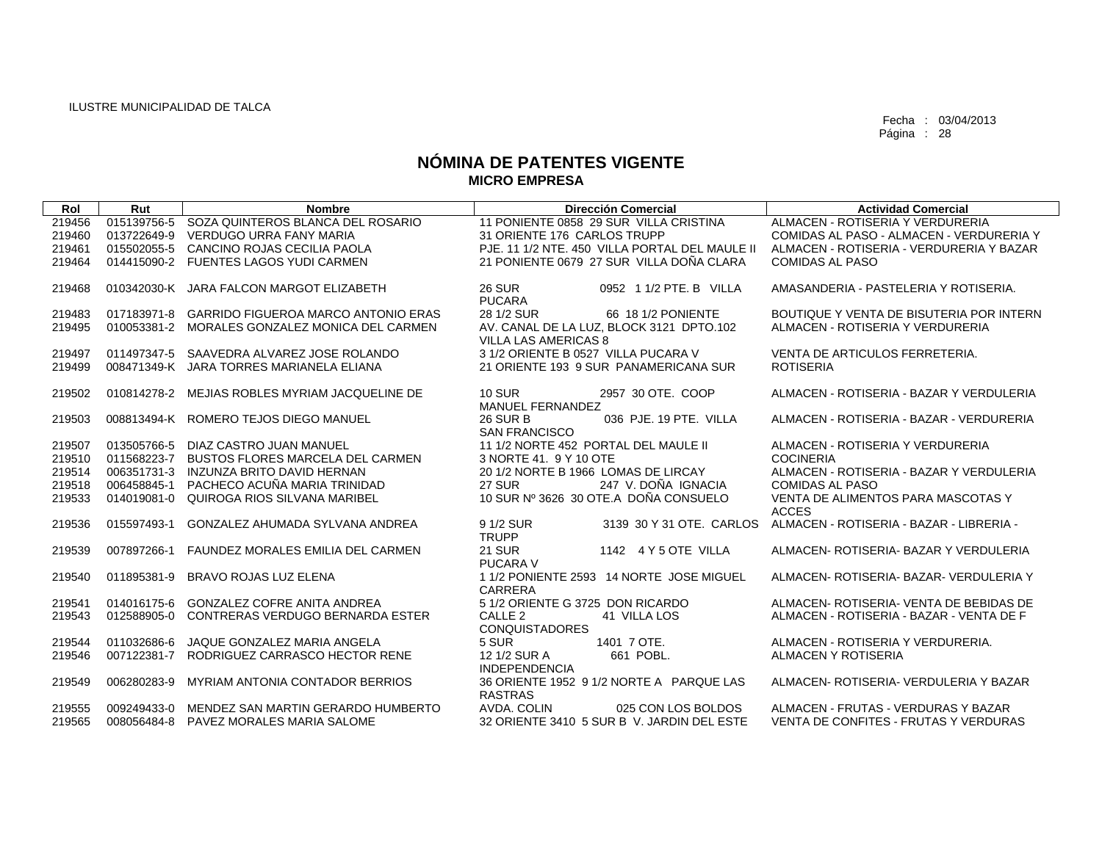| Rol    | Rut         | <b>Nombre</b>                                   | <b>Dirección Comercial</b>                                | <b>Actividad Comercial</b>               |
|--------|-------------|-------------------------------------------------|-----------------------------------------------------------|------------------------------------------|
| 219456 | 015139756-5 | SOZA QUINTEROS BLANCA DEL ROSARIO               | 11 PONIENTE 0858 29 SUR VILLA CRISTINA                    | ALMACEN - ROTISERIA Y VERDURERIA         |
| 219460 | 013722649-9 | VERDUGO URRA FANY MARIA                         | 31 ORIENTE 176 CARLOS TRUPP                               | COMIDAS AL PASO - ALMACEN - VERDURERIA Y |
| 219461 |             | 015502055-5 CANCINO ROJAS CECILIA PAOLA         | PJE. 11 1/2 NTE. 450 VILLA PORTAL DEL MAULE II            | ALMACEN - ROTISERIA - VERDURERIA Y BAZAR |
| 219464 |             | 014415090-2 FUENTES LAGOS YUDI CARMEN           | 21 PONIENTE 0679 27 SUR VILLA DOÑA CLARA                  | <b>COMIDAS AL PASO</b>                   |
|        |             |                                                 |                                                           |                                          |
| 219468 |             | 010342030-K JARA FALCON MARGOT ELIZABETH        | <b>26 SUR</b><br>0952 1 1/2 PTE, B VILLA<br><b>PUCARA</b> | AMASANDERIA - PASTELERIA Y ROTISERIA.    |
| 219483 |             | 017183971-8 GARRIDO FIGUEROA MARCO ANTONIO ERAS | 28 1/2 SUR<br>66 18 1/2 PONIENTE                          | BOUTIQUE Y VENTA DE BISUTERIA POR INTERN |
| 219495 |             | 010053381-2 MORALES GONZALEZ MONICA DEL CARMEN  | AV. CANAL DE LA LUZ, BLOCK 3121 DPTO.102                  | ALMACEN - ROTISERIA Y VERDURERIA         |
|        |             |                                                 | VILLA LAS AMERICAS 8                                      |                                          |
| 219497 |             | 011497347-5 SAAVEDRA ALVAREZ JOSE ROLANDO       | 3 1/2 ORIENTE B 0527 VILLA PUCARA V                       | VENTA DE ARTICULOS FERRETERIA.           |
| 219499 |             | 008471349-K JARA TORRES MARIANELA ELIANA        | 21 ORIENTE 193 9 SUR PANAMERICANA SUR                     | <b>ROTISERIA</b>                         |
|        |             |                                                 |                                                           |                                          |
| 219502 |             | 010814278-2 MEJIAS ROBLES MYRIAM JACQUELINE DE  | <b>10 SUR</b><br>2957 30 OTE, COOP                        | ALMACEN - ROTISERIA - BAZAR Y VERDULERIA |
|        |             |                                                 | MANUEL FERNANDEZ                                          |                                          |
| 219503 |             | 008813494-K ROMERO TEJOS DIEGO MANUEL           | <b>26 SUR B</b><br>036 PJE, 19 PTE, VILLA                 | ALMACEN - ROTISERIA - BAZAR - VERDURERIA |
|        |             |                                                 | <b>SAN FRANCISCO</b>                                      |                                          |
| 219507 |             | 013505766-5 DIAZ CASTRO JUAN MANUEL             | 11 1/2 NORTE 452 PORTAL DEL MAULE II                      | ALMACEN - ROTISERIA Y VERDURERIA         |
| 219510 |             | 011568223-7 BUSTOS FLORES MARCELA DEL CARMEN    | 3 NORTE 41, 9 Y 10 OTE                                    | <b>COCINERIA</b>                         |
| 219514 |             | 006351731-3 INZUNZA BRITO DAVID HERNAN          | 20 1/2 NORTE B 1966 LOMAS DE LIRCAY                       | ALMACEN - ROTISERIA - BAZAR Y VERDULERIA |
| 219518 | 006458845-1 | PACHECO ACUÑA MARIA TRINIDAD                    | 247 V. DOÑA IGNACIA<br><b>27 SUR</b>                      | <b>COMIDAS AL PASO</b>                   |
| 219533 | 014019081-0 | QUIROGA RIOS SILVANA MARIBEL                    | 10 SUR Nº 3626 30 OTE.A DOÑA CONSUELO                     | VENTA DE ALIMENTOS PARA MASCOTAS Y       |
|        |             |                                                 |                                                           | <b>ACCES</b>                             |
| 219536 | 015597493-1 | GONZALEZ AHUMADA SYLVANA ANDREA                 | 9 1/2 SUR<br>3139 30 Y 31 OTE, CARLOS                     | ALMACEN - ROTISERIA - BAZAR - LIBRERIA - |
|        |             |                                                 | <b>TRUPP</b>                                              |                                          |
| 219539 | 007897266-1 | FAUNDEZ MORALES EMILIA DEL CARMEN               | <b>21 SUR</b><br>1142 4 Y 5 OTE VILLA                     | ALMACEN- ROTISERIA- BAZAR Y VERDULERIA   |
|        |             |                                                 | <b>PUCARA V</b>                                           |                                          |
| 219540 | 011895381-9 | BRAVO ROJAS LUZ ELENA                           | 1 1/2 PONIENTE 2593 14 NORTE JOSE MIGUEL                  | ALMACEN- ROTISERIA- BAZAR- VERDULERIA Y  |
|        |             |                                                 | <b>CARRERA</b>                                            |                                          |
| 219541 |             | 014016175-6 GONZALEZ COFRE ANITA ANDREA         | 5 1/2 ORIENTE G 3725 DON RICARDO                          | ALMACEN- ROTISERIA- VENTA DE BEBIDAS DE  |
| 219543 | 012588905-0 | CONTRERAS VERDUGO BERNARDA ESTER                | CALLE <sub>2</sub><br>41 VILLA LOS                        | ALMACEN - ROTISERIA - BAZAR - VENTA DE F |
|        |             |                                                 | <b>CONQUISTADORES</b>                                     |                                          |
| 219544 | 011032686-6 | JAQUE GONZALEZ MARIA ANGELA                     | 5 SUR<br>1401 7 OTE.                                      | ALMACEN - ROTISERIA Y VERDURERIA.        |
| 219546 | 007122381-7 | RODRIGUEZ CARRASCO HECTOR RENE                  | 12 1/2 SUR A<br>661 POBL.                                 | ALMACEN Y ROTISERIA                      |
|        |             |                                                 | <b>INDEPENDENCIA</b>                                      |                                          |
| 219549 | 006280283-9 | <b>MYRIAM ANTONIA CONTADOR BERRIOS</b>          | 36 ORIENTE 1952 9 1/2 NORTE A PARQUE LAS                  | ALMACEN- ROTISERIA- VERDULERIA Y BAZAR   |
|        |             |                                                 | <b>RASTRAS</b>                                            |                                          |
| 219555 |             | 009249433-0 MENDEZ SAN MARTIN GERARDO HUMBERTO  | AVDA, COLIN<br>025 CON LOS BOLDOS                         | ALMACEN - FRUTAS - VERDURAS Y BAZAR      |
| 219565 |             | 008056484-8 PAVEZ MORALES MARIA SALOME          | 32 ORIENTE 3410 5 SUR B V. JARDIN DEL ESTE                | VENTA DE CONFITES - FRUTAS Y VERDURAS    |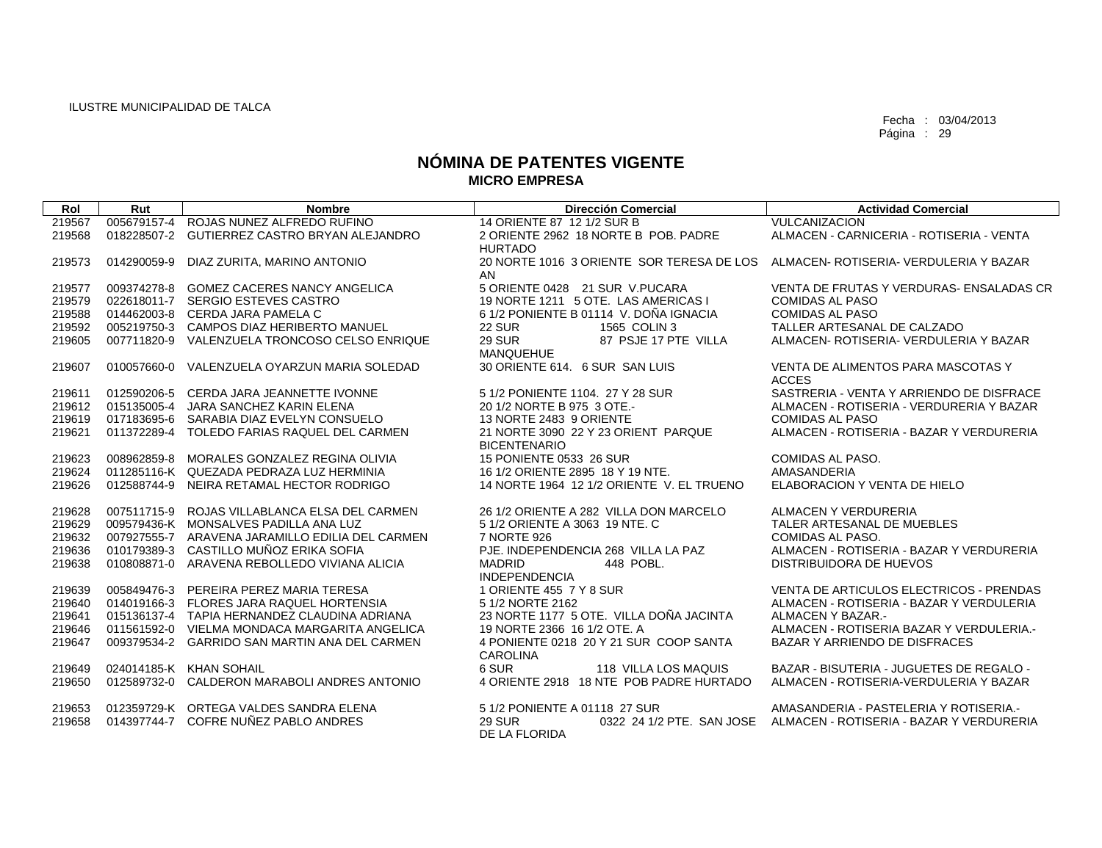| Rol    | Rut         | <b>Nombre</b>                                   | <b>Dirección Comercial</b>                                  | <b>Actividad Comercial</b>                         |
|--------|-------------|-------------------------------------------------|-------------------------------------------------------------|----------------------------------------------------|
| 219567 | 005679157-4 | ROJAS NUNEZ ALFREDO RUFINO                      | 14 ORIENTE 87 12 1/2 SUR B                                  | <b>VULCANIZACION</b>                               |
| 219568 | 018228507-2 | <b>GUTIERREZ CASTRO BRYAN ALEJANDRO</b>         | 2 ORIENTE 2962 18 NORTE B POB, PADRE<br><b>HURTADO</b>      | ALMACEN - CARNICERIA - ROTISERIA - VENTA           |
| 219573 | 014290059-9 | DIAZ ZURITA, MARINO ANTONIO                     | 20 NORTE 1016 3 ORIENTE SOR TERESA DE LOS<br>AN             | ALMACEN- ROTISERIA- VERDULERIA Y BAZAR             |
| 219577 |             | 009374278-8 GOMEZ CACERES NANCY ANGELICA        | 5 ORIENTE 0428 21 SUR V.PUCARA                              | VENTA DE FRUTAS Y VERDURAS- ENSALADAS CR           |
| 219579 |             | 022618011-7 SERGIO ESTEVES CASTRO               | 19 NORTE 1211 5 OTE. LAS AMERICAS I                         | <b>COMIDAS AL PASO</b>                             |
| 219588 |             | 014462003-8 CERDA JARA PAMELA C                 | 6 1/2 PONIENTE B 01114 V. DOÑA IGNACIA                      | <b>COMIDAS AL PASO</b>                             |
| 219592 |             | 005219750-3 CAMPOS DIAZ HERIBERTO MANUEL        | <b>22 SUR</b><br>1565 COLIN 3                               | TALLER ARTESANAL DE CALZADO                        |
| 219605 |             | 007711820-9 VALENZUELA TRONCOSO CELSO ENRIQUE   | 87 PSJE 17 PTE VILLA<br><b>29 SUR</b><br><b>MANQUEHUE</b>   | ALMACEN- ROTISERIA- VERDULERIA Y BAZAR             |
| 219607 |             | 010057660-0 VALENZUELA OYARZUN MARIA SOLEDAD    | 30 ORIENTE 614. 6 SUR SAN LUIS                              | VENTA DE ALIMENTOS PARA MASCOTAS Y<br><b>ACCES</b> |
| 219611 |             | 012590206-5 CERDA JARA JEANNETTE IVONNE         | 5 1/2 PONIENTE 1104. 27 Y 28 SUR                            | SASTRERIA - VENTA Y ARRIENDO DE DISFRACE           |
| 219612 |             | 015135005-4 JARA SANCHEZ KARIN ELENA            | 20 1/2 NORTE B 975 3 OTE.-                                  | ALMACEN - ROTISERIA - VERDURERIA Y BAZAR           |
| 219619 |             | 017183695-6 SARABIA DIAZ EVELYN CONSUELO        | 13 NORTE 2483 9 ORIENTE                                     | <b>COMIDAS AL PASO</b>                             |
| 219621 | 011372289-4 | TOLEDO FARIAS RAQUEL DEL CARMEN                 | 21 NORTE 3090 22 Y 23 ORIENT PARQUE<br><b>BICENTENARIO</b>  | ALMACEN - ROTISERIA - BAZAR Y VERDURERIA           |
| 219623 |             | 008962859-8 MORALES GONZALEZ REGINA OLIVIA      | 15 PONIENTE 0533 26 SUR                                     | COMIDAS AL PASO.                                   |
| 219624 |             | 011285116-K QUEZADA PEDRAZA LUZ HERMINIA        | 16 1/2 ORIENTE 2895 18 Y 19 NTE.                            | AMASANDERIA                                        |
| 219626 |             | 012588744-9 NEIRA RETAMAL HECTOR RODRIGO        | 14 NORTE 1964 12 1/2 ORIENTE V. EL TRUENO                   | ELABORACION Y VENTA DE HIELO                       |
| 219628 |             | 007511715-9 ROJAS VILLABLANCA ELSA DEL CARMEN   | 26 1/2 ORIENTE A 282 VILLA DON MARCELO                      | ALMACEN Y VERDURERIA                               |
| 219629 |             | 009579436-K MONSALVES PADILLA ANA LUZ           | 5 1/2 ORIENTE A 3063 19 NTE. C                              | TALER ARTESANAL DE MUEBLES                         |
| 219632 |             | 007927555-7 ARAVENA JARAMILLO EDILIA DEL CARMEN | 7 NORTE 926                                                 | <b>COMIDAS AL PASO.</b>                            |
| 219636 |             | 010179389-3 CASTILLO MUÑOZ ERIKA SOFIA          | PJE. INDEPENDENCIA 268 VILLA LA PAZ                         | ALMACEN - ROTISERIA - BAZAR Y VERDURERIA           |
| 219638 |             | 010808871-0 ARAVENA REBOLLEDO VIVIANA ALICIA    | <b>MADRID</b><br>448 POBL.<br><b>INDEPENDENCIA</b>          | DISTRIBUIDORA DE HUEVOS                            |
| 219639 |             | 005849476-3 PEREIRA PEREZ MARIA TERESA          | 1 ORIENTE 455 7 Y 8 SUR                                     | VENTA DE ARTICULOS ELECTRICOS - PRENDAS            |
| 219640 |             | 014019166-3 FLORES JARA RAQUEL HORTENSIA        | 5 1/2 NORTE 2162                                            | ALMACEN - ROTISERIA - BAZAR Y VERDULERIA           |
| 219641 |             | 015136137-4 TAPIA HERNANDEZ CLAUDINA ADRIANA    | 23 NORTE 1177 5 OTE. VILLA DOÑA JACINTA                     | ALMACEN Y BAZAR.-                                  |
| 219646 |             | 011561592-0 VIELMA MONDACA MARGARITA ANGELICA   | 19 NORTE 2366 16 1/2 OTE, A                                 | ALMACEN - ROTISERIA BAZAR Y VERDULERIA.-           |
| 219647 |             | 009379534-2 GARRIDO SAN MARTIN ANA DEL CARMEN   | 4 PONIENTE 0218 20 Y 21 SUR COOP SANTA<br><b>CAROLINA</b>   | BAZAR Y ARRIENDO DE DISFRACES                      |
| 219649 |             | 024014185-K KHAN SOHAIL                         | 6 SUR<br>118 VILLA LOS MAQUIS                               | BAZAR - BISUTERIA - JUGUETES DE REGALO -           |
| 219650 |             | 012589732-0 CALDERON MARABOLI ANDRES ANTONIO    | 4 ORIENTE 2918 18 NTE POB PADRE HURTADO                     | ALMACEN - ROTISERIA-VERDULERIA Y BAZAR             |
| 219653 |             | 012359729-K ORTEGA VALDES SANDRA ELENA          | 5 1/2 PONIENTE A 01118 27 SUR                               | AMASANDERIA - PASTELERIA Y ROTISERIA.-             |
| 219658 | 014397744-7 | COFRE NUÑEZ PABLO ANDRES                        | <b>29 SUR</b><br>0322 24 1/2 PTE. SAN JOSE<br>DE LA FLORIDA | ALMACEN - ROTISERIA - BAZAR Y VERDURERIA           |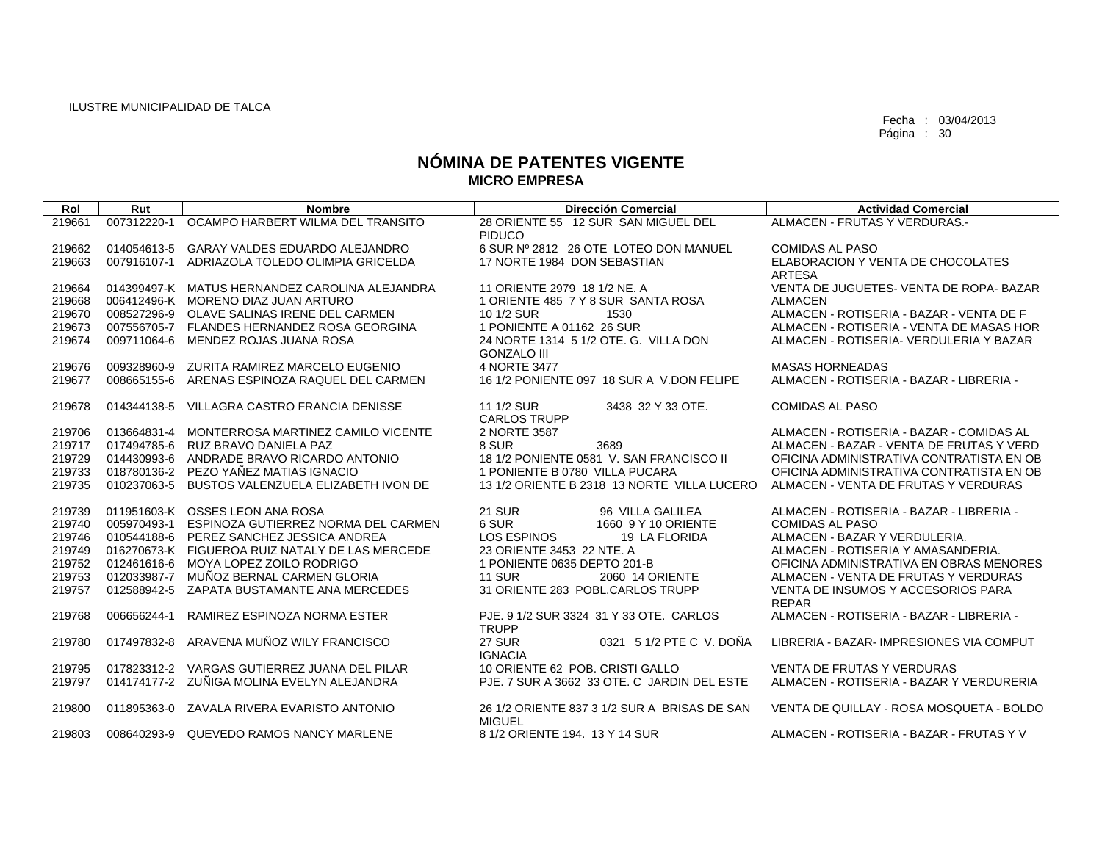| Rol              | Rut                        | <b>Nombre</b>                                                                             | <b>Dirección Comercial</b>                                  | <b>Actividad Comercial</b>                                                           |
|------------------|----------------------------|-------------------------------------------------------------------------------------------|-------------------------------------------------------------|--------------------------------------------------------------------------------------|
| 219661           | 007312220-1                | OCAMPO HARBERT WILMA DEL TRANSITO                                                         | 28 ORIENTE 55 12 SUR SAN MIGUEL DEL                         | ALMACEN - FRUTAS Y VERDURAS.-                                                        |
| 219662           |                            | 014054613-5 GARAY VALDES EDUARDO ALEJANDRO                                                | <b>PIDUCO</b><br>6 SUR Nº 2812 26 OTE LOTEO DON MANUEL      | <b>COMIDAS AL PASO</b>                                                               |
| 219663           |                            | 007916107-1 ADRIAZOLA TOLEDO OLIMPIA GRICELDA                                             | 17 NORTE 1984 DON SEBASTIAN                                 | ELABORACION Y VENTA DE CHOCOLATES                                                    |
|                  |                            |                                                                                           |                                                             | <b>ARTESA</b>                                                                        |
| 219664           |                            | 014399497-K MATUS HERNANDEZ CAROLINA ALEJANDRA                                            | 11 ORIENTE 2979 18 1/2 NE. A                                | VENTA DE JUGUETES- VENTA DE ROPA- BAZAR                                              |
| 219668           |                            | 006412496-K MORENO DIAZ JUAN ARTURO                                                       | 1 ORIENTE 485 7 Y 8 SUR SANTA ROSA                          | <b>ALMACEN</b>                                                                       |
| 219670<br>219673 |                            | 008527296-9 OLAVE SALINAS IRENE DEL CARMEN<br>007556705-7 FLANDES HERNANDEZ ROSA GEORGINA | 10 1/2 SUR<br>1530<br>1 PONIENTE A 01162 26 SUR             | ALMACEN - ROTISERIA - BAZAR - VENTA DE F<br>ALMACEN - ROTISERIA - VENTA DE MASAS HOR |
| 219674           |                            | 009711064-6 MENDEZ ROJAS JUANA ROSA                                                       | 24 NORTE 1314 5 1/2 OTE. G. VILLA DON                       | ALMACEN - ROTISERIA- VERDULERIA Y BAZAR                                              |
|                  |                            |                                                                                           | <b>GONZALO III</b>                                          |                                                                                      |
| 219676           | 009328960-9                | ZURITA RAMIREZ MARCELO EUGENIO                                                            | 4 NORTE 3477                                                | <b>MASAS HORNEADAS</b>                                                               |
| 219677           |                            | 008665155-6 ARENAS ESPINOZA RAQUEL DEL CARMEN                                             | 16 1/2 PONIENTE 097 18 SUR A V.DON FELIPE                   | ALMACEN - ROTISERIA - BAZAR - LIBRERIA -                                             |
| 219678           | 014344138-5                | VILLAGRA CASTRO FRANCIA DENISSE                                                           | 11 1/2 SUR<br>3438 32 Y 33 OTE.                             | <b>COMIDAS AL PASO</b>                                                               |
|                  |                            |                                                                                           | <b>CARLOS TRUPP</b>                                         |                                                                                      |
| 219706           |                            | 013664831-4 MONTERROSA MARTINEZ CAMILO VICENTE                                            | 2 NORTE 3587                                                | ALMACEN - ROTISERIA - BAZAR - COMIDAS AL                                             |
| 219717<br>219729 |                            | 017494785-6 RUZ BRAVO DANIELA PAZ<br>014430993-6 ANDRADE BRAVO RICARDO ANTONIO            | 8 SUR<br>3689<br>18 1/2 PONIENTE 0581 V. SAN FRANCISCO II   | ALMACEN - BAZAR - VENTA DE FRUTAS Y VERD<br>OFICINA ADMINISTRATIVA CONTRATISTA EN OB |
| 219733           | 018780136-2                | PEZO YAÑEZ MATIAS IGNACIO                                                                 | 1 PONIENTE B 0780 VILLA PUCARA                              | OFICINA ADMINISTRATIVA CONTRATISTA EN OB                                             |
| 219735           | 010237063-5                | BUSTOS VALENZUELA ELIZABETH IVON DE                                                       | 13 1/2 ORIENTE B 2318 13 NORTE VILLA LUCERO                 | ALMACEN - VENTA DE FRUTAS Y VERDURAS                                                 |
|                  |                            |                                                                                           |                                                             |                                                                                      |
| 219739           |                            | 011951603-K OSSES LEON ANA ROSA                                                           | <b>21 SUR</b><br>96 VILLA GALILEA                           | ALMACEN - ROTISERIA - BAZAR - LIBRERIA -                                             |
| 219740           | 005970493-1                | ESPINOZA GUTIERREZ NORMA DEL CARMEN                                                       | 6 SUR<br>1660 9 Y 10 ORIENTE                                | <b>COMIDAS AL PASO</b>                                                               |
| 219746           | 010544188-6                | PEREZ SANCHEZ JESSICA ANDREA                                                              | LOS ESPINOS<br>19 LA FLORIDA                                | ALMACEN - BAZAR Y VERDULERIA.                                                        |
| 219749<br>219752 |                            | 016270673-K FIGUEROA RUIZ NATALY DE LAS MERCEDE<br>MOYA LOPEZ ZOILO RODRIGO               | 23 ORIENTE 3453 22 NTE. A<br>1 PONIENTE 0635 DEPTO 201-B    | ALMACEN - ROTISERIA Y AMASANDERIA.<br>OFICINA ADMINISTRATIVA EN OBRAS MENORES        |
| 219753           | 012461616-6<br>012033987-7 | MUÑOZ BERNAL CARMEN GLORIA                                                                | <b>11 SUR</b><br>2060 14 ORIENTE                            | ALMACEN - VENTA DE FRUTAS Y VERDURAS                                                 |
| 219757           |                            | 012588942-5 ZAPATA BUSTAMANTE ANA MERCEDES                                                | 31 ORIENTE 283 POBL.CARLOS TRUPP                            | VENTA DE INSUMOS Y ACCESORIOS PARA                                                   |
|                  |                            |                                                                                           |                                                             | <b>REPAR</b>                                                                         |
| 219768           | 006656244-1                | RAMIREZ ESPINOZA NORMA ESTER                                                              | PJE, 9 1/2 SUR 3324 31 Y 33 OTE, CARLOS                     | ALMACEN - ROTISERIA - BAZAR - LIBRERIA -                                             |
|                  |                            |                                                                                           | <b>TRUPP</b>                                                |                                                                                      |
| 219780           | 017497832-8                | ARAVENA MUÑOZ WILY FRANCISCO                                                              | <b>27 SUR</b><br>0321 5 1/2 PTE C V. DOÑA<br><b>IGNACIA</b> | LIBRERIA - BAZAR- IMPRESIONES VIA COMPUT                                             |
| 219795           |                            | 017823312-2 VARGAS GUTIERREZ JUANA DEL PILAR                                              | 10 ORIENTE 62 POB. CRISTI GALLO                             | <b>VENTA DE FRUTAS Y VERDURAS</b>                                                    |
| 219797           |                            | 014174177-2 ZUÑIGA MOLINA EVELYN ALEJANDRA                                                | PJE, 7 SUR A 3662 33 OTE, C JARDIN DEL ESTE                 | ALMACEN - ROTISERIA - BAZAR Y VERDURERIA                                             |
| 219800           |                            | 011895363-0 ZAVALA RIVERA EVARISTO ANTONIO                                                | 26 1/2 ORIENTE 837 3 1/2 SUR A BRISAS DE SAN                | VENTA DE QUILLAY - ROSA MOSQUETA - BOLDO                                             |
|                  |                            |                                                                                           | <b>MIGUEL</b>                                               |                                                                                      |
| 219803           |                            | 008640293-9 QUEVEDO RAMOS NANCY MARLENE                                                   | 8 1/2 ORIENTE 194, 13 Y 14 SUR                              | ALMACEN - ROTISERIA - BAZAR - FRUTAS Y V                                             |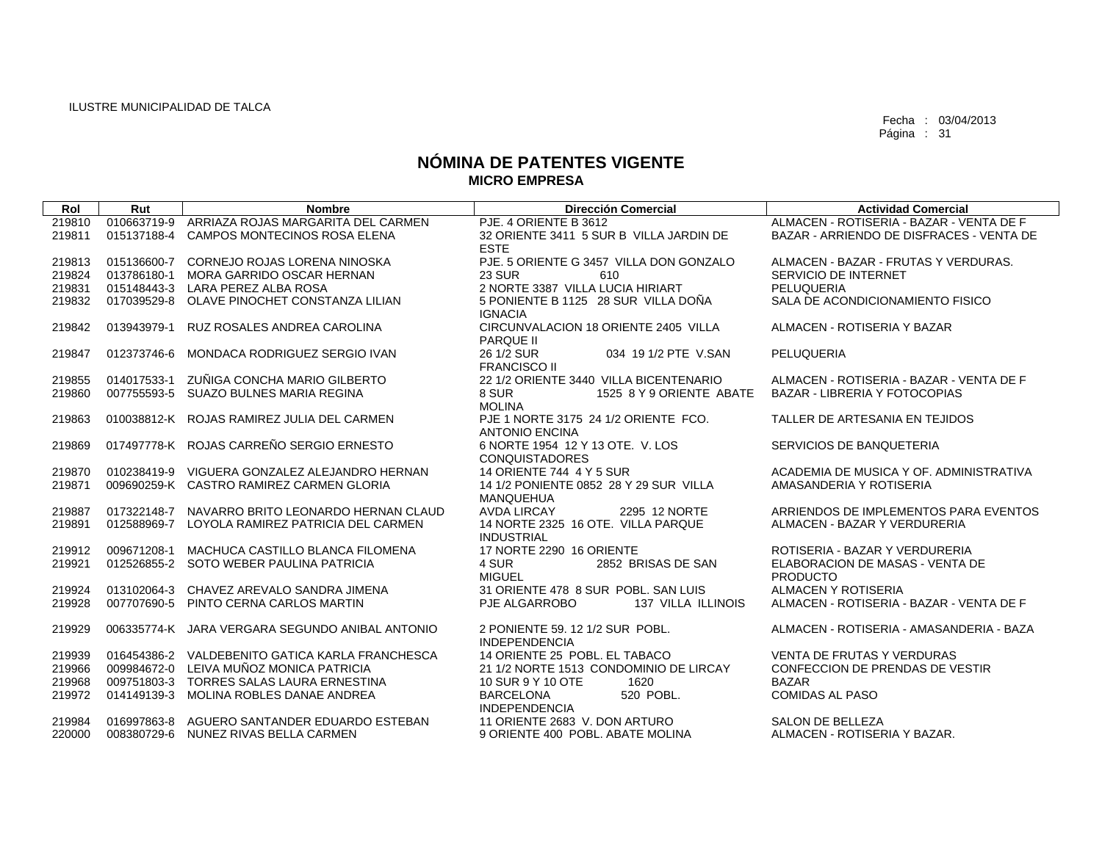| Rol    | Rut         | <b>Nombre</b>                                   | Dirección Comercial                                           | <b>Actividad Comercial</b>               |
|--------|-------------|-------------------------------------------------|---------------------------------------------------------------|------------------------------------------|
| 219810 | 010663719-9 | ARRIAZA ROJAS MARGARITA DEL CARMEN              | PJE, 4 ORIENTE B 3612                                         | ALMACEN - ROTISERIA - BAZAR - VENTA DE F |
| 219811 | 015137188-4 | <b>CAMPOS MONTECINOS ROSA ELENA</b>             | 32 ORIENTE 3411 5 SUR B VILLA JARDIN DE                       | BAZAR - ARRIENDO DE DISFRACES - VENTA DE |
|        |             |                                                 | <b>ESTE</b>                                                   |                                          |
| 219813 | 015136600-7 | CORNEJO ROJAS LORENA NINOSKA                    | PJE. 5 ORIENTE G 3457 VILLA DON GONZALO                       | ALMACEN - BAZAR - FRUTAS Y VERDURAS.     |
| 219824 | 013786180-1 | MORA GARRIDO OSCAR HERNAN                       | <b>23 SUR</b><br>610                                          | SERVICIO DE INTERNET                     |
| 219831 |             | 015148443-3 LARA PEREZ ALBA ROSA                | 2 NORTE 3387 VILLA LUCIA HIRIART                              | PELUQUERIA                               |
| 219832 | 017039529-8 | OLAVE PINOCHET CONSTANZA LILIAN                 | 5 PONIENTE B 1125 28 SUR VILLA DOÑA<br><b>IGNACIA</b>         | SALA DE ACONDICIONAMIENTO FISICO         |
| 219842 | 013943979-1 | RUZ ROSALES ANDREA CAROLINA                     | CIRCUNVALACION 18 ORIENTE 2405 VILLA<br><b>PARQUE II</b>      | ALMACEN - ROTISERIA Y BAZAR              |
| 219847 | 012373746-6 | MONDACA RODRIGUEZ SERGIO IVAN                   | 26 1/2 SUR<br>034 19 1/2 PTE V.SAN<br><b>FRANCISCO II</b>     | <b>PELUQUERIA</b>                        |
| 219855 | 014017533-1 | ZUÑIGA CONCHA MARIO GILBERTO                    | 22 1/2 ORIENTE 3440 VILLA BICENTENARIO                        | ALMACEN - ROTISERIA - BAZAR - VENTA DE F |
| 219860 |             | 007755593-5 SUAZO BULNES MARIA REGINA           | 8 SUR<br>1525 8 Y 9 ORIENTE ABATE                             | BAZAR - LIBRERIA Y FOTOCOPIAS            |
|        |             |                                                 | <b>MOLINA</b>                                                 |                                          |
| 219863 |             | 010038812-K ROJAS RAMIREZ JULIA DEL CARMEN      | PJE 1 NORTE 3175 24 1/2 ORIENTE FCO.<br><b>ANTONIO ENCINA</b> | TALLER DE ARTESANIA EN TEJIDOS           |
| 219869 |             | 017497778-K ROJAS CARREÑO SERGIO ERNESTO        | 6 NORTE 1954 12 Y 13 OTE. V. LOS<br><b>CONQUISTADORES</b>     | SERVICIOS DE BANQUETERIA                 |
| 219870 |             | 010238419-9 VIGUERA GONZALEZ ALEJANDRO HERNAN   | 14 ORIENTE 744 4 Y 5 SUR                                      | ACADEMIA DE MUSICA Y OF. ADMINISTRATIVA  |
| 219871 |             | 009690259-K CASTRO RAMIREZ CARMEN GLORIA        | 14 1/2 PONIENTE 0852 28 Y 29 SUR VILLA                        | AMASANDERIA Y ROTISERIA                  |
|        |             |                                                 | MANQUEHUA                                                     |                                          |
| 219887 |             | 017322148-7 NAVARRO BRITO LEONARDO HERNAN CLAUD | <b>AVDA LIRCAY</b><br>2295 12 NORTE                           | ARRIENDOS DE IMPLEMENTOS PARA EVENTOS    |
| 219891 |             | 012588969-7 LOYOLA RAMIREZ PATRICIA DEL CARMEN  | 14 NORTE 2325 16 OTE. VILLA PARQUE<br><b>INDUSTRIAL</b>       | ALMACEN - BAZAR Y VERDURERIA             |
| 219912 | 009671208-1 | MACHUCA CASTILLO BLANCA FILOMENA                | 17 NORTE 2290 16 ORIENTE                                      | ROTISERIA - BAZAR Y VERDURERIA           |
| 219921 |             | 012526855-2 SOTO WEBER PAULINA PATRICIA         | 4 SUR<br>2852 BRISAS DE SAN                                   | ELABORACION DE MASAS - VENTA DE          |
|        |             |                                                 | <b>MIGUEL</b>                                                 | <b>PRODUCTO</b>                          |
| 219924 |             | 013102064-3 CHAVEZ AREVALO SANDRA JIMENA        | 31 ORIENTE 478 8 SUR POBL, SAN LUIS                           | ALMACEN Y ROTISERIA                      |
| 219928 |             | 007707690-5 PINTO CERNA CARLOS MARTIN           | PJE ALGARROBO<br>137 VILLA ILLINOIS                           | ALMACEN - ROTISERIA - BAZAR - VENTA DE F |
| 219929 |             | 006335774-K JARA VERGARA SEGUNDO ANIBAL ANTONIO | 2 PONIENTE 59, 12 1/2 SUR POBL.<br><b>INDEPENDENCIA</b>       | ALMACEN - ROTISERIA - AMASANDERIA - BAZA |
| 219939 |             | 016454386-2 VALDEBENITO GATICA KARLA FRANCHESCA | 14 ORIENTE 25 POBL. EL TABACO                                 | <b>VENTA DE FRUTAS Y VERDURAS</b>        |
| 219966 |             | 009984672-0 LEIVA MUÑOZ MONICA PATRICIA         | 21 1/2 NORTE 1513 CONDOMINIO DE LIRCAY                        | CONFECCION DE PRENDAS DE VESTIR          |
| 219968 |             | 009751803-3 TORRES SALAS LAURA ERNESTINA        | 10 SUR 9 Y 10 OTE<br>1620                                     | <b>BAZAR</b>                             |
| 219972 | 014149139-3 | MOLINA ROBLES DANAE ANDREA                      | <b>BARCELONA</b><br>520 POBL.<br><b>INDEPENDENCIA</b>         | <b>COMIDAS AL PASO</b>                   |
| 219984 |             | 016997863-8 AGUERO SANTANDER EDUARDO ESTEBAN    | 11 ORIENTE 2683 V. DON ARTURO                                 | SALON DE BELLEZA                         |
| 220000 |             | 008380729-6 NUNEZ RIVAS BELLA CARMEN            | 9 ORIENTE 400 POBL, ABATE MOLINA                              | ALMACEN - ROTISERIA Y BAZAR.             |
|        |             |                                                 |                                                               |                                          |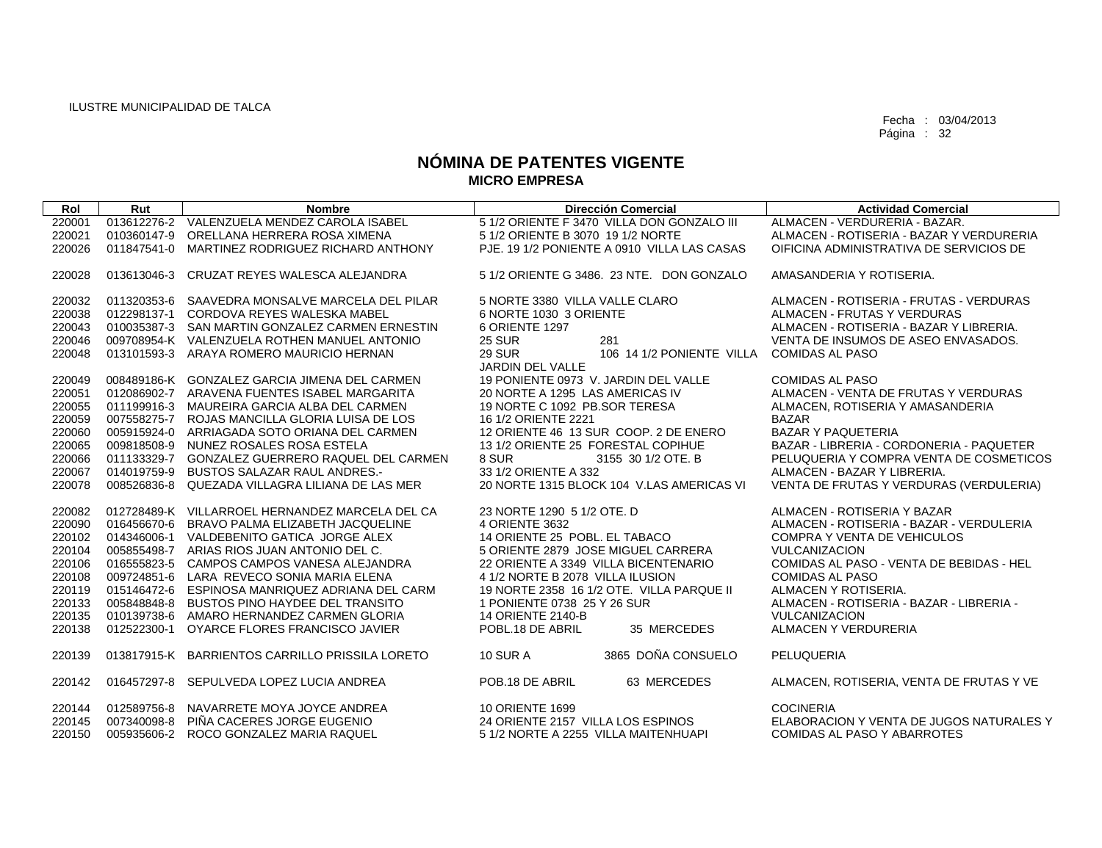| Rol              | Rut         | <b>Nombre</b>                                                                                  | <b>Dirección Comercial</b>                                   | <b>Actividad Comercial</b>                |
|------------------|-------------|------------------------------------------------------------------------------------------------|--------------------------------------------------------------|-------------------------------------------|
| 220001           |             | 013612276-2 VALENZUELA MENDEZ CAROLA ISABEL                                                    | 5 1/2 ORIENTE F 3470 VILLA DON GONZALO III                   | ALMACEN - VERDURERIA - BAZAR.             |
| 220021           | 010360147-9 | ORELLANA HERRERA ROSA XIMENA                                                                   | 5 1/2 ORIENTE B 3070 19 1/2 NORTE                            | ALMACEN - ROTISERIA - BAZAR Y VERDURERIA  |
| 220026           | 011847541-0 | MARTINEZ RODRIGUEZ RICHARD ANTHONY                                                             | PJE. 19 1/2 PONIENTE A 0910 VILLA LAS CASAS                  | OIFICINA ADMINISTRATIVA DE SERVICIOS DE   |
| 220028           | 013613046-3 | CRUZAT REYES WALESCA ALEJANDRA                                                                 | 5 1/2 ORIENTE G 3486, 23 NTE, DON GONZALO                    | AMASANDERIA Y ROTISERIA.                  |
| 220032           |             | 011320353-6 SAAVEDRA MONSALVE MARCELA DEL PILAR                                                | 5 NORTE 3380 VILLA VALLE CLARO                               | ALMACEN - ROTISERIA - FRUTAS - VERDURAS   |
| 220038           |             | 012298137-1 CORDOVA REYES WALESKA MABEL                                                        | 6 NORTE 1030 3 ORIENTE                                       | ALMACEN - FRUTAS Y VERDURAS               |
| 220043           |             | 010035387-3 SAN MARTIN GONZALEZ CARMEN ERNESTIN                                                | 6 ORIENTE 1297                                               | ALMACEN - ROTISERIA - BAZAR Y LIBRERIA.   |
| 220046           |             | 009708954-K VALENZUELA ROTHEN MANUEL ANTONIO                                                   | <b>25 SUR</b><br>281                                         | VENTA DE INSUMOS DE ASEO ENVASADOS.       |
| 220048           |             | 013101593-3 ARAYA ROMERO MAURICIO HERNAN                                                       | <b>29 SUR</b><br>106 14 1/2 PONIENTE VILLA                   | <b>COMIDAS AL PASO</b>                    |
|                  |             |                                                                                                | <b>JARDIN DEL VALLE</b>                                      |                                           |
| 220049           |             | 008489186-K GONZALEZ GARCIA JIMENA DEL CARMEN                                                  | 19 PONIENTE 0973 V. JARDIN DEL VALLE                         | <b>COMIDAS AL PASO</b>                    |
| 220051           |             | 012086902-7 ARAVENA FUENTES ISABEL MARGARITA                                                   | 20 NORTE A 1295 LAS AMERICAS IV                              | ALMACEN - VENTA DE FRUTAS Y VERDURAS      |
| 220055           |             | 011199916-3 MAUREIRA GARCIA ALBA DEL CARMEN                                                    | 19 NORTE C 1092 PB.SOR TERESA                                | ALMACEN, ROTISERIA Y AMASANDERIA          |
| 220059<br>220060 |             | 007558275-7 ROJAS MANCILLA GLORIA LUISA DE LOS<br>005915924-0 ARRIAGADA SOTO ORIANA DEL CARMEN | 16 1/2 ORIENTE 2221<br>12 ORIENTE 46 13 SUR COOP, 2 DE ENERO | <b>BAZAR</b><br><b>BAZAR Y PAQUETERIA</b> |
| 220065           |             | 009818508-9 NUNEZ ROSALES ROSA ESTELA                                                          | 13 1/2 ORIENTE 25 FORESTAL COPIHUE                           | BAZAR - LIBRERIA - CORDONERIA - PAQUETER  |
| 220066           |             | 011133329-7 GONZALEZ GUERRERO RAQUEL DEL CARMEN                                                | 8 SUR<br>3155 30 1/2 OTE, B                                  | PELUQUERIA Y COMPRA VENTA DE COSMETICOS   |
| 220067           | 014019759-9 | <b>BUSTOS SALAZAR RAUL ANDRES.-</b>                                                            | 33 1/2 ORIENTE A 332                                         | ALMACEN - BAZAR Y LIBRERIA.               |
| 220078           | 008526836-8 | QUEZADA VILLAGRA LILIANA DE LAS MER                                                            | 20 NORTE 1315 BLOCK 104 V.LAS AMERICAS VI                    | VENTA DE FRUTAS Y VERDURAS (VERDULERIA)   |
|                  |             |                                                                                                |                                                              |                                           |
| 220082           |             | 012728489-K VILLARROEL HERNANDEZ MARCELA DEL CA                                                | 23 NORTE 1290 5 1/2 OTE, D                                   | ALMACEN - ROTISERIA Y BAZAR               |
| 220090           |             | 016456670-6 BRAVO PALMA ELIZABETH JACQUELINE                                                   | 4 ORIENTE 3632                                               | ALMACEN - ROTISERIA - BAZAR - VERDULERIA  |
| 220102           |             | 014346006-1 VALDEBENITO GATICA JORGE ALEX                                                      | 14 ORIENTE 25 POBL. EL TABACO                                | <b>COMPRA Y VENTA DE VEHICULOS</b>        |
| 220104           |             | 005855498-7 ARIAS RIOS JUAN ANTONIO DEL C.                                                     | 5 ORIENTE 2879 JOSE MIGUEL CARRERA                           | VULCANIZACION                             |
| 220106           |             | 016555823-5 CAMPOS CAMPOS VANESA ALEJANDRA                                                     | 22 ORIENTE A 3349 VILLA BICENTENARIO                         | COMIDAS AL PASO - VENTA DE BEBIDAS - HEL  |
| 220108           |             | 009724851-6 LARA REVECO SONIA MARIA ELENA                                                      | 4 1/2 NORTE B 2078 VILLA ILUSION                             | <b>COMIDAS AL PASO</b>                    |
| 220119           |             | 015146472-6 ESPINOSA MANRIQUEZ ADRIANA DEL CARM                                                | 19 NORTE 2358 16 1/2 OTE. VILLA PARQUE II                    | ALMACEN Y ROTISERIA.                      |
| 220133           |             | 005848848-8 BUSTOS PINO HAYDEE DEL TRANSITO                                                    | 1 PONIENTE 0738 25 Y 26 SUR                                  | ALMACEN - ROTISERIA - BAZAR - LIBRERIA -  |
| 220135           |             | 010139738-6 AMARO HERNANDEZ CARMEN GLORIA                                                      | 14 ORIENTE 2140-B                                            | <b>VULCANIZACION</b>                      |
| 220138           | 012522300-1 | OYARCE FLORES FRANCISCO JAVIER                                                                 | POBL.18 DE ABRIL<br>35 MERCEDES                              | ALMACEN Y VERDURERIA                      |
| 220139           |             | 013817915-K BARRIENTOS CARRILLO PRISSILA LORETO                                                | 3865 DOÑA CONSUELO<br><b>10 SUR A</b>                        | PELUQUERIA                                |
| 220142           |             | 016457297-8 SEPULVEDA LOPEZ LUCIA ANDREA                                                       | POB.18 DE ABRIL<br>63 MERCEDES                               | ALMACEN, ROTISERIA, VENTA DE FRUTAS Y VE  |
| 220144           |             | 012589756-8 NAVARRETE MOYA JOYCE ANDREA                                                        | <b>10 ORIENTE 1699</b>                                       | <b>COCINERIA</b>                          |
| 220145           |             | 007340098-8 PIÑA CACERES JORGE EUGENIO                                                         | 24 ORIENTE 2157 VILLA LOS ESPINOS                            | ELABORACION Y VENTA DE JUGOS NATURALES Y  |
| 220150           |             | 005935606-2 ROCO GONZALEZ MARIA RAQUEL                                                         | 5 1/2 NORTE A 2255 VILLA MAITENHUAPI                         | COMIDAS AL PASO Y ABARROTES               |
|                  |             |                                                                                                |                                                              |                                           |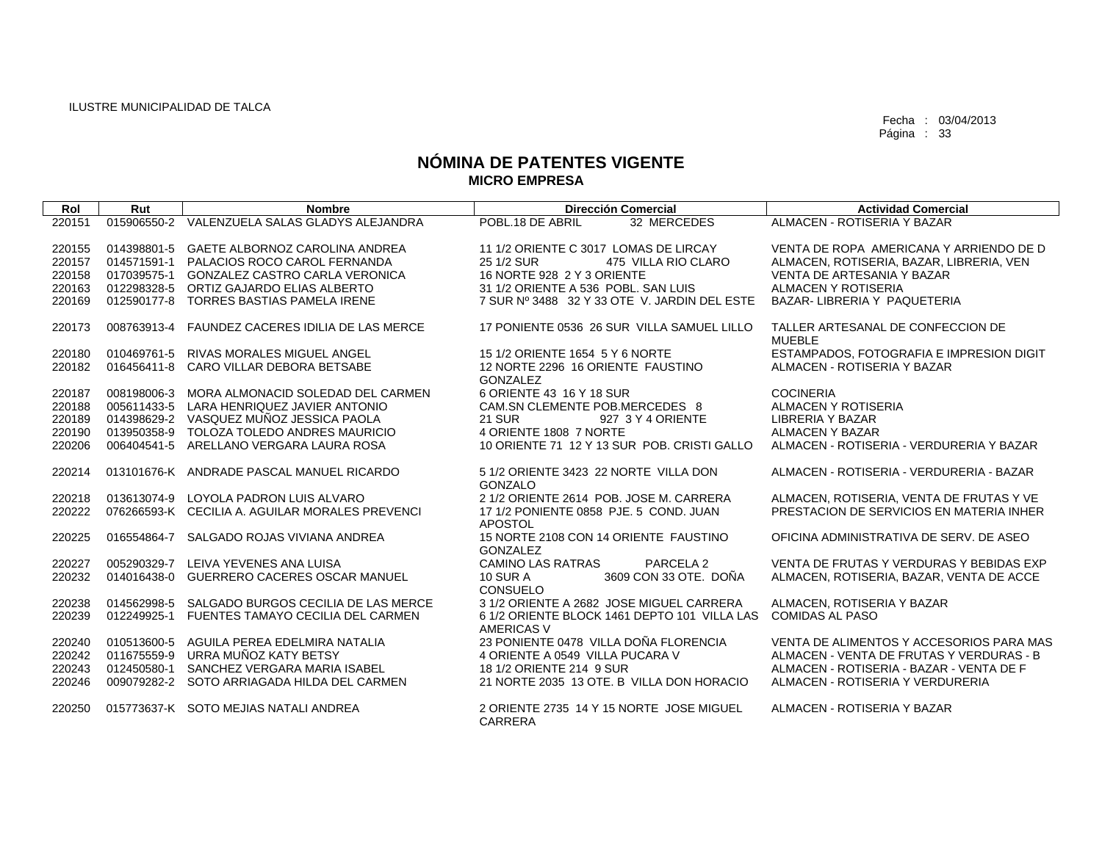| Rol              | Rut         | <b>Nombre</b>                                                            | <b>Dirección Comercial</b>                                           | <b>Actividad Comercial</b>                     |
|------------------|-------------|--------------------------------------------------------------------------|----------------------------------------------------------------------|------------------------------------------------|
| 220151           |             | 015906550-2 VALENZUELA SALAS GLADYS ALEJANDRA                            | POBL.18 DE ABRIL<br>32 MERCEDES                                      | ALMACEN - ROTISERIA Y BAZAR                    |
|                  |             |                                                                          |                                                                      |                                                |
| 220155           |             | 014398801-5 GAETE ALBORNOZ CAROLINA ANDREA                               | 11 1/2 ORIENTE C 3017 LOMAS DE LIRCAY                                | VENTA DE ROPA AMERICANA Y ARRIENDO DE D        |
| 220157           |             | 014571591-1 PALACIOS ROCO CAROL FERNANDA                                 | 25 1/2 SUR<br>475 VILLA RIO CLARO                                    | ALMACEN, ROTISERIA, BAZAR, LIBRERIA, VEN       |
| 220158           |             | 017039575-1 GONZALEZ CASTRO CARLA VERONICA                               | 16 NORTE 928 2 Y 3 ORIENTE                                           | VENTA DE ARTESANIA Y BAZAR                     |
| 220163           |             | 012298328-5 ORTIZ GAJARDO ELIAS ALBERTO                                  | 31 1/2 ORIENTE A 536 POBL, SAN LUIS                                  | ALMACEN Y ROTISERIA                            |
| 220169           | 012590177-8 | TORRES BASTIAS PAMELA IRENE                                              | 7 SUR Nº 3488 32 Y 33 OTE V. JARDIN DEL ESTE                         | BAZAR-LIBRERIA Y PAQUETERIA                    |
| 220173           | 008763913-4 | FAUNDEZ CACERES IDILIA DE LAS MERCE                                      | 17 PONIENTE 0536 26 SUR VILLA SAMUEL LILLO                           | TALLER ARTESANAL DE CONFECCION DE              |
|                  |             |                                                                          |                                                                      | <b>MUEBLE</b>                                  |
| 220180           |             | 010469761-5 RIVAS MORALES MIGUEL ANGEL                                   | 15 1/2 ORIENTE 1654 5 Y 6 NORTE                                      | ESTAMPADOS, FOTOGRAFIA E IMPRESION DIGIT       |
| 220182           | 016456411-8 | CARO VILLAR DEBORA BETSABE                                               | 12 NORTE 2296 16 ORIENTE FAUSTINO                                    | ALMACEN - ROTISERIA Y BAZAR                    |
|                  |             |                                                                          | GONZALEZ                                                             |                                                |
| 220187           |             | 008198006-3 MORA ALMONACID SOLEDAD DEL CARMEN                            | 6 ORIENTE 43 16 Y 18 SUR                                             | <b>COCINERIA</b>                               |
| 220188<br>220189 | 005611433-5 | LARA HENRIQUEZ JAVIER ANTONIO<br>014398629-2 VASQUEZ MUÑOZ JESSICA PAOLA | CAM.SN CLEMENTE POB.MERCEDES 8<br><b>21 SUR</b><br>927 3 Y 4 ORIENTE | ALMACEN Y ROTISERIA<br><b>LIBRERIA Y BAZAR</b> |
| 220190           |             | 013950358-9 TOLOZA TOLEDO ANDRES MAURICIO                                | 4 ORIENTE 1808 7 NORTE                                               | ALMACEN Y BAZAR                                |
| 220206           |             | 006404541-5 ARELLANO VERGARA LAURA ROSA                                  | 10 ORIENTE 71 12 Y 13 SUR POB, CRISTI GALLO                          | ALMACEN - ROTISERIA - VERDURERIA Y BAZAR       |
|                  |             |                                                                          |                                                                      |                                                |
| 220214           |             | 013101676-K ANDRADE PASCAL MANUEL RICARDO                                | 5 1/2 ORIENTE 3423 22 NORTE VILLA DON                                | ALMACEN - ROTISERIA - VERDURERIA - BAZAR       |
|                  |             |                                                                          | GONZALO                                                              |                                                |
| 220218           | 013613074-9 | LOYOLA PADRON LUIS ALVARO                                                | 2 1/2 ORIENTE 2614 POB, JOSE M. CARRERA                              | ALMACEN, ROTISERIA, VENTA DE FRUTAS Y VE       |
| 220222           |             | 076266593-K CECILIA A. AGUILAR MORALES PREVENCI                          | 17 1/2 PONIENTE 0858 PJE, 5 COND, JUAN                               | PRESTACION DE SERVICIOS EN MATERIA INHER       |
|                  |             |                                                                          | <b>APOSTOL</b>                                                       |                                                |
| 220225           | 016554864-7 | SALGADO ROJAS VIVIANA ANDREA                                             | 15 NORTE 2108 CON 14 ORIENTE FAUSTINO                                | OFICINA ADMINISTRATIVA DE SERV. DE ASEO        |
|                  | 005290329-7 | LEIVA YEVENES ANA LUISA                                                  | <b>GONZALEZ</b><br>PARCELA 2                                         | VENTA DE FRUTAS Y VERDURAS Y BEBIDAS EXP       |
| 220227<br>220232 | 014016438-0 | GUERRERO CACERES OSCAR MANUEL                                            | <b>CAMINO LAS RATRAS</b><br>3609 CON 33 OTE. DOÑA<br>10 SUR A        | ALMACEN, ROTISERIA, BAZAR, VENTA DE ACCE       |
|                  |             |                                                                          | CONSUELO                                                             |                                                |
| 220238           |             | 014562998-5 SALGADO BURGOS CECILIA DE LAS MERCE                          | 3 1/2 ORIENTE A 2682 JOSE MIGUEL CARRERA                             | ALMACEN, ROTISERIA Y BAZAR                     |
| 220239           |             | 012249925-1 FUENTES TAMAYO CECILIA DEL CARMEN                            | 6 1/2 ORIENTE BLOCK 1461 DEPTO 101 VILLA LAS                         | <b>COMIDAS AL PASO</b>                         |
|                  |             |                                                                          | <b>AMERICAS V</b>                                                    |                                                |
| 220240           |             | 010513600-5 AGUILA PEREA EDELMIRA NATALIA                                | 23 PONIENTE 0478 VILLA DOÑA FLORENCIA                                | VENTA DE ALIMENTOS Y ACCESORIOS PARA MAS       |
| 220242           | 011675559-9 | URRA MUÑOZ KATY BETSY                                                    | 4 ORIENTE A 0549 VILLA PUCARA V                                      | ALMACEN - VENTA DE FRUTAS Y VERDURAS - B       |
| 220243           | 012450580-1 | SANCHEZ VERGARA MARIA ISABEL                                             | 18 1/2 ORIENTE 214 9 SUR                                             | ALMACEN - ROTISERIA - BAZAR - VENTA DE F       |
| 220246           | 009079282-2 | SOTO ARRIAGADA HILDA DEL CARMEN                                          | 21 NORTE 2035 13 OTE, B VILLA DON HORACIO                            | ALMACEN - ROTISERIA Y VERDURERIA               |
|                  |             | 015773637-K SOTO MEJIAS NATALI ANDREA                                    | 2 ORIENTE 2735 14 Y 15 NORTE JOSE MIGUEL                             | ALMACEN - ROTISERIA Y BAZAR                    |
| 220250           |             |                                                                          | CARRERA                                                              |                                                |